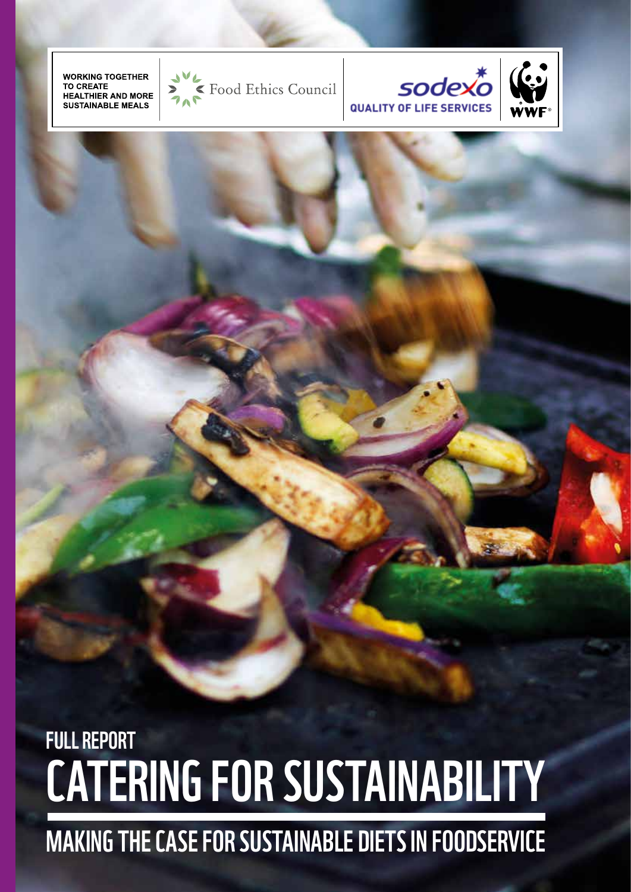# Making the case for sustainable diets in foodservice

## CATERING FOR SUSTAINABILITY full report

**WORKING TOGETHER TO CREATE HEALTHIER AND MORE SUSTAINABLE MEALS** 







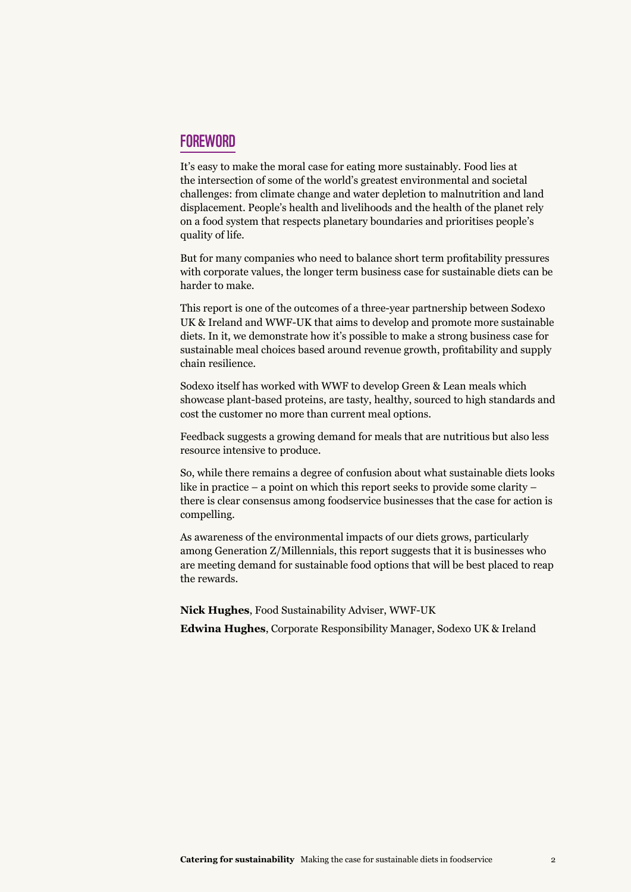#### **FOREWORD**

It's easy to make the moral case for eating more sustainably. Food lies at the intersection of some of the world's greatest environmental and societal challenges: from climate change and water depletion to malnutrition and land displacement. People's health and livelihoods and the health of the planet rely on a food system that respects planetary boundaries and prioritises people's quality of life.

But for many companies who need to balance short term profitability pressures with corporate values, the longer term business case for sustainable diets can be harder to make.

This report is one of the outcomes of a three-year partnership between Sodexo UK & Ireland and WWF-UK that aims to develop and promote more sustainable diets. In it, we demonstrate how it's possible to make a strong business case for sustainable meal choices based around revenue growth, profitability and supply chain resilience.

Sodexo itself has worked with WWF to develop Green & Lean meals which showcase plant-based proteins, are tasty, healthy, sourced to high standards and cost the customer no more than current meal options.

Feedback suggests a growing demand for meals that are nutritious but also less resource intensive to produce.

So, while there remains a degree of confusion about what sustainable diets looks like in practice – a point on which this report seeks to provide some clarity – there is clear consensus among foodservice businesses that the case for action is compelling.

As awareness of the environmental impacts of our diets grows, particularly among Generation Z/Millennials, this report suggests that it is businesses who are meeting demand for sustainable food options that will be best placed to reap the rewards.

**Nick Hughes**, Food Sustainability Adviser, WWF-UK **Edwina Hughes**, Corporate Responsibility Manager, Sodexo UK & Ireland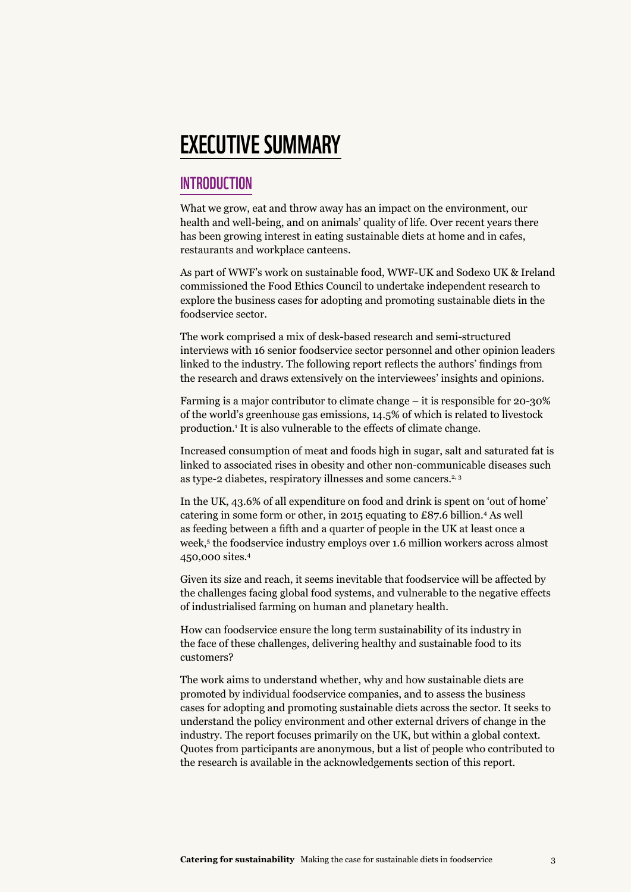### Executive summary

#### **INTRODUCTION**

What we grow, eat and throw away has an impact on the environment, our health and well-being, and on animals' quality of life. Over recent years there has been growing interest in eating sustainable diets at home and in cafes, restaurants and workplace canteens.

As part of WWF's work on sustainable food, WWF-UK and Sodexo UK & Ireland commissioned the Food Ethics Council to undertake independent research to explore the business cases for adopting and promoting sustainable diets in the foodservice sector.

The work comprised a mix of desk-based research and semi-structured interviews with 16 senior foodservice sector personnel and other opinion leaders linked to the industry. The following report reflects the authors' findings from the research and draws extensively on the interviewees' insights and opinions.

Farming is a major contributor to climate change – it is responsible for 20-30% of the world's greenhouse gas emissions, 14.5% of which is related to livestock production.<sup>1</sup> It is also vulnerable to the effects of climate change.

Increased consumption of meat and foods high in sugar, salt and saturated fat is linked to associated rises in obesity and other non-communicable diseases such as type-2 diabetes, respiratory illnesses and some cancers.<sup>2, 3</sup>

In the UK, 43.6% of all expenditure on food and drink is spent on 'out of home' catering in some form or other, in 2015 equating to £87.6 billion.4 As well as feeding between a fifth and a quarter of people in the UK at least once a week,<sup>5</sup> the foodservice industry employs over 1.6 million workers across almost 450,000 sites.4

Given its size and reach, it seems inevitable that foodservice will be affected by the challenges facing global food systems, and vulnerable to the negative effects of industrialised farming on human and planetary health.

How can foodservice ensure the long term sustainability of its industry in the face of these challenges, delivering healthy and sustainable food to its customers?

The work aims to understand whether, why and how sustainable diets are promoted by individual foodservice companies, and to assess the business cases for adopting and promoting sustainable diets across the sector. It seeks to understand the policy environment and other external drivers of change in the industry. The report focuses primarily on the UK, but within a global context. Quotes from participants are anonymous, but a list of people who contributed to the research is available in the acknowledgements section of this report.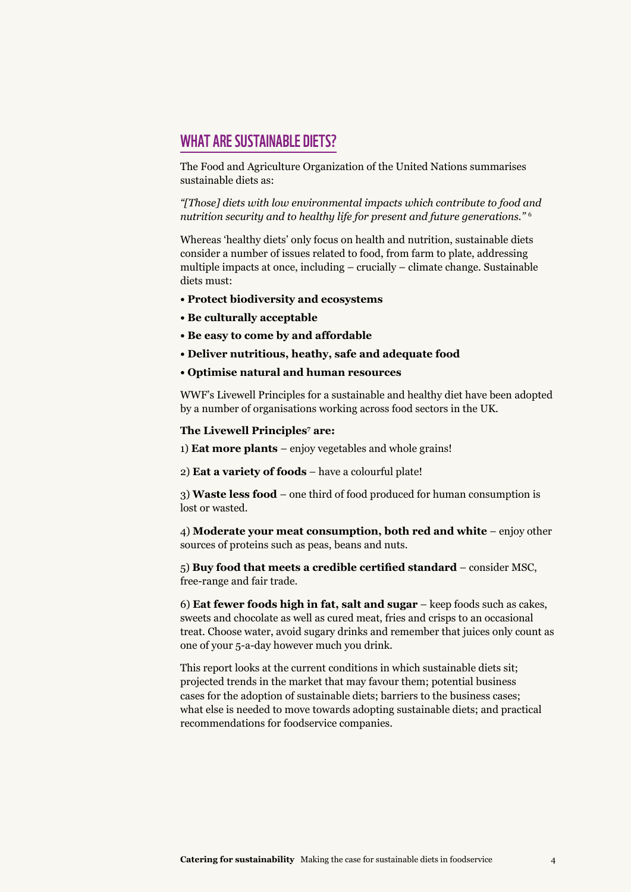#### WHAT ARE SUSTAINABLE DIETS?

The Food and Agriculture Organization of the United Nations summarises sustainable diets as:

*"[Those] diets with low environmental impacts which contribute to food and nutrition security and to healthy life for present and future generations."* <sup>6</sup>

Whereas 'healthy diets' only focus on health and nutrition, sustainable diets consider a number of issues related to food, from farm to plate, addressing multiple impacts at once, including – crucially – climate change. Sustainable diets must:

- **Protect biodiversity and ecosystems**
- **Be culturally acceptable**
- **Be easy to come by and affordable**
- **Deliver nutritious, heathy, safe and adequate food**
- **Optimise natural and human resources**

WWF's Livewell Principles for a sustainable and healthy diet have been adopted by a number of organisations working across food sectors in the UK.

#### **The Livewell Principles<sup>7</sup> are:**

1) **Eat more plants** – enjoy vegetables and whole grains!

2) **Eat a variety of foods** – have a colourful plate!

3) **Waste less food** – one third of food produced for human consumption is lost or wasted.

4) **Moderate your meat consumption, both red and white** – enjoy other sources of proteins such as peas, beans and nuts.

5) **Buy food that meets a credible certified standard** – consider MSC, free-range and fair trade.

6) **Eat fewer foods high in fat, salt and sugar** – keep foods such as cakes, sweets and chocolate as well as cured meat, fries and crisps to an occasional treat. Choose water, avoid sugary drinks and remember that juices only count as one of your 5-a-day however much you drink.

This report looks at the current conditions in which sustainable diets sit; projected trends in the market that may favour them; potential business cases for the adoption of sustainable diets; barriers to the business cases; what else is needed to move towards adopting sustainable diets; and practical recommendations for foodservice companies.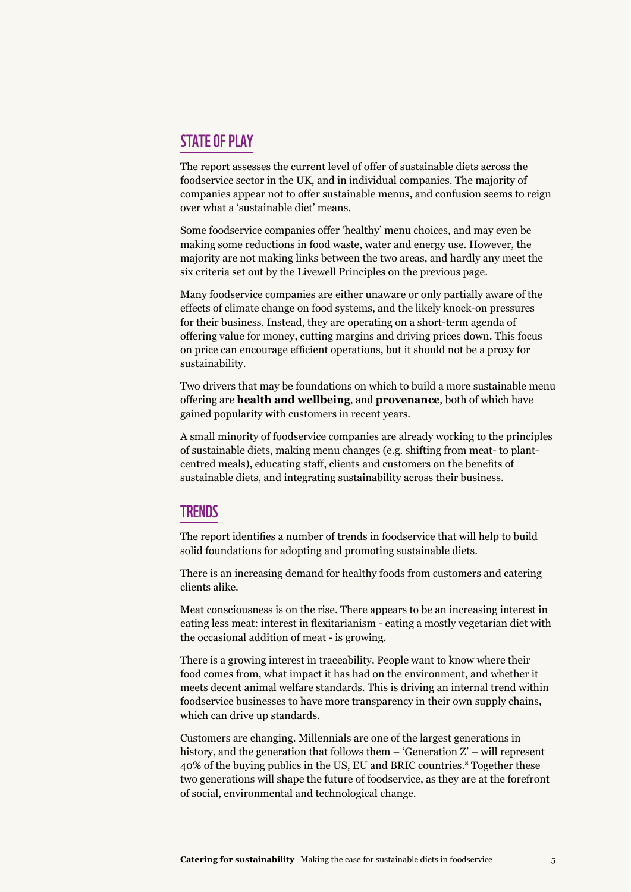#### **STATE OF PLAY**

The report assesses the current level of offer of sustainable diets across the foodservice sector in the UK, and in individual companies. The majority of companies appear not to offer sustainable menus, and confusion seems to reign over what a 'sustainable diet' means.

Some foodservice companies offer 'healthy' menu choices, and may even be making some reductions in food waste, water and energy use. However, the majority are not making links between the two areas, and hardly any meet the six criteria set out by the Livewell Principles on the previous page.

Many foodservice companies are either unaware or only partially aware of the effects of climate change on food systems, and the likely knock-on pressures for their business. Instead, they are operating on a short-term agenda of offering value for money, cutting margins and driving prices down. This focus on price can encourage efficient operations, but it should not be a proxy for sustainability.

Two drivers that may be foundations on which to build a more sustainable menu offering are **health and wellbeing**, and **provenance**, both of which have gained popularity with customers in recent years.

A small minority of foodservice companies are already working to the principles of sustainable diets, making menu changes (e.g. shifting from meat- to plantcentred meals), educating staff, clients and customers on the benefits of sustainable diets, and integrating sustainability across their business.

#### **TRENDS**

The report identifies a number of trends in foodservice that will help to build solid foundations for adopting and promoting sustainable diets.

There is an increasing demand for healthy foods from customers and catering clients alike.

Meat consciousness is on the rise. There appears to be an increasing interest in eating less meat: interest in flexitarianism - eating a mostly vegetarian diet with the occasional addition of meat - is growing.

There is a growing interest in traceability. People want to know where their food comes from, what impact it has had on the environment, and whether it meets decent animal welfare standards. This is driving an internal trend within foodservice businesses to have more transparency in their own supply chains, which can drive up standards.

Customers are changing. Millennials are one of the largest generations in history, and the generation that follows them  $-$  'Generation  $Z'$  – will represent 40% of the buying publics in the US, EU and BRIC countries.8 Together these two generations will shape the future of foodservice, as they are at the forefront of social, environmental and technological change.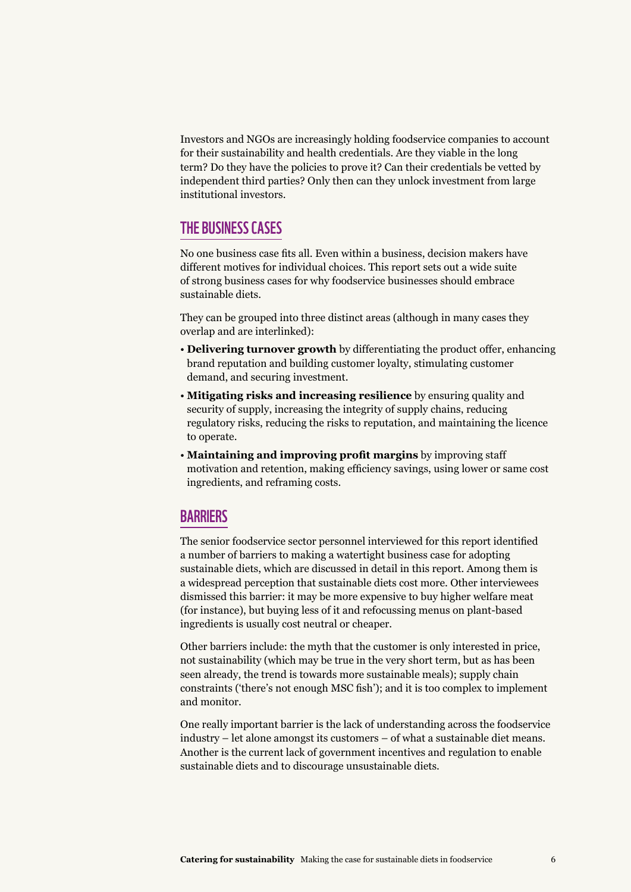Investors and NGOs are increasingly holding foodservice companies to account for their sustainability and health credentials. Are they viable in the long term? Do they have the policies to prove it? Can their credentials be vetted by independent third parties? Only then can they unlock investment from large institutional investors.

#### The business cases

No one business case fits all. Even within a business, decision makers have different motives for individual choices. This report sets out a wide suite of strong business cases for why foodservice businesses should embrace sustainable diets.

They can be grouped into three distinct areas (although in many cases they overlap and are interlinked):

- **Delivering turnover growth** by differentiating the product offer, enhancing brand reputation and building customer loyalty, stimulating customer demand, and securing investment.
- **Mitigating risks and increasing resilience** by ensuring quality and security of supply, increasing the integrity of supply chains, reducing regulatory risks, reducing the risks to reputation, and maintaining the licence to operate.
- **Maintaining and improving profit margins** by improving staff motivation and retention, making efficiency savings, using lower or same cost ingredients, and reframing costs.

#### **BARRIERS**

The senior foodservice sector personnel interviewed for this report identified a number of barriers to making a watertight business case for adopting sustainable diets, which are discussed in detail in this report. Among them is a widespread perception that sustainable diets cost more. Other interviewees dismissed this barrier: it may be more expensive to buy higher welfare meat (for instance), but buying less of it and refocussing menus on plant-based ingredients is usually cost neutral or cheaper.

Other barriers include: the myth that the customer is only interested in price, not sustainability (which may be true in the very short term, but as has been seen already, the trend is towards more sustainable meals); supply chain constraints ('there's not enough MSC fish'); and it is too complex to implement and monitor.

One really important barrier is the lack of understanding across the foodservice industry – let alone amongst its customers – of what a sustainable diet means. Another is the current lack of government incentives and regulation to enable sustainable diets and to discourage unsustainable diets.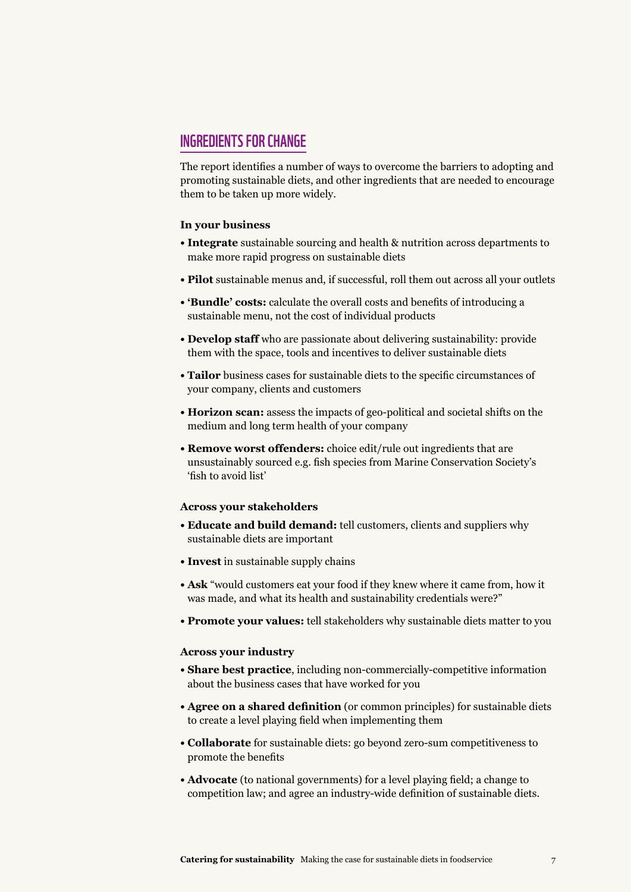#### Ingredients for change

The report identifies a number of ways to overcome the barriers to adopting and promoting sustainable diets, and other ingredients that are needed to encourage them to be taken up more widely.

#### **In your business**

- **Integrate** sustainable sourcing and health & nutrition across departments to make more rapid progress on sustainable diets
- **Pilot** sustainable menus and, if successful, roll them out across all your outlets
- **'Bundle' costs:** calculate the overall costs and benefits of introducing a sustainable menu, not the cost of individual products
- **Develop staff** who are passionate about delivering sustainability: provide them with the space, tools and incentives to deliver sustainable diets
- **Tailor** business cases for sustainable diets to the specific circumstances of your company, clients and customers
- **Horizon scan:** assess the impacts of geo-political and societal shifts on the medium and long term health of your company
- **Remove worst offenders:** choice edit/rule out ingredients that are unsustainably sourced e.g. fish species from Marine Conservation Society's 'fish to avoid list'

#### **Across your stakeholders**

- **Educate and build demand:** tell customers, clients and suppliers why sustainable diets are important
- **Invest** in sustainable supply chains
- **Ask** "would customers eat your food if they knew where it came from, how it was made, and what its health and sustainability credentials were?"
- **Promote your values:** tell stakeholders why sustainable diets matter to you

#### **Across your industry**

- **Share best practice**, including non-commercially-competitive information about the business cases that have worked for you
- **Agree on a shared definition** (or common principles) for sustainable diets to create a level playing field when implementing them
- **Collaborate** for sustainable diets: go beyond zero-sum competitiveness to promote the benefits
- **Advocate** (to national governments) for a level playing field; a change to competition law; and agree an industry-wide definition of sustainable diets.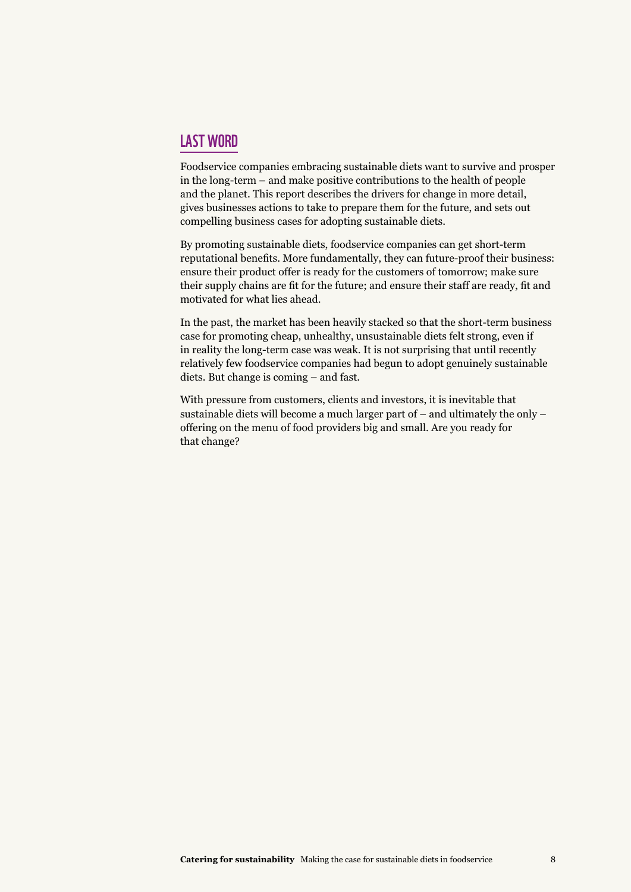#### Last word

Foodservice companies embracing sustainable diets want to survive and prosper in the long-term – and make positive contributions to the health of people and the planet. This report describes the drivers for change in more detail, gives businesses actions to take to prepare them for the future, and sets out compelling business cases for adopting sustainable diets.

By promoting sustainable diets, foodservice companies can get short-term reputational benefits. More fundamentally, they can future-proof their business: ensure their product offer is ready for the customers of tomorrow; make sure their supply chains are fit for the future; and ensure their staff are ready, fit and motivated for what lies ahead.

In the past, the market has been heavily stacked so that the short-term business case for promoting cheap, unhealthy, unsustainable diets felt strong, even if in reality the long-term case was weak. It is not surprising that until recently relatively few foodservice companies had begun to adopt genuinely sustainable diets. But change is coming – and fast.

With pressure from customers, clients and investors, it is inevitable that sustainable diets will become a much larger part of – and ultimately the only – offering on the menu of food providers big and small. Are you ready for that change?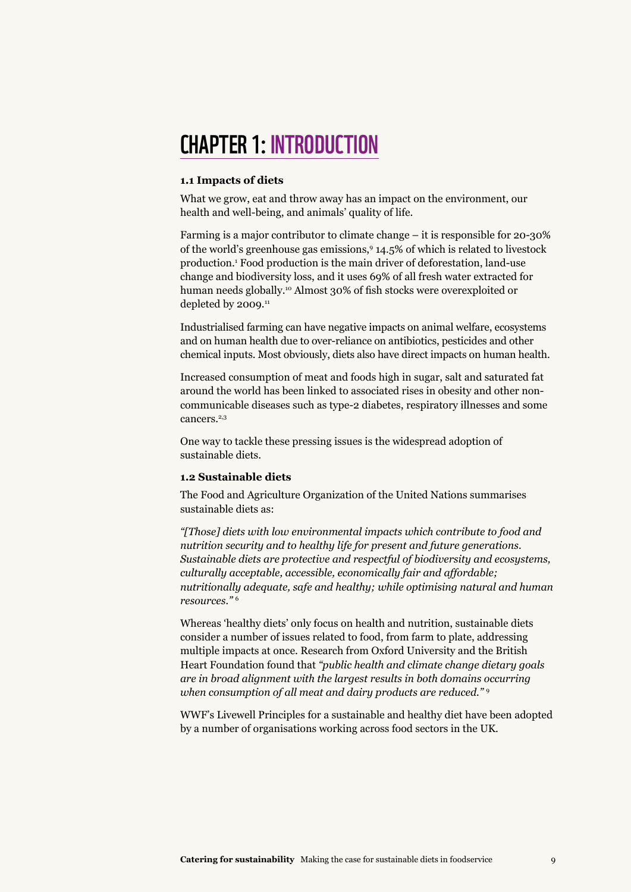## CHAPTER 1: Introduction

#### **1.1 Impacts of diets**

What we grow, eat and throw away has an impact on the environment, our health and well-being, and animals' quality of life.

Farming is a major contributor to climate change – it is responsible for 20-30% of the world's greenhouse gas emissions,9 14.5% of which is related to livestock production.1 Food production is the main driver of deforestation, land-use change and biodiversity loss, and it uses 69% of all fresh water extracted for human needs globally.<sup>10</sup> Almost 30% of fish stocks were overexploited or depleted by 2009.<sup>11</sup>

Industrialised farming can have negative impacts on animal welfare, ecosystems and on human health due to over-reliance on antibiotics, pesticides and other chemical inputs. Most obviously, diets also have direct impacts on human health.

Increased consumption of meat and foods high in sugar, salt and saturated fat around the world has been linked to associated rises in obesity and other noncommunicable diseases such as type-2 diabetes, respiratory illnesses and some cancers.<sup>2,3</sup>

One way to tackle these pressing issues is the widespread adoption of sustainable diets.

#### **1.2 Sustainable diets**

The Food and Agriculture Organization of the United Nations summarises sustainable diets as:

*"[Those] diets with low environmental impacts which contribute to food and nutrition security and to healthy life for present and future generations. Sustainable diets are protective and respectful of biodiversity and ecosystems, culturally acceptable, accessible, economically fair and affordable; nutritionally adequate, safe and healthy; while optimising natural and human resources."* <sup>6</sup>

Whereas 'healthy diets' only focus on health and nutrition, sustainable diets consider a number of issues related to food, from farm to plate, addressing multiple impacts at once. Research from Oxford University and the British Heart Foundation found that *"public health and climate change dietary goals are in broad alignment with the largest results in both domains occurring when consumption of all meat and dairy products are reduced."* <sup>9</sup>

WWF's Livewell Principles for a sustainable and healthy diet have been adopted by a number of organisations working across food sectors in the UK.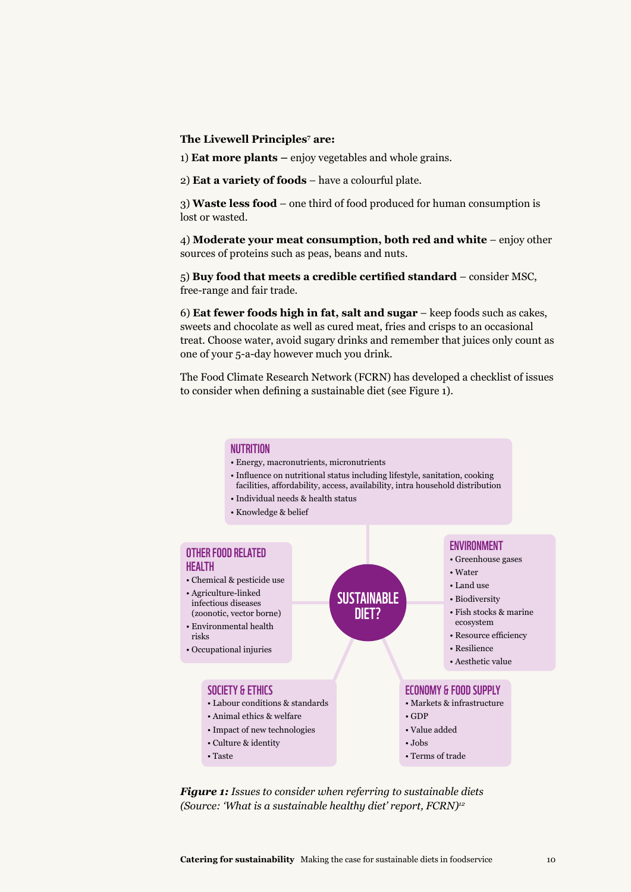#### **The Livewell Principles<sup>7</sup> are:**

1) **Eat more plants –** enjoy vegetables and whole grains.

2) **Eat a variety of foods** – have a colourful plate.

3) **Waste less food** – one third of food produced for human consumption is lost or wasted.

4) **Moderate your meat consumption, both red and white** – enjoy other sources of proteins such as peas, beans and nuts.

5) **Buy food that meets a credible certified standard** – consider MSC, free-range and fair trade.

6) **Eat fewer foods high in fat, salt and sugar** – keep foods such as cakes, sweets and chocolate as well as cured meat, fries and crisps to an occasional treat. Choose water, avoid sugary drinks and remember that juices only count as one of your 5-a-day however much you drink.

The Food Climate Research Network (FCRN) has developed a checklist of issues to consider when defining a sustainable diet (see Figure 1).

#### **NUTRITION**

- Energy, macronutrients, micronutrients
- Influence on nutritional status including lifestyle, sanitation, cooking facilities, affordability, access, availability, intra household distribution
- Individual needs & health status
- Knowledge & belief



*Figure 1: Issues to consider when referring to sustainable diets (Source: 'What is a sustainable healthy diet' report, FCRN)12*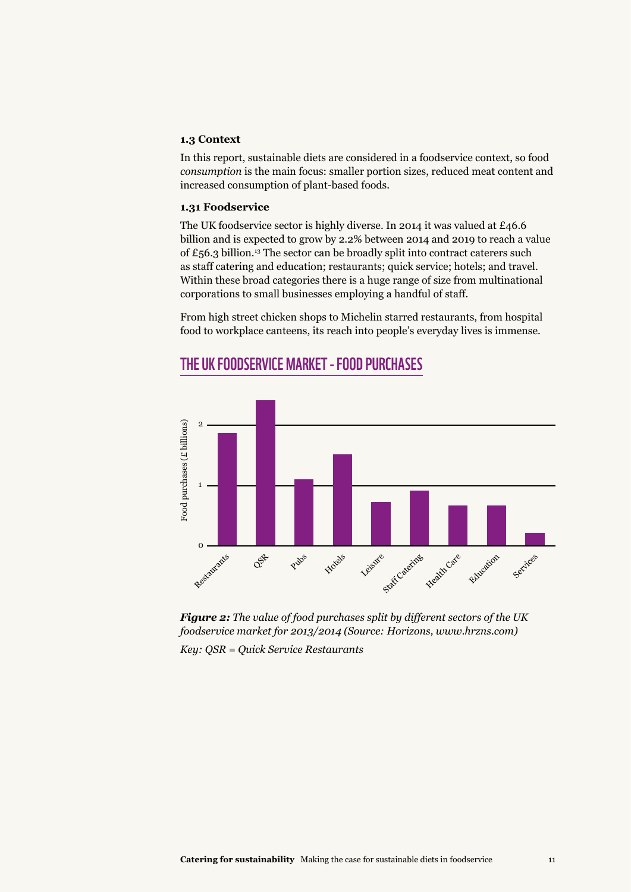#### **1.3 Context**

In this report, sustainable diets are considered in a foodservice context, so food *consumption* is the main focus: smaller portion sizes, reduced meat content and increased consumption of plant-based foods.

#### **1.31 Foodservice**

The UK foodservice sector is highly diverse. In 2014 it was valued at £46.6 billion and is expected to grow by 2.2% between 2014 and 2019 to reach a value of  $£56.3$  billion.<sup>13</sup> The sector can be broadly split into contract caterers such as staff catering and education; restaurants; quick service; hotels; and travel. Within these broad categories there is a huge range of size from multinational corporations to small businesses employing a handful of staff.

From high street chicken shops to Michelin starred restaurants, from hospital food to workplace canteens, its reach into people's everyday lives is immense.



#### The uk foodservice market - food purchases



*Key: QSR = Quick Service Restaurants*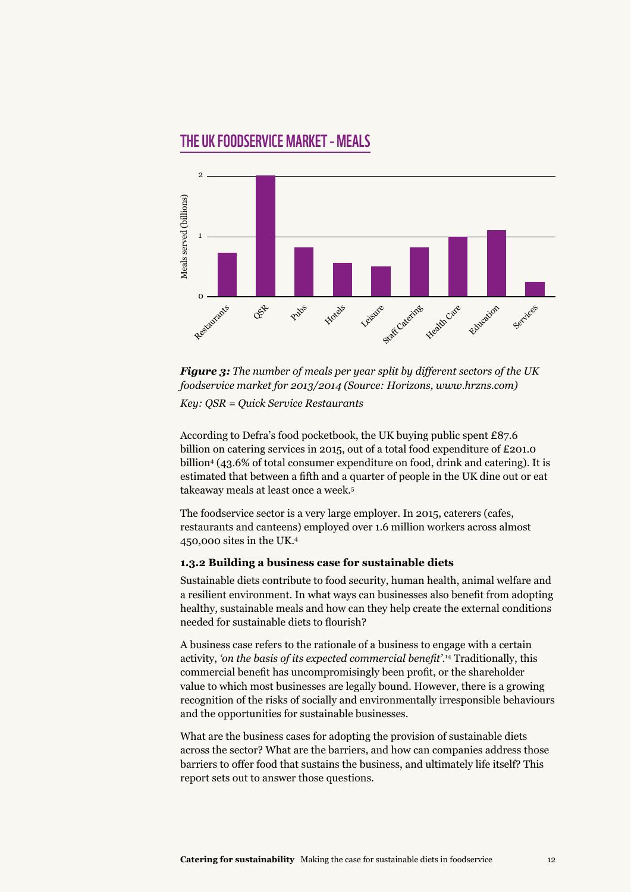#### The uk foodservice market - meals



*Figure 3: The number of meals per year split by different sectors of the UK foodservice market for 2013/2014 (Source: Horizons, www.hrzns.com) Key: QSR = Quick Service Restaurants*

According to Defra's food pocketbook, the UK buying public spent £87.6 billion on catering services in 2015, out of a total food expenditure of £201.0 billion4 (43.6% of total consumer expenditure on food, drink and catering). It is estimated that between a fifth and a quarter of people in the UK dine out or eat takeaway meals at least once a week.<sup>5</sup>

The foodservice sector is a very large employer. In 2015, caterers (cafes, restaurants and canteens) employed over 1.6 million workers across almost 450,000 sites in the UK.4

#### **1.3.2 Building a business case for sustainable diets**

Sustainable diets contribute to food security, human health, animal welfare and a resilient environment. In what ways can businesses also benefit from adopting healthy, sustainable meals and how can they help create the external conditions needed for sustainable diets to flourish?

A business case refers to the rationale of a business to engage with a certain activity, *'on the basis of its expected commercial benefit'*. 14 Traditionally, this commercial benefit has uncompromisingly been profit, or the shareholder value to which most businesses are legally bound. However, there is a growing recognition of the risks of socially and environmentally irresponsible behaviours and the opportunities for sustainable businesses.

What are the business cases for adopting the provision of sustainable diets across the sector? What are the barriers, and how can companies address those barriers to offer food that sustains the business, and ultimately life itself? This report sets out to answer those questions.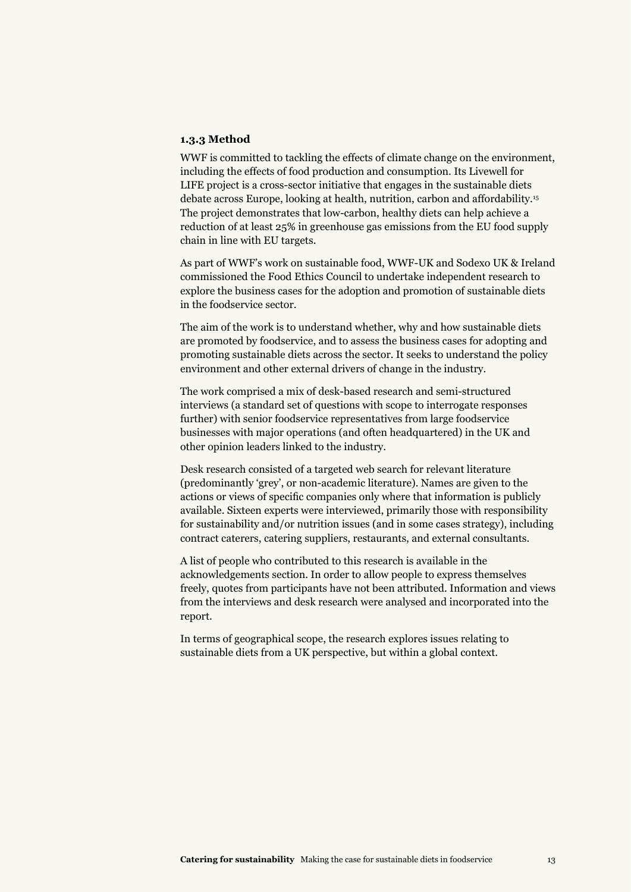#### **1.3.3 Method**

WWF is committed to tackling the effects of climate change on the environment, including the effects of food production and consumption. Its Livewell for LIFE project is a cross-sector initiative that engages in the sustainable diets debate across Europe, looking at health, nutrition, carbon and affordability.15 The project demonstrates that low-carbon, healthy diets can help achieve a reduction of at least 25% in greenhouse gas emissions from the EU food supply chain in line with EU targets.

As part of WWF's work on sustainable food, WWF-UK and Sodexo UK & Ireland commissioned the Food Ethics Council to undertake independent research to explore the business cases for the adoption and promotion of sustainable diets in the foodservice sector.

The aim of the work is to understand whether, why and how sustainable diets are promoted by foodservice, and to assess the business cases for adopting and promoting sustainable diets across the sector. It seeks to understand the policy environment and other external drivers of change in the industry.

The work comprised a mix of desk-based research and semi-structured interviews (a standard set of questions with scope to interrogate responses further) with senior foodservice representatives from large foodservice businesses with major operations (and often headquartered) in the UK and other opinion leaders linked to the industry.

Desk research consisted of a targeted web search for relevant literature (predominantly 'grey', or non-academic literature). Names are given to the actions or views of specific companies only where that information is publicly available. Sixteen experts were interviewed, primarily those with responsibility for sustainability and/or nutrition issues (and in some cases strategy), including contract caterers, catering suppliers, restaurants, and external consultants.

A list of people who contributed to this research is available in the acknowledgements section. In order to allow people to express themselves freely, quotes from participants have not been attributed. Information and views from the interviews and desk research were analysed and incorporated into the report.

In terms of geographical scope, the research explores issues relating to sustainable diets from a UK perspective, but within a global context.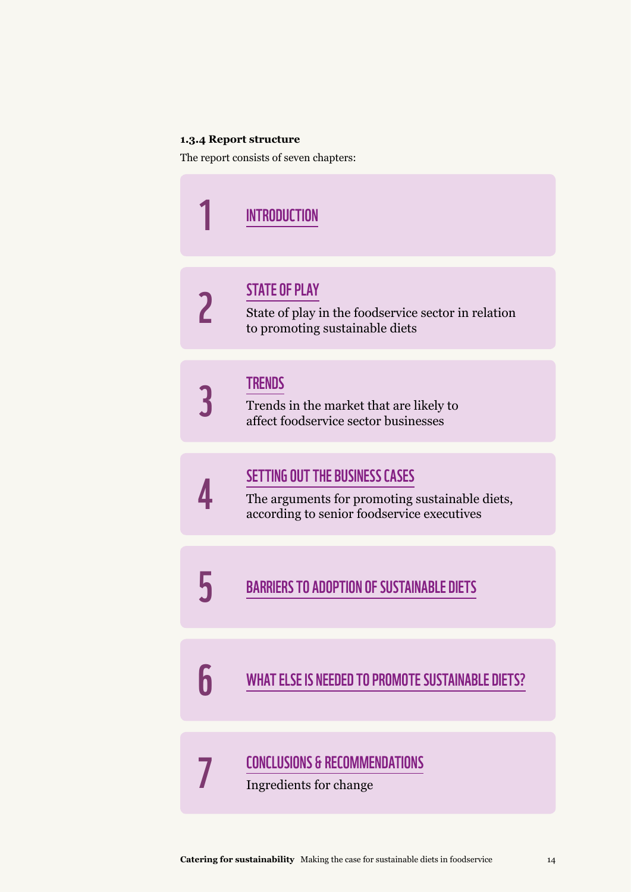#### **1.3.4 Report structure**

The report consists of seven chapters:

|   | <b>INTRODUCTION</b>                                                                                                                   |
|---|---------------------------------------------------------------------------------------------------------------------------------------|
| 2 | <b>STATE OF PLAY</b><br>State of play in the foodservice sector in relation<br>to promoting sustainable diets                         |
|   | <b>TRENDS</b><br>Trends in the market that are likely to<br>affect foodservice sector businesses                                      |
|   | <b>SETTING OUT THE BUSINESS CASES</b><br>The arguments for promoting sustainable diets,<br>according to senior foodservice executives |
|   | <b>BARRIERS TO ADOPTION OF SUSTAINABLE DIETS</b>                                                                                      |
| 6 | <b>WHAT ELSE IS NEEDED TO PROMOTE SUSTAINABLE DIETS?</b>                                                                              |
|   | <b>CONCLUSIONS &amp; RECOMMENDATIONS</b><br>Ingredients for change                                                                    |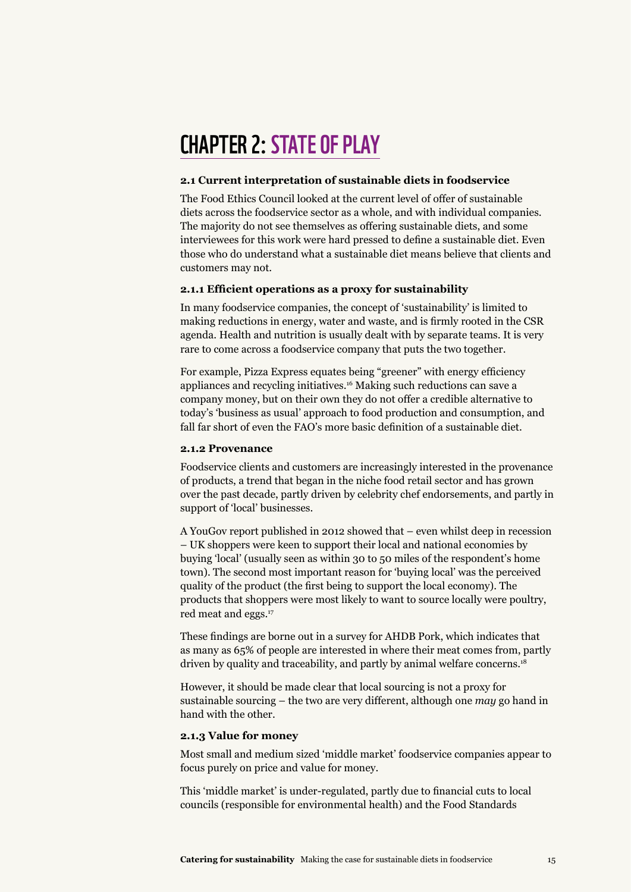## **CHAPTER 2: STATE OF PLAY**

#### **2.1 Current interpretation of sustainable diets in foodservice**

The Food Ethics Council looked at the current level of offer of sustainable diets across the foodservice sector as a whole, and with individual companies. The majority do not see themselves as offering sustainable diets, and some interviewees for this work were hard pressed to define a sustainable diet. Even those who do understand what a sustainable diet means believe that clients and customers may not.

#### **2.1.1 Efficient operations as a proxy for sustainability**

In many foodservice companies, the concept of 'sustainability' is limited to making reductions in energy, water and waste, and is firmly rooted in the CSR agenda. Health and nutrition is usually dealt with by separate teams. It is very rare to come across a foodservice company that puts the two together.

For example, Pizza Express equates being "greener" with energy efficiency appliances and recycling initiatives.16 Making such reductions can save a company money, but on their own they do not offer a credible alternative to today's 'business as usual' approach to food production and consumption, and fall far short of even the FAO's more basic definition of a sustainable diet.

#### **2.1.2 Provenance**

Foodservice clients and customers are increasingly interested in the provenance of products, a trend that began in the niche food retail sector and has grown over the past decade, partly driven by celebrity chef endorsements, and partly in support of 'local' businesses.

A YouGov report published in 2012 showed that – even whilst deep in recession – UK shoppers were keen to support their local and national economies by buying 'local' (usually seen as within 30 to 50 miles of the respondent's home town). The second most important reason for 'buying local' was the perceived quality of the product (the first being to support the local economy). The products that shoppers were most likely to want to source locally were poultry, red meat and eggs.<sup>17</sup>

These findings are borne out in a survey for AHDB Pork, which indicates that as many as 65% of people are interested in where their meat comes from, partly driven by quality and traceability, and partly by animal welfare concerns.<sup>18</sup>

However, it should be made clear that local sourcing is not a proxy for sustainable sourcing – the two are very different, although one *may* go hand in hand with the other.

#### **2.1.3 Value for money**

Most small and medium sized 'middle market' foodservice companies appear to focus purely on price and value for money.

This 'middle market' is under-regulated, partly due to financial cuts to local councils (responsible for environmental health) and the Food Standards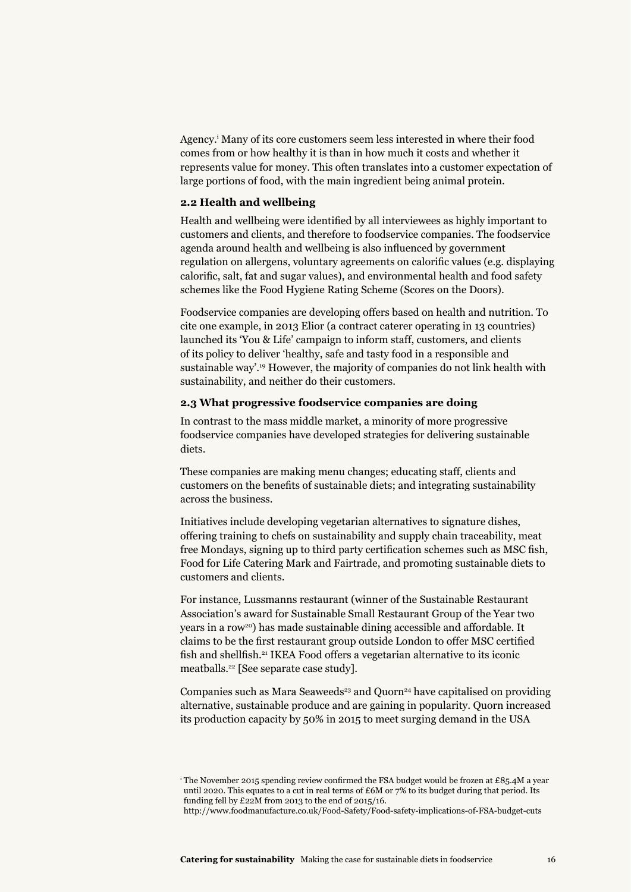Agency.i Many of its core customers seem less interested in where their food comes from or how healthy it is than in how much it costs and whether it represents value for money. This often translates into a customer expectation of large portions of food, with the main ingredient being animal protein.

#### **2.2 Health and wellbeing**

Health and wellbeing were identified by all interviewees as highly important to customers and clients, and therefore to foodservice companies. The foodservice agenda around health and wellbeing is also influenced by government regulation on allergens, voluntary agreements on calorific values (e.g. displaying calorific, salt, fat and sugar values), and environmental health and food safety schemes like the Food Hygiene Rating Scheme (Scores on the Doors).

Foodservice companies are developing offers based on health and nutrition. To cite one example, in 2013 Elior (a contract caterer operating in 13 countries) launched its 'You & Life' campaign to inform staff, customers, and clients of its policy to deliver 'healthy, safe and tasty food in a responsible and sustainable way'.19 However, the majority of companies do not link health with sustainability, and neither do their customers.

#### **2.3 What progressive foodservice companies are doing**

In contrast to the mass middle market, a minority of more progressive foodservice companies have developed strategies for delivering sustainable diets.

These companies are making menu changes; educating staff, clients and customers on the benefits of sustainable diets; and integrating sustainability across the business.

Initiatives include developing vegetarian alternatives to signature dishes, offering training to chefs on sustainability and supply chain traceability, meat free Mondays, signing up to third party certification schemes such as MSC fish, Food for Life Catering Mark and Fairtrade, and promoting sustainable diets to customers and clients.

For instance, Lussmanns restaurant (winner of the Sustainable Restaurant Association's award for Sustainable Small Restaurant Group of the Year two years in a row20) has made sustainable dining accessible and affordable. It claims to be the first restaurant group outside London to offer MSC certified fish and shellfish.<sup>21</sup> IKEA Food offers a vegetarian alternative to its iconic meatballs.22 [See separate case study].

Companies such as Mara Seaweeds<sup>23</sup> and Quorn<sup>24</sup> have capitalised on providing alternative, sustainable produce and are gaining in popularity. Quorn increased its production capacity by 50% in 2015 to meet surging demand in the USA

<sup>&</sup>lt;sup>i</sup> The November 2015 spending review confirmed the FSA budget would be frozen at £85.4M a year until 2020. This equates to a cut in real terms of  $£6M$  or 7% to its budget during that period. Its funding fell by £22M from 2013 to the end of 2015/16.

http://www.foodmanufacture.co.uk/Food-Safety/Food-safety-implications-of-FSA-budget-cuts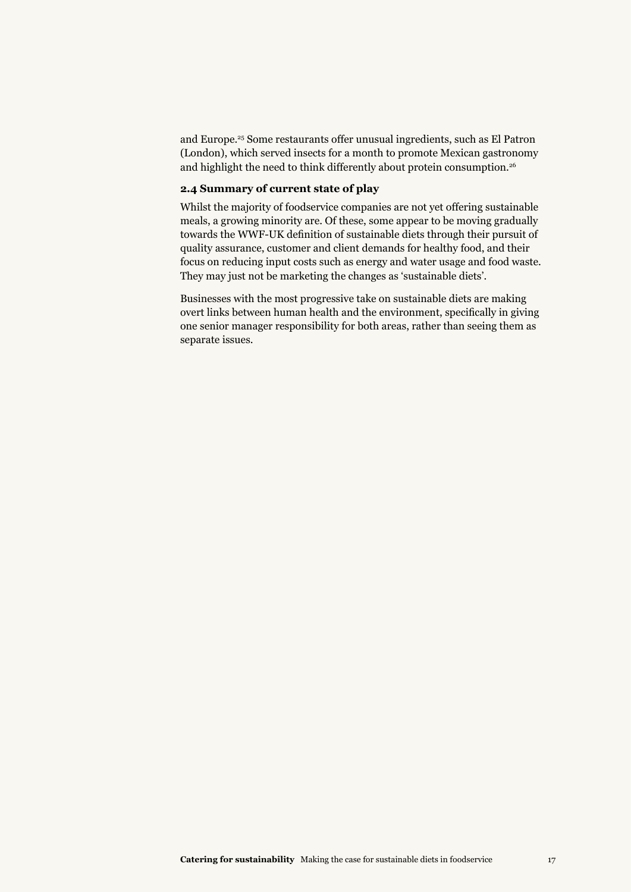and Europe.25 Some restaurants offer unusual ingredients, such as El Patron (London), which served insects for a month to promote Mexican gastronomy and highlight the need to think differently about protein consumption.<sup>26</sup>

#### **2.4 Summary of current state of play**

Whilst the majority of foodservice companies are not yet offering sustainable meals, a growing minority are. Of these, some appear to be moving gradually towards the WWF-UK definition of sustainable diets through their pursuit of quality assurance, customer and client demands for healthy food, and their focus on reducing input costs such as energy and water usage and food waste. They may just not be marketing the changes as 'sustainable diets'.

Businesses with the most progressive take on sustainable diets are making overt links between human health and the environment, specifically in giving one senior manager responsibility for both areas, rather than seeing them as separate issues.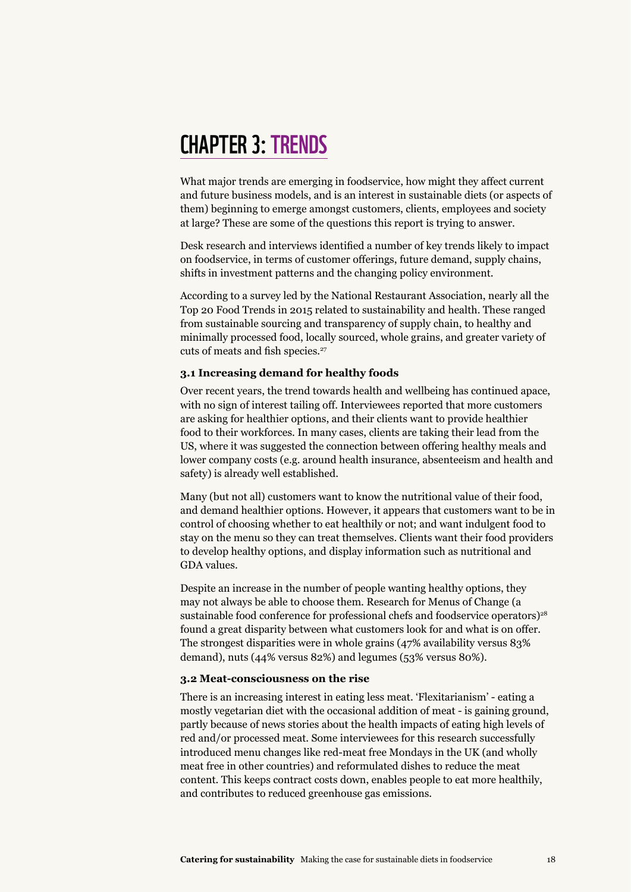## **CHAPTER 3: TRENDS**

What major trends are emerging in foodservice, how might they affect current and future business models, and is an interest in sustainable diets (or aspects of them) beginning to emerge amongst customers, clients, employees and society at large? These are some of the questions this report is trying to answer.

Desk research and interviews identified a number of key trends likely to impact on foodservice, in terms of customer offerings, future demand, supply chains, shifts in investment patterns and the changing policy environment.

According to a survey led by the National Restaurant Association, nearly all the Top 20 Food Trends in 2015 related to sustainability and health. These ranged from sustainable sourcing and transparency of supply chain, to healthy and minimally processed food, locally sourced, whole grains, and greater variety of cuts of meats and fish species.<sup>27</sup>

#### **3.1 Increasing demand for healthy foods**

Over recent years, the trend towards health and wellbeing has continued apace, with no sign of interest tailing off. Interviewees reported that more customers are asking for healthier options, and their clients want to provide healthier food to their workforces. In many cases, clients are taking their lead from the US, where it was suggested the connection between offering healthy meals and lower company costs (e.g. around health insurance, absenteeism and health and safety) is already well established.

Many (but not all) customers want to know the nutritional value of their food, and demand healthier options. However, it appears that customers want to be in control of choosing whether to eat healthily or not; and want indulgent food to stay on the menu so they can treat themselves. Clients want their food providers to develop healthy options, and display information such as nutritional and GDA values.

Despite an increase in the number of people wanting healthy options, they may not always be able to choose them. Research for Menus of Change (a sustainable food conference for professional chefs and foodservice operators)<sup>28</sup> found a great disparity between what customers look for and what is on offer. The strongest disparities were in whole grains (47% availability versus 83% demand), nuts (44% versus 82%) and legumes (53% versus 80%).

#### **3.2 Meat-consciousness on the rise**

There is an increasing interest in eating less meat. 'Flexitarianism' - eating a mostly vegetarian diet with the occasional addition of meat - is gaining ground, partly because of news stories about the health impacts of eating high levels of red and/or processed meat. Some interviewees for this research successfully introduced menu changes like red-meat free Mondays in the UK (and wholly meat free in other countries) and reformulated dishes to reduce the meat content. This keeps contract costs down, enables people to eat more healthily, and contributes to reduced greenhouse gas emissions.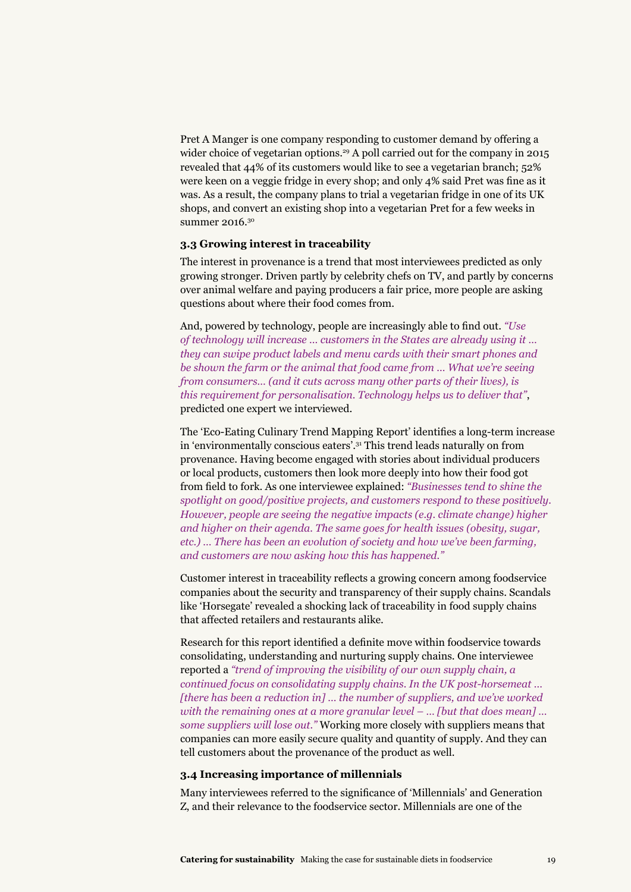Pret A Manger is one company responding to customer demand by offering a wider choice of vegetarian options.<sup>29</sup> A poll carried out for the company in 2015 revealed that 44% of its customers would like to see a vegetarian branch; 52% were keen on a veggie fridge in every shop; and only 4% said Pret was fine as it was. As a result, the company plans to trial a vegetarian fridge in one of its UK shops, and convert an existing shop into a vegetarian Pret for a few weeks in summer 2016.<sup>30</sup>

#### **3.3 Growing interest in traceability**

The interest in provenance is a trend that most interviewees predicted as only growing stronger. Driven partly by celebrity chefs on TV, and partly by concerns over animal welfare and paying producers a fair price, more people are asking questions about where their food comes from.

And, powered by technology, people are increasingly able to find out. *"Use of technology will increase … customers in the States are already using it … they can swipe product labels and menu cards with their smart phones and be shown the farm or the animal that food came from … What we're seeing from consumers… (and it cuts across many other parts of their lives), is this requirement for personalisation. Technology helps us to deliver that"*, predicted one expert we interviewed.

The 'Eco-Eating Culinary Trend Mapping Report' identifies a long-term increase in 'environmentally conscious eaters'.31 This trend leads naturally on from provenance. Having become engaged with stories about individual producers or local products, customers then look more deeply into how their food got from field to fork. As one interviewee explained: *"Businesses tend to shine the spotlight on good/positive projects, and customers respond to these positively. However, people are seeing the negative impacts (e.g. climate change) higher and higher on their agenda. The same goes for health issues (obesity, sugar, etc.) … There has been an evolution of society and how we've been farming, and customers are now asking how this has happened."*

Customer interest in traceability reflects a growing concern among foodservice companies about the security and transparency of their supply chains. Scandals like 'Horsegate' revealed a shocking lack of traceability in food supply chains that affected retailers and restaurants alike.

Research for this report identified a definite move within foodservice towards consolidating, understanding and nurturing supply chains. One interviewee reported a *"trend of improving the visibility of our own supply chain, a continued focus on consolidating supply chains. In the UK post-horsemeat … [there has been a reduction in] … the number of suppliers, and we've worked with the remaining ones at a more granular level – … [but that does mean] … some suppliers will lose out."* Working more closely with suppliers means that companies can more easily secure quality and quantity of supply. And they can tell customers about the provenance of the product as well.

#### **3.4 Increasing importance of millennials**

Many interviewees referred to the significance of 'Millennials' and Generation Z, and their relevance to the foodservice sector. Millennials are one of the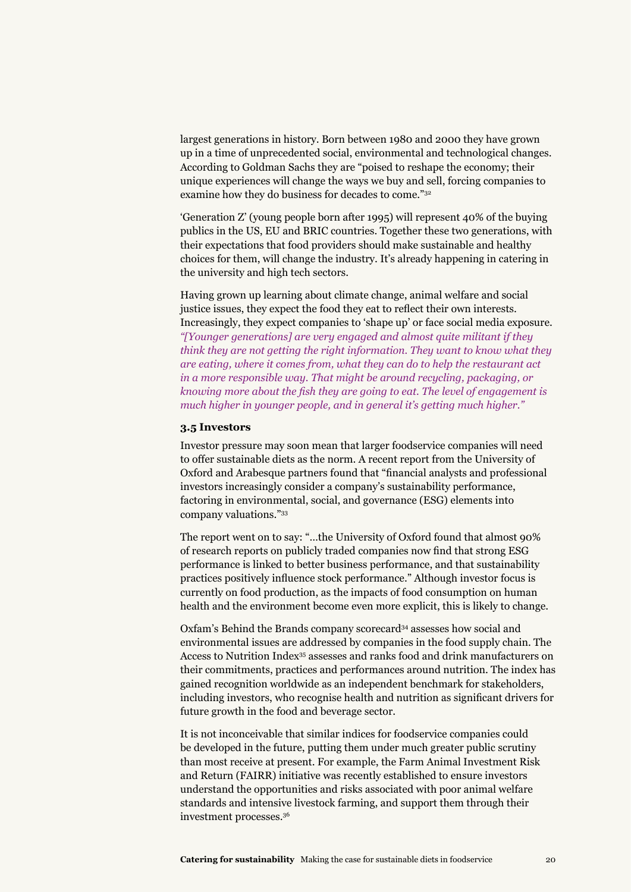largest generations in history. Born between 1980 and 2000 they have grown up in a time of unprecedented social, environmental and technological changes. According to Goldman Sachs they are "poised to reshape the economy; their unique experiences will change the ways we buy and sell, forcing companies to examine how they do business for decades to come."32

'Generation Z' (young people born after 1995) will represent 40% of the buying publics in the US, EU and BRIC countries. Together these two generations, with their expectations that food providers should make sustainable and healthy choices for them, will change the industry. It's already happening in catering in the university and high tech sectors.

Having grown up learning about climate change, animal welfare and social justice issues, they expect the food they eat to reflect their own interests. Increasingly, they expect companies to 'shape up' or face social media exposure. *"[Younger generations] are very engaged and almost quite militant if they think they are not getting the right information. They want to know what they are eating, where it comes from, what they can do to help the restaurant act in a more responsible way. That might be around recycling, packaging, or knowing more about the fish they are going to eat. The level of engagement is much higher in younger people, and in general it's getting much higher."* 

#### **3.5 Investors**

Investor pressure may soon mean that larger foodservice companies will need to offer sustainable diets as the norm. A recent report from the University of Oxford and Arabesque partners found that "financial analysts and professional investors increasingly consider a company's sustainability performance, factoring in environmental, social, and governance (ESG) elements into company valuations."33

The report went on to say: "…the University of Oxford found that almost 90% of research reports on publicly traded companies now find that strong ESG performance is linked to better business performance, and that sustainability practices positively influence stock performance." Although investor focus is currently on food production, as the impacts of food consumption on human health and the environment become even more explicit, this is likely to change.

Oxfam's Behind the Brands company scorecard34 assesses how social and environmental issues are addressed by companies in the food supply chain. The Access to Nutrition Index35 assesses and ranks food and drink manufacturers on their commitments, practices and performances around nutrition. The index has gained recognition worldwide as an independent benchmark for stakeholders, including investors, who recognise health and nutrition as significant drivers for future growth in the food and beverage sector.

It is not inconceivable that similar indices for foodservice companies could be developed in the future, putting them under much greater public scrutiny than most receive at present. For example, the Farm Animal Investment Risk and Return (FAIRR) initiative was recently established to ensure investors understand the opportunities and risks associated with poor animal welfare standards and intensive livestock farming, and support them through their investment processes.36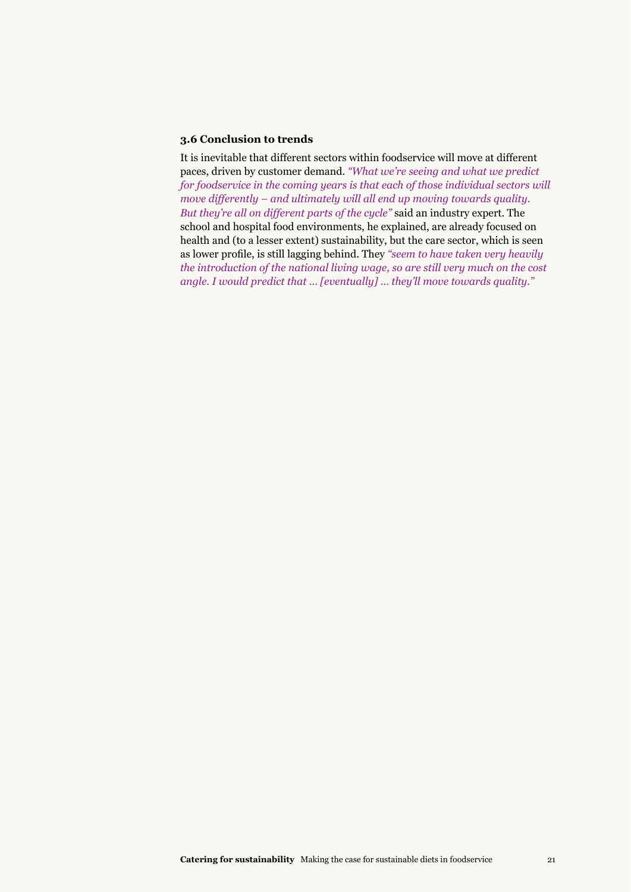#### **3.6 Conclusion to trends**

It is inevitable that different sectors within foodservice will move at different paces, driven by customer demand. *"What we're seeing and what we predict for foodservice in the coming years is that each of those individual sectors will move differently – and ultimately will all end up moving towards quality. But they're all on different parts of the cycle"* said an industry expert. The school and hospital food environments, he explained, are already focused on health and (to a lesser extent) sustainability, but the care sector, which is seen as lower profile, is still lagging behind. They *"seem to have taken very heavily the introduction of the national living wage, so are still very much on the cost angle. I would predict that … [eventually] … they'll move towards quality."*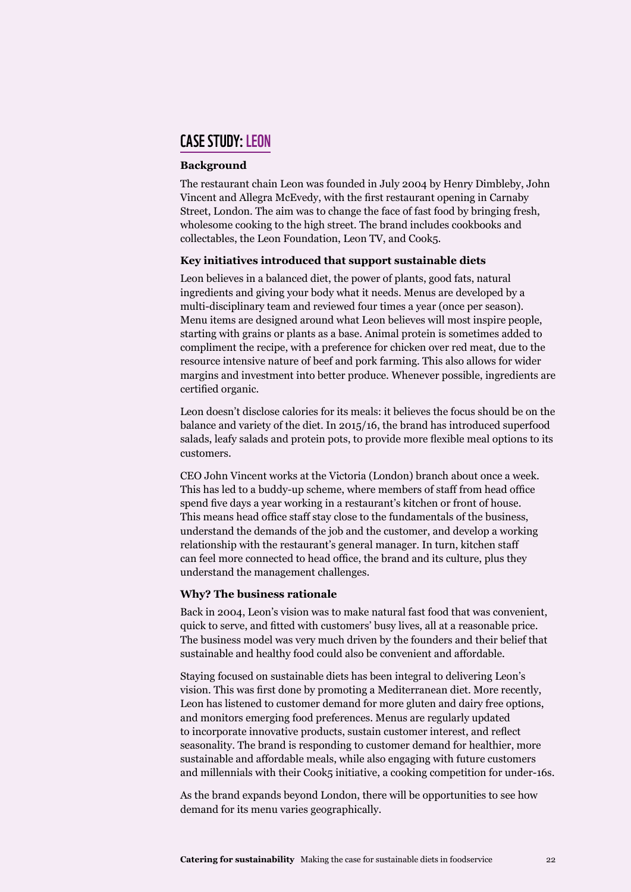#### case study:LEON

#### **Background**

The restaurant chain Leon was founded in July 2004 by Henry Dimbleby, John Vincent and Allegra McEvedy, with the first restaurant opening in Carnaby Street, London. The aim was to change the face of fast food by bringing fresh, wholesome cooking to the high street. The brand includes cookbooks and collectables, the Leon Foundation, Leon TV, and Cook5.

#### **Key initiatives introduced that support sustainable diets**

Leon believes in a balanced diet, the power of plants, good fats, natural ingredients and giving your body what it needs. Menus are developed by a multi-disciplinary team and reviewed four times a year (once per season). Menu items are designed around what Leon believes will most inspire people, starting with grains or plants as a base. Animal protein is sometimes added to compliment the recipe, with a preference for chicken over red meat, due to the resource intensive nature of beef and pork farming. This also allows for wider margins and investment into better produce. Whenever possible, ingredients are certified organic.

Leon doesn't disclose calories for its meals: it believes the focus should be on the balance and variety of the diet. In 2015/16, the brand has introduced superfood salads, leafy salads and protein pots, to provide more flexible meal options to its customers.

CEO John Vincent works at the Victoria (London) branch about once a week. This has led to a buddy-up scheme, where members of staff from head office spend five days a year working in a restaurant's kitchen or front of house. This means head office staff stay close to the fundamentals of the business, understand the demands of the job and the customer, and develop a working relationship with the restaurant's general manager. In turn, kitchen staff can feel more connected to head office, the brand and its culture, plus they understand the management challenges.

#### **Why? The business rationale**

Back in 2004, Leon's vision was to make natural fast food that was convenient, quick to serve, and fitted with customers' busy lives, all at a reasonable price. The business model was very much driven by the founders and their belief that sustainable and healthy food could also be convenient and affordable.

Staying focused on sustainable diets has been integral to delivering Leon's vision. This was first done by promoting a Mediterranean diet. More recently, Leon has listened to customer demand for more gluten and dairy free options, and monitors emerging food preferences. Menus are regularly updated to incorporate innovative products, sustain customer interest, and reflect seasonality. The brand is responding to customer demand for healthier, more sustainable and affordable meals, while also engaging with future customers and millennials with their Cook5 initiative, a cooking competition for under-16s.

As the brand expands beyond London, there will be opportunities to see how demand for its menu varies geographically.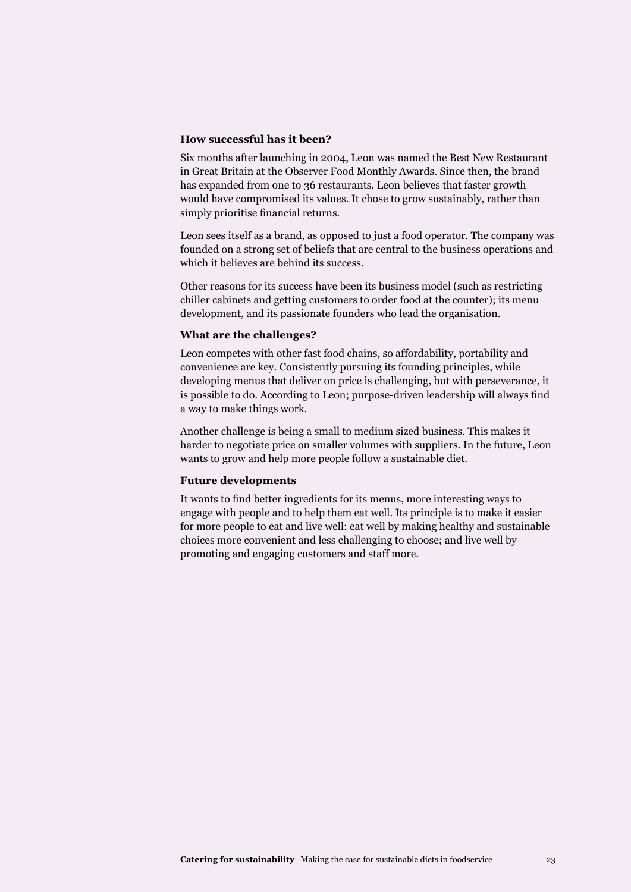#### **How successful has it been?**

Six months after launching in 2004, Leon was named the Best New Restaurant in Great Britain at the Observer Food Monthly Awards. Since then, the brand has expanded from one to 36 restaurants. Leon believes that faster growth would have compromised its values. It chose to grow sustainably, rather than simply prioritise financial returns.

Leon sees itself as a brand, as opposed to just a food operator. The company was founded on a strong set of beliefs that are central to the business operations and which it believes are behind its success.

Other reasons for its success have been its business model (such as restricting chiller cabinets and getting customers to order food at the counter); its menu development, and its passionate founders who lead the organisation.

#### **What are the challenges?**

Leon competes with other fast food chains, so affordability, portability and convenience are key. Consistently pursuing its founding principles, while developing menus that deliver on price is challenging, but with perseverance, it is possible to do. According to Leon; purpose-driven leadership will always find a way to make things work.

Another challenge is being a small to medium sized business. This makes it harder to negotiate price on smaller volumes with suppliers. In the future, Leon wants to grow and help more people follow a sustainable diet.

#### **Future developments**

It wants to find better ingredients for its menus, more interesting ways to engage with people and to help them eat well. Its principle is to make it easier for more people to eat and live well: eat well by making healthy and sustainable choices more convenient and less challenging to choose; and live well by promoting and engaging customers and staff more.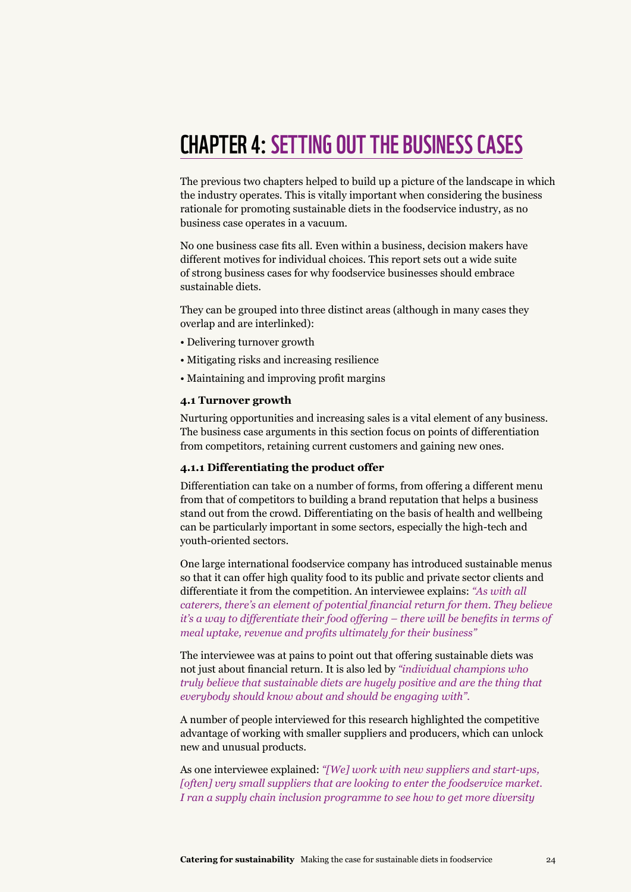## chapter 4:Setting out the business cases

The previous two chapters helped to build up a picture of the landscape in which the industry operates. This is vitally important when considering the business rationale for promoting sustainable diets in the foodservice industry, as no business case operates in a vacuum.

No one business case fits all. Even within a business, decision makers have different motives for individual choices. This report sets out a wide suite of strong business cases for why foodservice businesses should embrace sustainable diets.

They can be grouped into three distinct areas (although in many cases they overlap and are interlinked):

- Delivering turnover growth
- Mitigating risks and increasing resilience
- Maintaining and improving profit margins

#### **4.1 Turnover growth**

Nurturing opportunities and increasing sales is a vital element of any business. The business case arguments in this section focus on points of differentiation from competitors, retaining current customers and gaining new ones.

#### **4.1.1 Differentiating the product offer**

Differentiation can take on a number of forms, from offering a different menu from that of competitors to building a brand reputation that helps a business stand out from the crowd. Differentiating on the basis of health and wellbeing can be particularly important in some sectors, especially the high-tech and youth-oriented sectors.

One large international foodservice company has introduced sustainable menus so that it can offer high quality food to its public and private sector clients and differentiate it from the competition. An interviewee explains: *"As with all caterers, there's an element of potential financial return for them. They believe it's a way to differentiate their food offering – there will be benefits in terms of meal uptake, revenue and profits ultimately for their business"* 

The interviewee was at pains to point out that offering sustainable diets was not just about financial return. It is also led by *"individual champions who truly believe that sustainable diets are hugely positive and are the thing that everybody should know about and should be engaging with".* 

A number of people interviewed for this research highlighted the competitive advantage of working with smaller suppliers and producers, which can unlock new and unusual products.

As one interviewee explained: *"[We] work with new suppliers and start-ups, [often] very small suppliers that are looking to enter the foodservice market. I ran a supply chain inclusion programme to see how to get more diversity*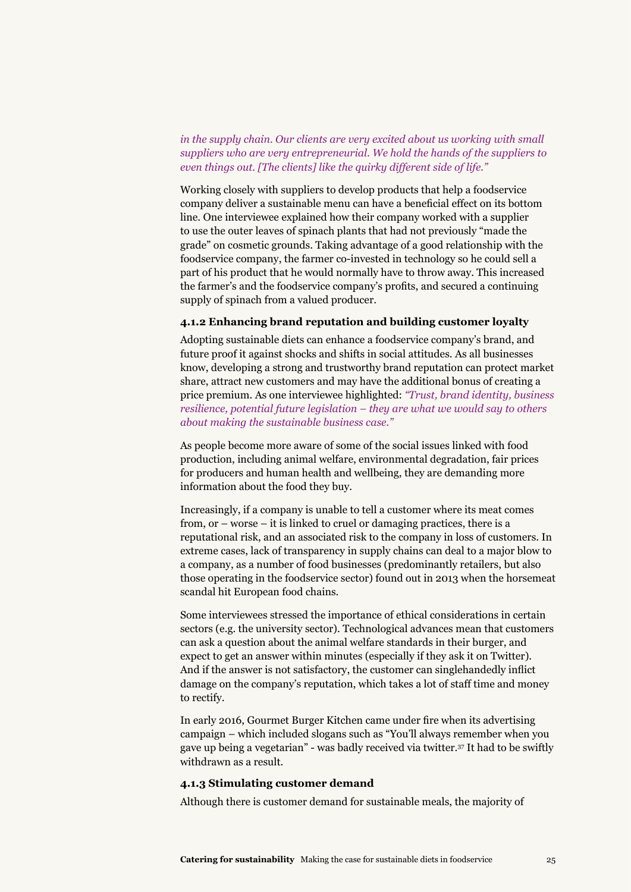*in the supply chain. Our clients are very excited about us working with small suppliers who are very entrepreneurial. We hold the hands of the suppliers to even things out. [The clients] like the quirky different side of life."* 

Working closely with suppliers to develop products that help a foodservice company deliver a sustainable menu can have a beneficial effect on its bottom line. One interviewee explained how their company worked with a supplier to use the outer leaves of spinach plants that had not previously "made the grade" on cosmetic grounds. Taking advantage of a good relationship with the foodservice company, the farmer co-invested in technology so he could sell a part of his product that he would normally have to throw away. This increased the farmer's and the foodservice company's profits, and secured a continuing supply of spinach from a valued producer.

#### **4.1.2 Enhancing brand reputation and building customer loyalty**

Adopting sustainable diets can enhance a foodservice company's brand, and future proof it against shocks and shifts in social attitudes. As all businesses know, developing a strong and trustworthy brand reputation can protect market share, attract new customers and may have the additional bonus of creating a price premium. As one interviewee highlighted: *"Trust, brand identity, business resilience, potential future legislation – they are what we would say to others about making the sustainable business case."*

As people become more aware of some of the social issues linked with food production, including animal welfare, environmental degradation, fair prices for producers and human health and wellbeing, they are demanding more information about the food they buy.

Increasingly, if a company is unable to tell a customer where its meat comes from, or – worse – it is linked to cruel or damaging practices, there is a reputational risk, and an associated risk to the company in loss of customers. In extreme cases, lack of transparency in supply chains can deal to a major blow to a company, as a number of food businesses (predominantly retailers, but also those operating in the foodservice sector) found out in 2013 when the horsemeat scandal hit European food chains.

Some interviewees stressed the importance of ethical considerations in certain sectors (e.g. the university sector). Technological advances mean that customers can ask a question about the animal welfare standards in their burger, and expect to get an answer within minutes (especially if they ask it on Twitter). And if the answer is not satisfactory, the customer can singlehandedly inflict damage on the company's reputation, which takes a lot of staff time and money to rectify.

In early 2016, Gourmet Burger Kitchen came under fire when its advertising campaign – which included slogans such as "You'll always remember when you gave up being a vegetarian" - was badly received via twitter.37 It had to be swiftly withdrawn as a result.

#### **4.1.3 Stimulating customer demand**

Although there is customer demand for sustainable meals, the majority of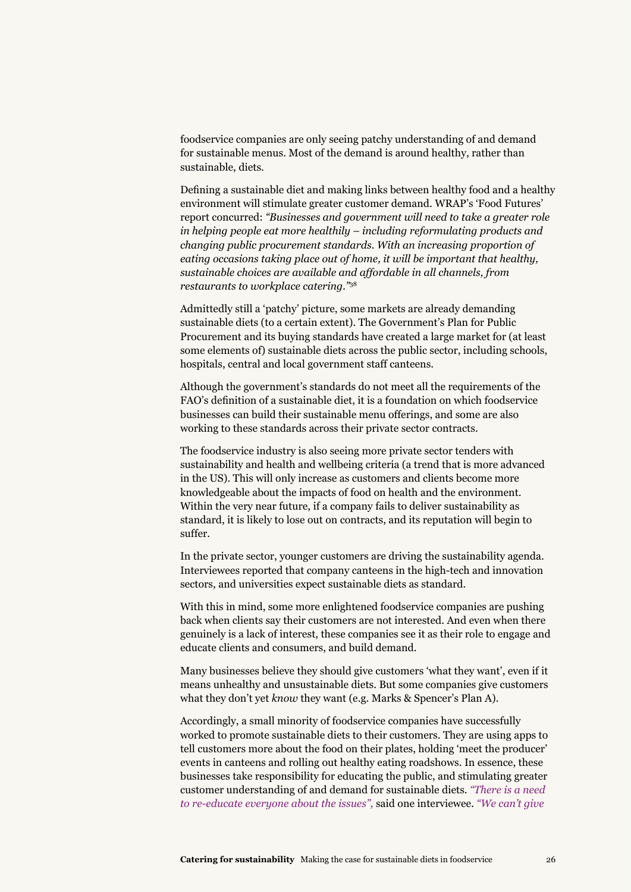foodservice companies are only seeing patchy understanding of and demand for sustainable menus. Most of the demand is around healthy, rather than sustainable, diets.

Defining a sustainable diet and making links between healthy food and a healthy environment will stimulate greater customer demand. WRAP's 'Food Futures' report concurred: *"Businesses and government will need to take a greater role in helping people eat more healthily – including reformulating products and changing public procurement standards. With an increasing proportion of eating occasions taking place out of home, it will be important that healthy, sustainable choices are available and affordable in all channels, from restaurants to workplace catering."*<sup>38</sup>

Admittedly still a 'patchy' picture, some markets are already demanding sustainable diets (to a certain extent). The Government's Plan for Public Procurement and its buying standards have created a large market for (at least some elements of) sustainable diets across the public sector, including schools, hospitals, central and local government staff canteens.

Although the government's standards do not meet all the requirements of the FAO's definition of a sustainable diet, it is a foundation on which foodservice businesses can build their sustainable menu offerings, and some are also working to these standards across their private sector contracts.

The foodservice industry is also seeing more private sector tenders with sustainability and health and wellbeing criteria (a trend that is more advanced in the US). This will only increase as customers and clients become more knowledgeable about the impacts of food on health and the environment. Within the very near future, if a company fails to deliver sustainability as standard, it is likely to lose out on contracts, and its reputation will begin to suffer.

In the private sector, younger customers are driving the sustainability agenda. Interviewees reported that company canteens in the high-tech and innovation sectors, and universities expect sustainable diets as standard.

With this in mind, some more enlightened foodservice companies are pushing back when clients say their customers are not interested. And even when there genuinely is a lack of interest, these companies see it as their role to engage and educate clients and consumers, and build demand.

Many businesses believe they should give customers 'what they want', even if it means unhealthy and unsustainable diets. But some companies give customers what they don't yet *know* they want (e.g. Marks & Spencer's Plan A).

Accordingly, a small minority of foodservice companies have successfully worked to promote sustainable diets to their customers. They are using apps to tell customers more about the food on their plates, holding 'meet the producer' events in canteens and rolling out healthy eating roadshows. In essence, these businesses take responsibility for educating the public, and stimulating greater customer understanding of and demand for sustainable diets. *"There is a need to re-educate everyone about the issues",* said one interviewee. *"We can't give*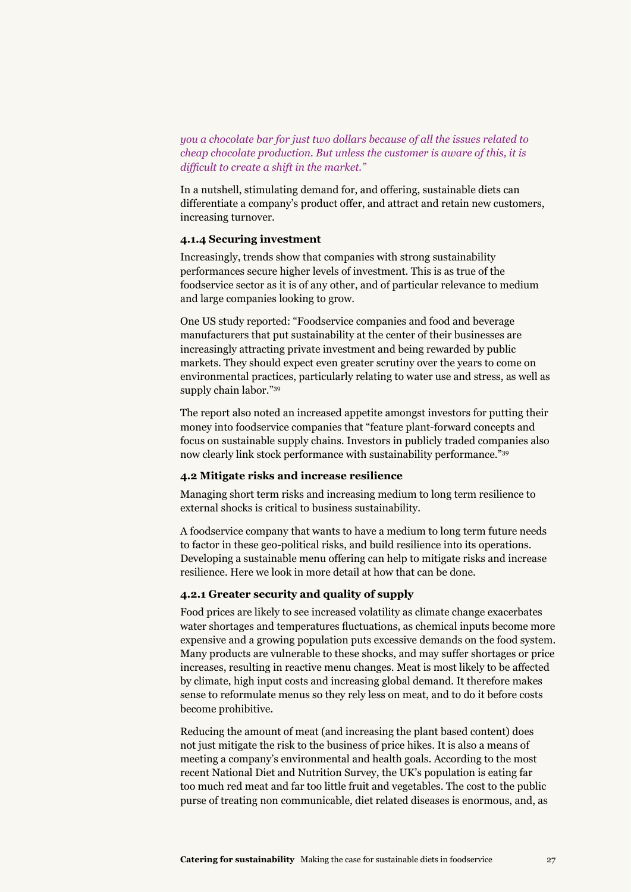*you a chocolate bar for just two dollars because of all the issues related to cheap chocolate production. But unless the customer is aware of this, it is difficult to create a shift in the market."*

In a nutshell, stimulating demand for, and offering, sustainable diets can differentiate a company's product offer, and attract and retain new customers, increasing turnover.

#### **4.1.4 Securing investment**

Increasingly, trends show that companies with strong sustainability performances secure higher levels of investment. This is as true of the foodservice sector as it is of any other, and of particular relevance to medium and large companies looking to grow.

One US study reported: "Foodservice companies and food and beverage manufacturers that put sustainability at the center of their businesses are increasingly attracting private investment and being rewarded by public markets. They should expect even greater scrutiny over the years to come on environmental practices, particularly relating to water use and stress, as well as supply chain labor."39

The report also noted an increased appetite amongst investors for putting their money into foodservice companies that "feature plant-forward concepts and focus on sustainable supply chains. Investors in publicly traded companies also now clearly link stock performance with sustainability performance."39

#### **4.2 Mitigate risks and increase resilience**

Managing short term risks and increasing medium to long term resilience to external shocks is critical to business sustainability.

A foodservice company that wants to have a medium to long term future needs to factor in these geo-political risks, and build resilience into its operations. Developing a sustainable menu offering can help to mitigate risks and increase resilience. Here we look in more detail at how that can be done.

#### **4.2.1 Greater security and quality of supply**

Food prices are likely to see increased volatility as climate change exacerbates water shortages and temperatures fluctuations, as chemical inputs become more expensive and a growing population puts excessive demands on the food system. Many products are vulnerable to these shocks, and may suffer shortages or price increases, resulting in reactive menu changes. Meat is most likely to be affected by climate, high input costs and increasing global demand. It therefore makes sense to reformulate menus so they rely less on meat, and to do it before costs become prohibitive.

Reducing the amount of meat (and increasing the plant based content) does not just mitigate the risk to the business of price hikes. It is also a means of meeting a company's environmental and health goals. According to the most recent National Diet and Nutrition Survey, the UK's population is eating far too much red meat and far too little fruit and vegetables. The cost to the public purse of treating non communicable, diet related diseases is enormous, and, as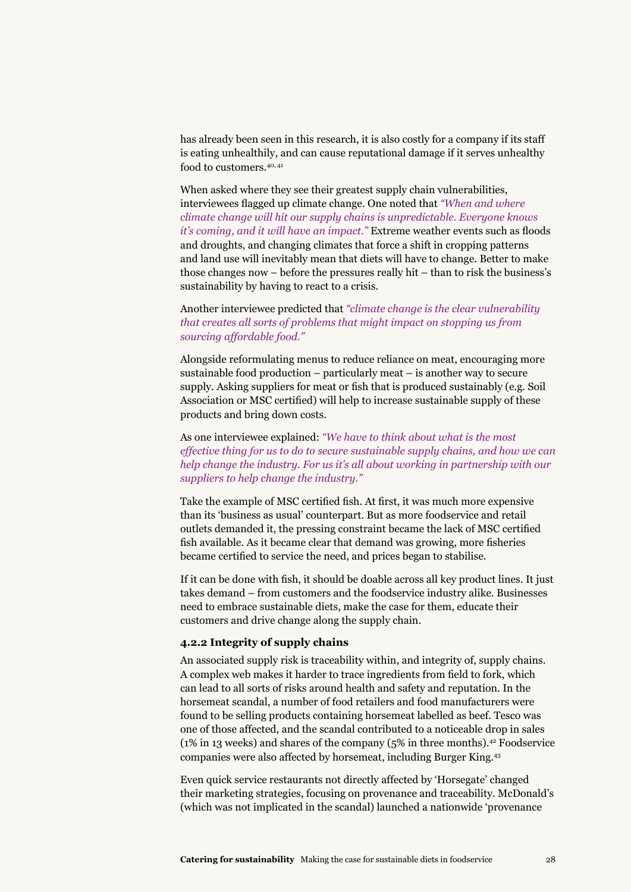has already been seen in this research, it is also costly for a company if its staff is eating unhealthily, and can cause reputational damage if it serves unhealthy food to customers.40, 41

When asked where they see their greatest supply chain vulnerabilities, interviewees flagged up climate change. One noted that *"When and where climate change will hit our supply chains is unpredictable. Everyone knows it's coming, and it will have an impact."* Extreme weather events such as floods and droughts, and changing climates that force a shift in cropping patterns and land use will inevitably mean that diets will have to change. Better to make those changes now – before the pressures really hit – than to risk the business's sustainability by having to react to a crisis.

#### Another interviewee predicted that *"climate change is the clear vulnerability that creates all sorts of problems that might impact on stopping us from sourcing affordable food."*

Alongside reformulating menus to reduce reliance on meat, encouraging more sustainable food production – particularly meat – is another way to secure supply. Asking suppliers for meat or fish that is produced sustainably (e.g. Soil Association or MSC certified) will help to increase sustainable supply of these products and bring down costs.

#### As one interviewee explained: *"We have to think about what is the most effective thing for us to do to secure sustainable supply chains, and how we can help change the industry. For us it's all about working in partnership with our suppliers to help change the industry."*

Take the example of MSC certified fish. At first, it was much more expensive than its 'business as usual' counterpart. But as more foodservice and retail outlets demanded it, the pressing constraint became the lack of MSC certified fish available. As it became clear that demand was growing, more fisheries became certified to service the need, and prices began to stabilise.

If it can be done with fish, it should be doable across all key product lines. It just takes demand – from customers and the foodservice industry alike. Businesses need to embrace sustainable diets, make the case for them, educate their customers and drive change along the supply chain.

#### **4.2.2 Integrity of supply chains**

An associated supply risk is traceability within, and integrity of, supply chains. A complex web makes it harder to trace ingredients from field to fork, which can lead to all sorts of risks around health and safety and reputation. In the horsemeat scandal, a number of food retailers and food manufacturers were found to be selling products containing horsemeat labelled as beef. Tesco was one of those affected, and the scandal contributed to a noticeable drop in sales (1% in 13 weeks) and shares of the company (5% in three months).42 Foodservice companies were also affected by horsemeat, including Burger King.43

Even quick service restaurants not directly affected by 'Horsegate' changed their marketing strategies, focusing on provenance and traceability. McDonald's (which was not implicated in the scandal) launched a nationwide 'provenance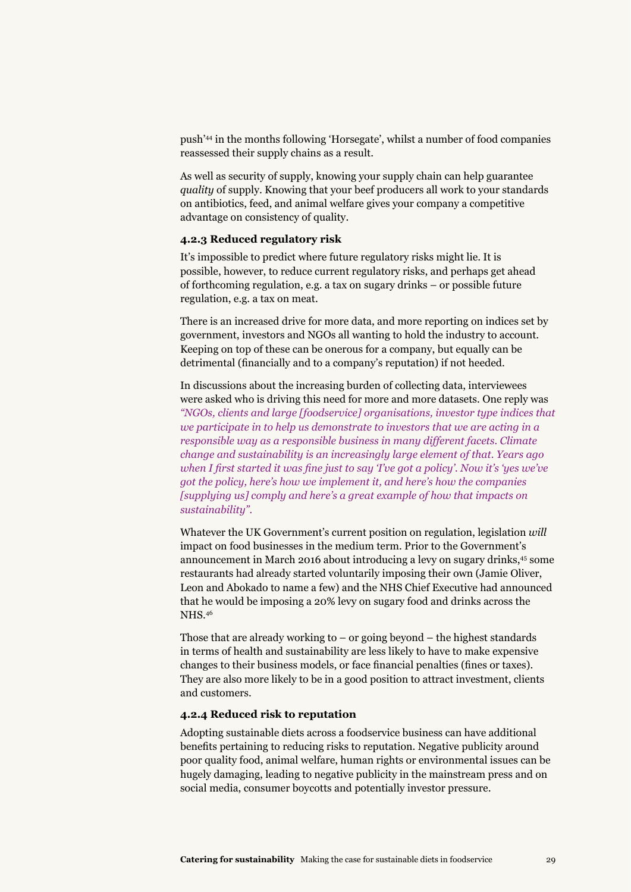push'44 in the months following 'Horsegate', whilst a number of food companies reassessed their supply chains as a result.

As well as security of supply, knowing your supply chain can help guarantee *quality* of supply. Knowing that your beef producers all work to your standards on antibiotics, feed, and animal welfare gives your company a competitive advantage on consistency of quality.

#### **4.2.3 Reduced regulatory risk**

It's impossible to predict where future regulatory risks might lie. It is possible, however, to reduce current regulatory risks, and perhaps get ahead of forthcoming regulation, e.g. a tax on sugary drinks – or possible future regulation, e.g. a tax on meat.

There is an increased drive for more data, and more reporting on indices set by government, investors and NGOs all wanting to hold the industry to account. Keeping on top of these can be onerous for a company, but equally can be detrimental (financially and to a company's reputation) if not heeded.

In discussions about the increasing burden of collecting data, interviewees were asked who is driving this need for more and more datasets. One reply was *"NGOs, clients and large [foodservice] organisations, investor type indices that we participate in to help us demonstrate to investors that we are acting in a responsible way as a responsible business in many different facets. Climate change and sustainability is an increasingly large element of that. Years ago when I first started it was fine just to say 'I've got a policy'. Now it's 'yes we've got the policy, here's how we implement it, and here's how the companies [supplying us] comply and here's a great example of how that impacts on sustainability".*

Whatever the UK Government's current position on regulation, legislation *will* impact on food businesses in the medium term. Prior to the Government's announcement in March 2016 about introducing a levy on sugary drinks,45 some restaurants had already started voluntarily imposing their own (Jamie Oliver, Leon and Abokado to name a few) and the NHS Chief Executive had announced that he would be imposing a 20% levy on sugary food and drinks across the NHS.46

Those that are already working to  $-$  or going beyond  $-$  the highest standards in terms of health and sustainability are less likely to have to make expensive changes to their business models, or face financial penalties (fines or taxes). They are also more likely to be in a good position to attract investment, clients and customers.

#### **4.2.4 Reduced risk to reputation**

Adopting sustainable diets across a foodservice business can have additional benefits pertaining to reducing risks to reputation. Negative publicity around poor quality food, animal welfare, human rights or environmental issues can be hugely damaging, leading to negative publicity in the mainstream press and on social media, consumer boycotts and potentially investor pressure.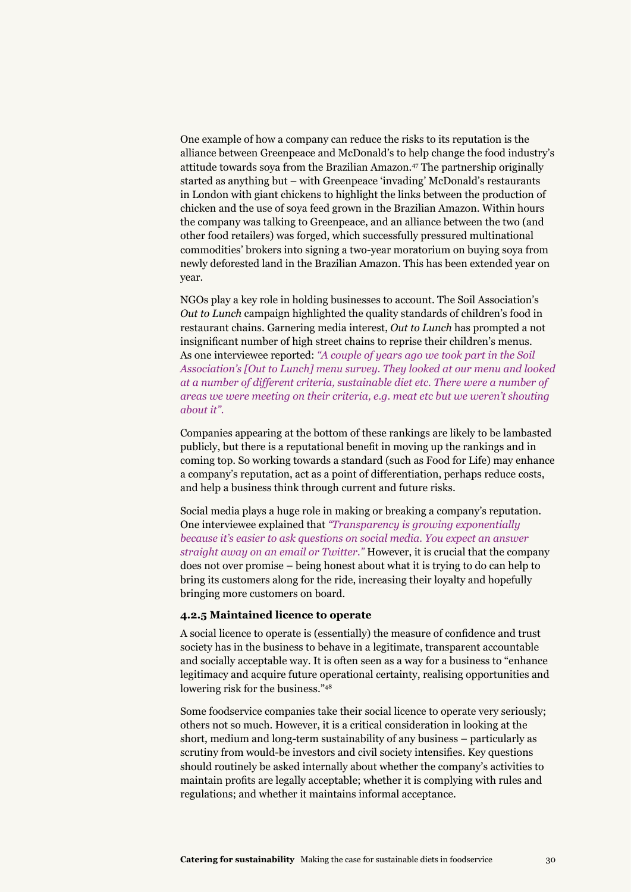One example of how a company can reduce the risks to its reputation is the alliance between Greenpeace and McDonald's to help change the food industry's attitude towards soya from the Brazilian Amazon.<sup>47</sup> The partnership originally started as anything but – with Greenpeace 'invading' McDonald's restaurants in London with giant chickens to highlight the links between the production of chicken and the use of soya feed grown in the Brazilian Amazon. Within hours the company was talking to Greenpeace, and an alliance between the two (and other food retailers) was forged, which successfully pressured multinational commodities' brokers into signing a two-year moratorium on buying soya from newly deforested land in the Brazilian Amazon. This has been extended year on year.

NGOs play a key role in holding businesses to account. The Soil Association's *Out to Lunch* campaign highlighted the quality standards of children's food in restaurant chains. Garnering media interest, *Out to Lunch* has prompted a not insignificant number of high street chains to reprise their children's menus. As one interviewee reported: *"A couple of years ago we took part in the Soil Association's [Out to Lunch] menu survey. They looked at our menu and looked at a number of different criteria, sustainable diet etc. There were a number of areas we were meeting on their criteria, e.g. meat etc but we weren't shouting about it".*

Companies appearing at the bottom of these rankings are likely to be lambasted publicly, but there is a reputational benefit in moving up the rankings and in coming top. So working towards a standard (such as Food for Life) may enhance a company's reputation, act as a point of differentiation, perhaps reduce costs, and help a business think through current and future risks.

Social media plays a huge role in making or breaking a company's reputation. One interviewee explained that *"Transparency is growing exponentially because it's easier to ask questions on social media. You expect an answer straight away on an email or Twitter."* However, it is crucial that the company does not over promise – being honest about what it is trying to do can help to bring its customers along for the ride, increasing their loyalty and hopefully bringing more customers on board.

#### **4.2.5 Maintained licence to operate**

A social licence to operate is (essentially) the measure of confidence and trust society has in the business to behave in a legitimate, transparent accountable and socially acceptable way. It is often seen as a way for a business to "enhance legitimacy and acquire future operational certainty, realising opportunities and lowering risk for the business."48

Some foodservice companies take their social licence to operate very seriously; others not so much. However, it is a critical consideration in looking at the short, medium and long-term sustainability of any business – particularly as scrutiny from would-be investors and civil society intensifies. Key questions should routinely be asked internally about whether the company's activities to maintain profits are legally acceptable; whether it is complying with rules and regulations; and whether it maintains informal acceptance.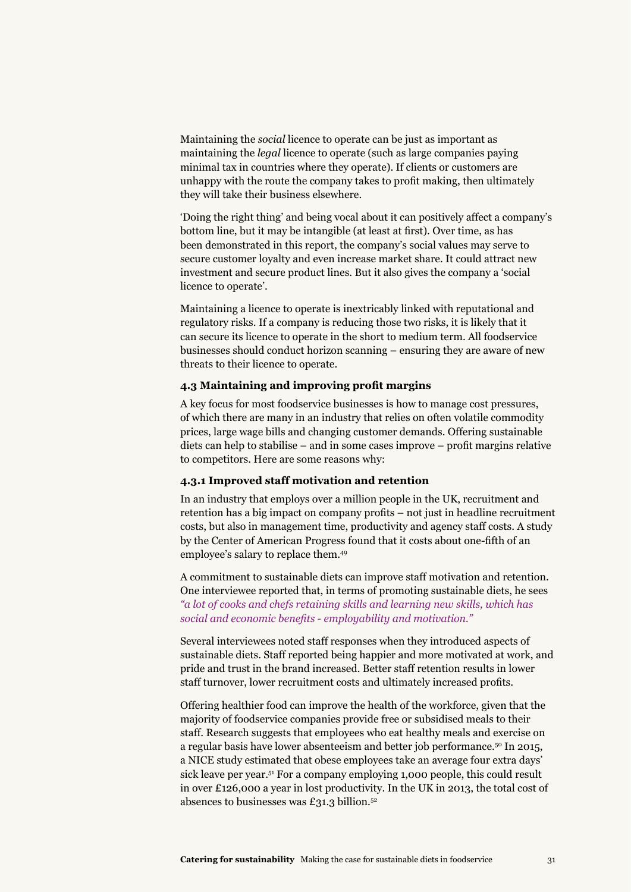Maintaining the *social* licence to operate can be just as important as maintaining the *legal* licence to operate (such as large companies paying minimal tax in countries where they operate). If clients or customers are unhappy with the route the company takes to profit making, then ultimately they will take their business elsewhere.

'Doing the right thing' and being vocal about it can positively affect a company's bottom line, but it may be intangible (at least at first). Over time, as has been demonstrated in this report, the company's social values may serve to secure customer loyalty and even increase market share. It could attract new investment and secure product lines. But it also gives the company a 'social licence to operate'.

Maintaining a licence to operate is inextricably linked with reputational and regulatory risks. If a company is reducing those two risks, it is likely that it can secure its licence to operate in the short to medium term. All foodservice businesses should conduct horizon scanning – ensuring they are aware of new threats to their licence to operate.

#### **4.3 Maintaining and improving profit margins**

A key focus for most foodservice businesses is how to manage cost pressures, of which there are many in an industry that relies on often volatile commodity prices, large wage bills and changing customer demands. Offering sustainable diets can help to stabilise – and in some cases improve – profit margins relative to competitors. Here are some reasons why:

#### **4.3.1 Improved staff motivation and retention**

In an industry that employs over a million people in the UK, recruitment and retention has a big impact on company profits – not just in headline recruitment costs, but also in management time, productivity and agency staff costs. A study by the Center of American Progress found that it costs about one-fifth of an employee's salary to replace them.49

A commitment to sustainable diets can improve staff motivation and retention. One interviewee reported that, in terms of promoting sustainable diets, he sees *"a lot of cooks and chefs retaining skills and learning new skills, which has social and economic benefits - employability and motivation."*

Several interviewees noted staff responses when they introduced aspects of sustainable diets. Staff reported being happier and more motivated at work, and pride and trust in the brand increased. Better staff retention results in lower staff turnover, lower recruitment costs and ultimately increased profits.

Offering healthier food can improve the health of the workforce, given that the majority of foodservice companies provide free or subsidised meals to their staff. Research suggests that employees who eat healthy meals and exercise on a regular basis have lower absenteeism and better job performance.50 In 2015, a NICE study estimated that obese employees take an average four extra days' sick leave per year.<sup>51</sup> For a company employing 1,000 people, this could result in over £126,000 a year in lost productivity. In the UK in 2013, the total cost of absences to businesses was £31.3 billion. $52$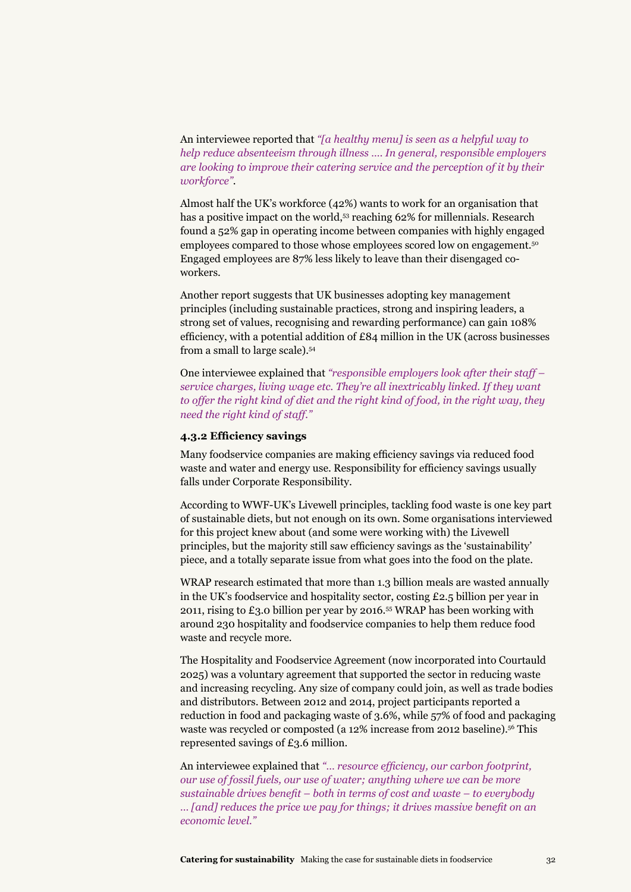An interviewee reported that *"[a healthy menu] is seen as a helpful way to help reduce absenteeism through illness …. In general, responsible employers are looking to improve their catering service and the perception of it by their workforce"*.

Almost half the UK's workforce (42%) wants to work for an organisation that has a positive impact on the world,<sup>53</sup> reaching 62% for millennials. Research found a 52% gap in operating income between companies with highly engaged employees compared to those whose employees scored low on engagement.50 Engaged employees are 87% less likely to leave than their disengaged coworkers.

Another report suggests that UK businesses adopting key management principles (including sustainable practices, strong and inspiring leaders, a strong set of values, recognising and rewarding performance) can gain 108% efficiency, with a potential addition of £84 million in the UK (across businesses from a small to large scale).54

One interviewee explained that *"responsible employers look after their staff – service charges, living wage etc. They're all inextricably linked. If they want*  to offer the right kind of diet and the right kind of food, in the right way, they *need the right kind of staff."* 

#### **4.3.2 Efficiency savings**

Many foodservice companies are making efficiency savings via reduced food waste and water and energy use. Responsibility for efficiency savings usually falls under Corporate Responsibility.

According to WWF-UK's Livewell principles, tackling food waste is one key part of sustainable diets, but not enough on its own. Some organisations interviewed for this project knew about (and some were working with) the Livewell principles, but the majority still saw efficiency savings as the 'sustainability' piece, and a totally separate issue from what goes into the food on the plate.

WRAP research estimated that more than 1.3 billion meals are wasted annually in the UK's foodservice and hospitality sector, costing £2.5 billion per year in 2011, rising to £3.0 billion per year by 2016.<sup>55</sup> WRAP has been working with around 230 hospitality and foodservice companies to help them reduce food waste and recycle more.

The Hospitality and Foodservice Agreement (now incorporated into Courtauld 2025) was a voluntary agreement that supported the sector in reducing waste and increasing recycling. Any size of company could join, as well as trade bodies and distributors. Between 2012 and 2014, project participants reported a reduction in food and packaging waste of 3.6%, while 57% of food and packaging waste was recycled or composted (a 12% increase from 2012 baseline).<sup>56</sup> This represented savings of £3.6 million.

An interviewee explained that *"… resource efficiency, our carbon footprint, our use of fossil fuels, our use of water; anything where we can be more sustainable drives benefit – both in terms of cost and waste – to everybody … [and] reduces the price we pay for things; it drives massive benefit on an economic level."*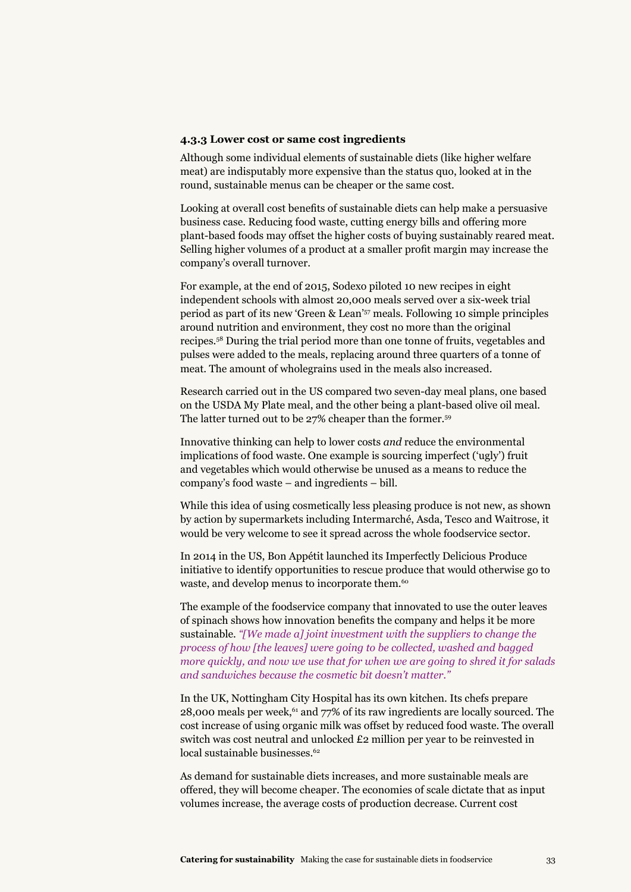#### **4.3.3 Lower cost or same cost ingredients**

Although some individual elements of sustainable diets (like higher welfare meat) are indisputably more expensive than the status quo, looked at in the round, sustainable menus can be cheaper or the same cost.

Looking at overall cost benefits of sustainable diets can help make a persuasive business case. Reducing food waste, cutting energy bills and offering more plant-based foods may offset the higher costs of buying sustainably reared meat. Selling higher volumes of a product at a smaller profit margin may increase the company's overall turnover.

For example, at the end of 2015, Sodexo piloted 10 new recipes in eight independent schools with almost 20,000 meals served over a six-week trial period as part of its new 'Green & Lean'57 meals. Following 10 simple principles around nutrition and environment, they cost no more than the original recipes.58 During the trial period more than one tonne of fruits, vegetables and pulses were added to the meals, replacing around three quarters of a tonne of meat. The amount of wholegrains used in the meals also increased.

Research carried out in the US compared two seven-day meal plans, one based on the USDA My Plate meal, and the other being a plant-based olive oil meal. The latter turned out to be 27% cheaper than the former.59

Innovative thinking can help to lower costs *and* reduce the environmental implications of food waste. One example is sourcing imperfect ('ugly') fruit and vegetables which would otherwise be unused as a means to reduce the company's food waste – and ingredients – bill.

While this idea of using cosmetically less pleasing produce is not new, as shown by action by supermarkets including Intermarché, Asda, Tesco and Waitrose, it would be very welcome to see it spread across the whole foodservice sector.

In 2014 in the US, Bon Appétit launched its Imperfectly Delicious Produce initiative to identify opportunities to rescue produce that would otherwise go to waste, and develop menus to incorporate them.<sup>60</sup>

The example of the foodservice company that innovated to use the outer leaves of spinach shows how innovation benefits the company and helps it be more sustainable. *"[We made a] joint investment with the suppliers to change the process of how [the leaves] were going to be collected, washed and bagged more quickly, and now we use that for when we are going to shred it for salads and sandwiches because the cosmetic bit doesn't matter."*

In the UK, Nottingham City Hospital has its own kitchen. Its chefs prepare  $28,000$  meals per week,<sup>61</sup> and 77% of its raw ingredients are locally sourced. The cost increase of using organic milk was offset by reduced food waste. The overall switch was cost neutral and unlocked £2 million per year to be reinvested in local sustainable businesses.<sup>62</sup>

As demand for sustainable diets increases, and more sustainable meals are offered, they will become cheaper. The economies of scale dictate that as input volumes increase, the average costs of production decrease. Current cost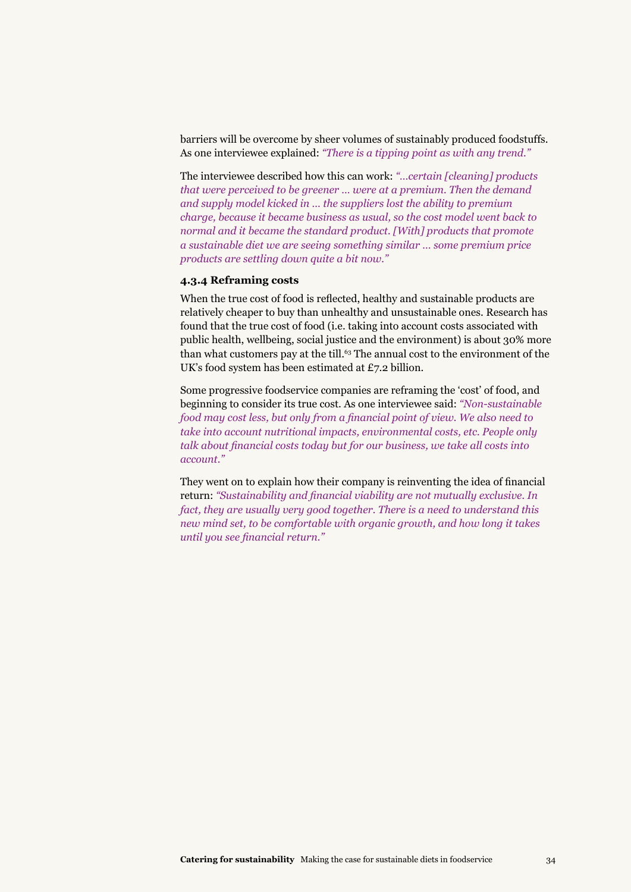barriers will be overcome by sheer volumes of sustainably produced foodstuffs. As one interviewee explained: *"There is a tipping point as with any trend."*

The interviewee described how this can work: *"…certain [cleaning] products that were perceived to be greener … were at a premium. Then the demand and supply model kicked in … the suppliers lost the ability to premium charge, because it became business as usual, so the cost model went back to normal and it became the standard product. [With] products that promote a sustainable diet we are seeing something similar … some premium price products are settling down quite a bit now."*

#### **4.3.4 Reframing costs**

When the true cost of food is reflected, healthy and sustainable products are relatively cheaper to buy than unhealthy and unsustainable ones. Research has found that the true cost of food (i.e. taking into account costs associated with public health, wellbeing, social justice and the environment) is about 30% more than what customers pay at the till.<sup>63</sup> The annual cost to the environment of the UK's food system has been estimated at £7.2 billion.

Some progressive foodservice companies are reframing the 'cost' of food, and beginning to consider its true cost. As one interviewee said: *"Non-sustainable food may cost less, but only from a financial point of view. We also need to take into account nutritional impacts, environmental costs, etc. People only talk about financial costs today but for our business, we take all costs into account."*

They went on to explain how their company is reinventing the idea of financial return: *"Sustainability and financial viability are not mutually exclusive. In fact, they are usually very good together. There is a need to understand this new mind set, to be comfortable with organic growth, and how long it takes until you see financial return."*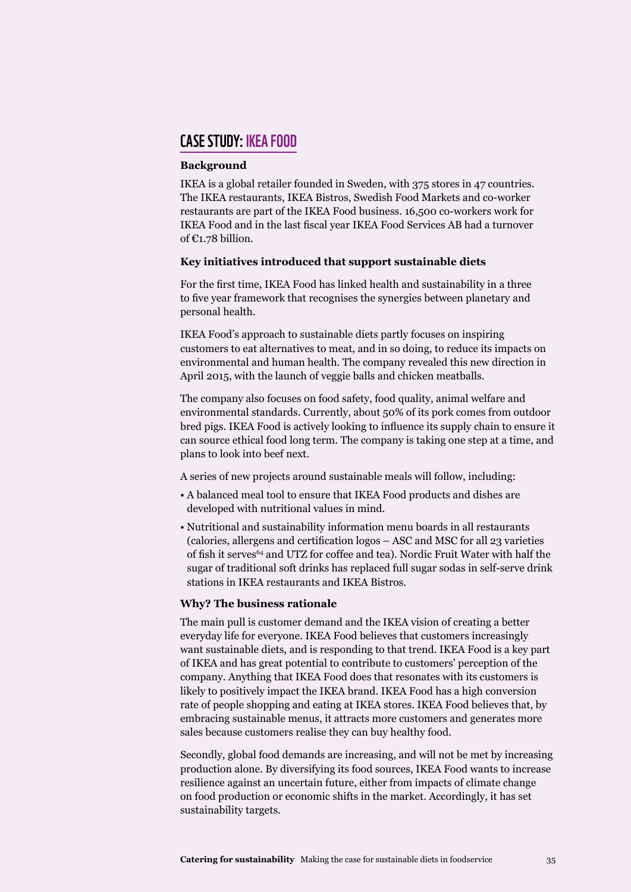#### case study: IKEA Food

#### **Background**

IKEA is a global retailer founded in Sweden, with 375 stores in 47 countries. The IKEA restaurants, IKEA Bistros, Swedish Food Markets and co-worker restaurants are part of the IKEA Food business. 16,500 co-workers work for IKEA Food and in the last fiscal year IKEA Food Services AB had a turnover of €1.78 billion.

#### **Key initiatives introduced that support sustainable diets**

For the first time, IKEA Food has linked health and sustainability in a three to five year framework that recognises the synergies between planetary and personal health.

IKEA Food's approach to sustainable diets partly focuses on inspiring customers to eat alternatives to meat, and in so doing, to reduce its impacts on environmental and human health. The company revealed this new direction in April 2015, with the launch of veggie balls and chicken meatballs.

The company also focuses on food safety, food quality, animal welfare and environmental standards. Currently, about 50% of its pork comes from outdoor bred pigs. IKEA Food is actively looking to influence its supply chain to ensure it can source ethical food long term. The company is taking one step at a time, and plans to look into beef next.

A series of new projects around sustainable meals will follow, including:

- A balanced meal tool to ensure that IKEA Food products and dishes are developed with nutritional values in mind.
- Nutritional and sustainability information menu boards in all restaurants (calories, allergens and certification logos – ASC and MSC for all 23 varieties of fish it serves<sup>64</sup> and UTZ for coffee and tea). Nordic Fruit Water with half the sugar of traditional soft drinks has replaced full sugar sodas in self-serve drink stations in IKEA restaurants and IKEA Bistros.

#### **Why? The business rationale**

The main pull is customer demand and the IKEA vision of creating a better everyday life for everyone. IKEA Food believes that customers increasingly want sustainable diets, and is responding to that trend. IKEA Food is a key part of IKEA and has great potential to contribute to customers' perception of the company. Anything that IKEA Food does that resonates with its customers is likely to positively impact the IKEA brand. IKEA Food has a high conversion rate of people shopping and eating at IKEA stores. IKEA Food believes that, by embracing sustainable menus, it attracts more customers and generates more sales because customers realise they can buy healthy food.

Secondly, global food demands are increasing, and will not be met by increasing production alone. By diversifying its food sources, IKEA Food wants to increase resilience against an uncertain future, either from impacts of climate change on food production or economic shifts in the market. Accordingly, it has set sustainability targets.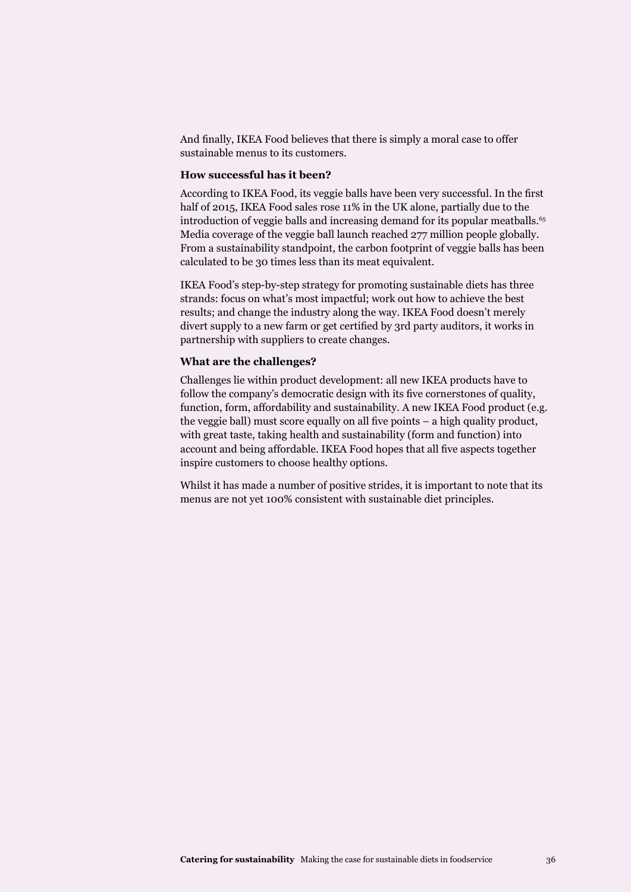And finally, IKEA Food believes that there is simply a moral case to offer sustainable menus to its customers.

#### **How successful has it been?**

According to IKEA Food, its veggie balls have been very successful. In the first half of 2015, IKEA Food sales rose 11% in the UK alone, partially due to the introduction of veggie balls and increasing demand for its popular meatballs.<sup>65</sup> Media coverage of the veggie ball launch reached 277 million people globally. From a sustainability standpoint, the carbon footprint of veggie balls has been calculated to be 30 times less than its meat equivalent.

IKEA Food's step-by-step strategy for promoting sustainable diets has three strands: focus on what's most impactful; work out how to achieve the best results; and change the industry along the way. IKEA Food doesn't merely divert supply to a new farm or get certified by 3rd party auditors, it works in partnership with suppliers to create changes.

#### **What are the challenges?**

Challenges lie within product development: all new IKEA products have to follow the company's democratic design with its five cornerstones of quality, function, form, affordability and sustainability. A new IKEA Food product (e.g. the veggie ball) must score equally on all five points – a high quality product, with great taste, taking health and sustainability (form and function) into account and being affordable. IKEA Food hopes that all five aspects together inspire customers to choose healthy options.

Whilst it has made a number of positive strides, it is important to note that its menus are not yet 100% consistent with sustainable diet principles.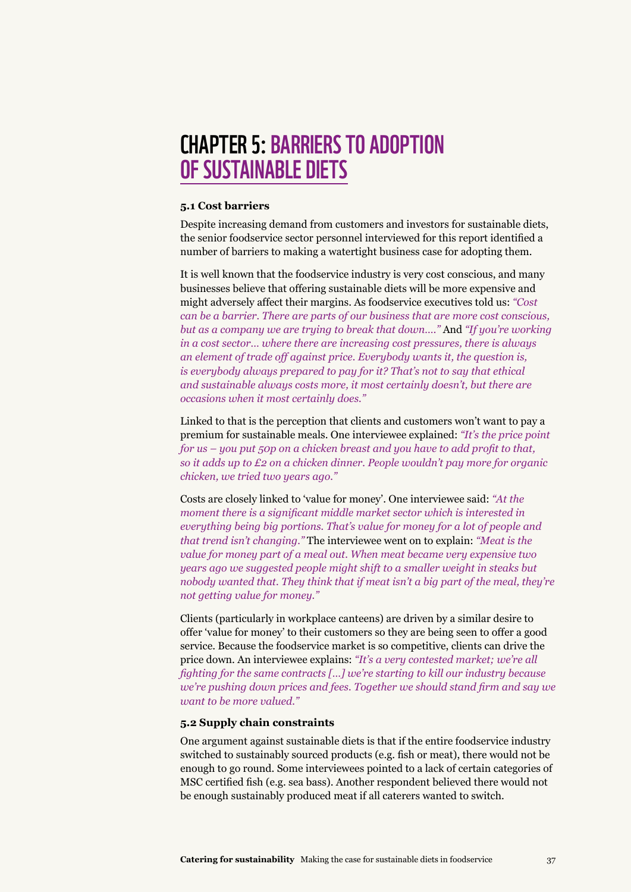## **CHAPTER 5: BARRIERS TO ADOPTION** of sustainable diets

#### **5.1 Cost barriers**

Despite increasing demand from customers and investors for sustainable diets, the senior foodservice sector personnel interviewed for this report identified a number of barriers to making a watertight business case for adopting them.

It is well known that the foodservice industry is very cost conscious, and many businesses believe that offering sustainable diets will be more expensive and might adversely affect their margins. As foodservice executives told us: *"Cost can be a barrier. There are parts of our business that are more cost conscious, but as a company we are trying to break that down…."* And *"If you're working in a cost sector… where there are increasing cost pressures, there is always an element of trade off against price. Everybody wants it, the question is, is everybody always prepared to pay for it? That's not to say that ethical and sustainable always costs more, it most certainly doesn't, but there are occasions when it most certainly does."*

Linked to that is the perception that clients and customers won't want to pay a premium for sustainable meals. One interviewee explained: *"It's the price point for us – you put 50p on a chicken breast and you have to add profit to that, so it adds up to £2 on a chicken dinner. People wouldn't pay more for organic chicken, we tried two years ago."*

Costs are closely linked to 'value for money'. One interviewee said: *"At the moment there is a significant middle market sector which is interested in everything being big portions. That's value for money for a lot of people and that trend isn't changing."* The interviewee went on to explain: *"Meat is the value for money part of a meal out. When meat became very expensive two years ago we suggested people might shift to a smaller weight in steaks but nobody wanted that. They think that if meat isn't a big part of the meal, they're not getting value for money."*

Clients (particularly in workplace canteens) are driven by a similar desire to offer 'value for money' to their customers so they are being seen to offer a good service. Because the foodservice market is so competitive, clients can drive the price down. An interviewee explains: *"It's a very contested market; we're all fighting for the same contracts […] we're starting to kill our industry because we're pushing down prices and fees. Together we should stand firm and say we want to be more valued."*

#### **5.2 Supply chain constraints**

One argument against sustainable diets is that if the entire foodservice industry switched to sustainably sourced products (e.g. fish or meat), there would not be enough to go round. Some interviewees pointed to a lack of certain categories of MSC certified fish (e.g. sea bass). Another respondent believed there would not be enough sustainably produced meat if all caterers wanted to switch.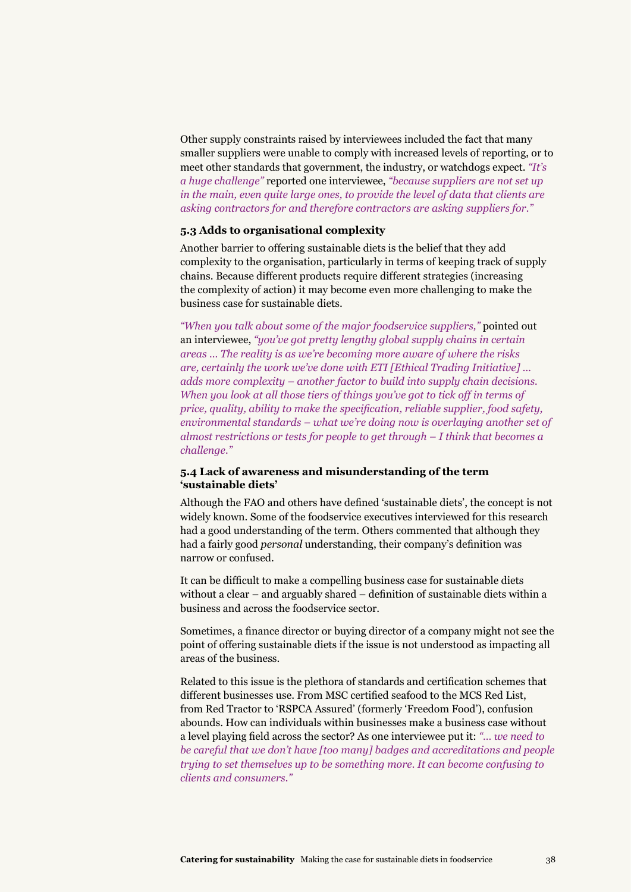Other supply constraints raised by interviewees included the fact that many smaller suppliers were unable to comply with increased levels of reporting, or to meet other standards that government, the industry, or watchdogs expect. *"It's a huge challenge"* reported one interviewee, *"because suppliers are not set up in the main, even quite large ones, to provide the level of data that clients are asking contractors for and therefore contractors are asking suppliers for."*

#### **5.3 Adds to organisational complexity**

Another barrier to offering sustainable diets is the belief that they add complexity to the organisation, particularly in terms of keeping track of supply chains. Because different products require different strategies (increasing the complexity of action) it may become even more challenging to make the business case for sustainable diets.

*"When you talk about some of the major foodservice suppliers,"* pointed out an interviewee, *"you've got pretty lengthy global supply chains in certain areas … The reality is as we're becoming more aware of where the risks are, certainly the work we've done with ETI [Ethical Trading Initiative] ... adds more complexity – another factor to build into supply chain decisions. When you look at all those tiers of things you've got to tick off in terms of price, quality, ability to make the specification, reliable supplier, food safety, environmental standards – what we're doing now is overlaying another set of almost restrictions or tests for people to get through – I think that becomes a challenge."*

#### **5.4 Lack of awareness and misunderstanding of the term 'sustainable diets'**

Although the FAO and others have defined 'sustainable diets', the concept is not widely known. Some of the foodservice executives interviewed for this research had a good understanding of the term. Others commented that although they had a fairly good *personal* understanding, their company's definition was narrow or confused.

It can be difficult to make a compelling business case for sustainable diets without a clear – and arguably shared – definition of sustainable diets within a business and across the foodservice sector.

Sometimes, a finance director or buying director of a company might not see the point of offering sustainable diets if the issue is not understood as impacting all areas of the business.

Related to this issue is the plethora of standards and certification schemes that different businesses use. From MSC certified seafood to the MCS Red List, from Red Tractor to 'RSPCA Assured' (formerly 'Freedom Food'), confusion abounds. How can individuals within businesses make a business case without a level playing field across the sector? As one interviewee put it: *"… we need to be careful that we don't have [too many] badges and accreditations and people trying to set themselves up to be something more. It can become confusing to clients and consumers."*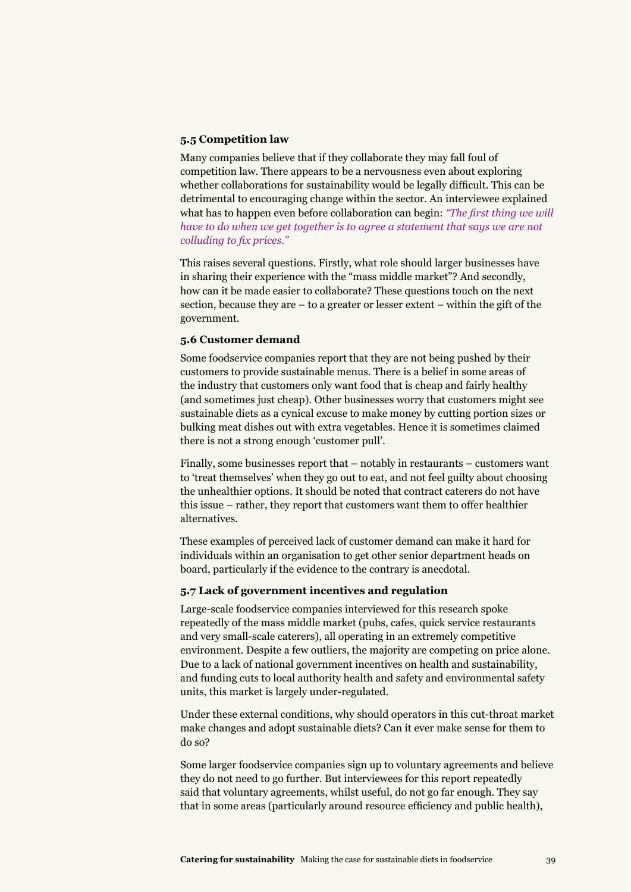#### **5.5 Competition law**

Many companies believe that if they collaborate they may fall foul of competition law. There appears to be a nervousness even about exploring whether collaborations for sustainability would be legally difficult. This can be detrimental to encouraging change within the sector. An interviewee explained what has to happen even before collaboration can begin: *"The first thing we will have to do when we get together is to agree a statement that says we are not colluding to fix prices."*

This raises several questions. Firstly, what role should larger businesses have in sharing their experience with the "mass middle market"? And secondly, how can it be made easier to collaborate? These questions touch on the next section, because they are – to a greater or lesser extent – within the gift of the government.

#### **5.6 Customer demand**

Some foodservice companies report that they are not being pushed by their customers to provide sustainable menus. There is a belief in some areas of the industry that customers only want food that is cheap and fairly healthy (and sometimes just cheap). Other businesses worry that customers might see sustainable diets as a cynical excuse to make money by cutting portion sizes or bulking meat dishes out with extra vegetables. Hence it is sometimes claimed there is not a strong enough 'customer pull'.

Finally, some businesses report that – notably in restaurants – customers want to 'treat themselves' when they go out to eat, and not feel guilty about choosing the unhealthier options. It should be noted that contract caterers do not have this issue – rather, they report that customers want them to offer healthier alternatives.

These examples of perceived lack of customer demand can make it hard for individuals within an organisation to get other senior department heads on board, particularly if the evidence to the contrary is anecdotal.

#### **5.7 Lack of government incentives and regulation**

Large-scale foodservice companies interviewed for this research spoke repeatedly of the mass middle market (pubs, cafes, quick service restaurants and very small-scale caterers), all operating in an extremely competitive environment. Despite a few outliers, the majority are competing on price alone. Due to a lack of national government incentives on health and sustainability, and funding cuts to local authority health and safety and environmental safety units, this market is largely under-regulated.

Under these external conditions, why should operators in this cut-throat market make changes and adopt sustainable diets? Can it ever make sense for them to do so?

Some larger foodservice companies sign up to voluntary agreements and believe they do not need to go further. But interviewees for this report repeatedly said that voluntary agreements, whilst useful, do not go far enough. They say that in some areas (particularly around resource efficiency and public health),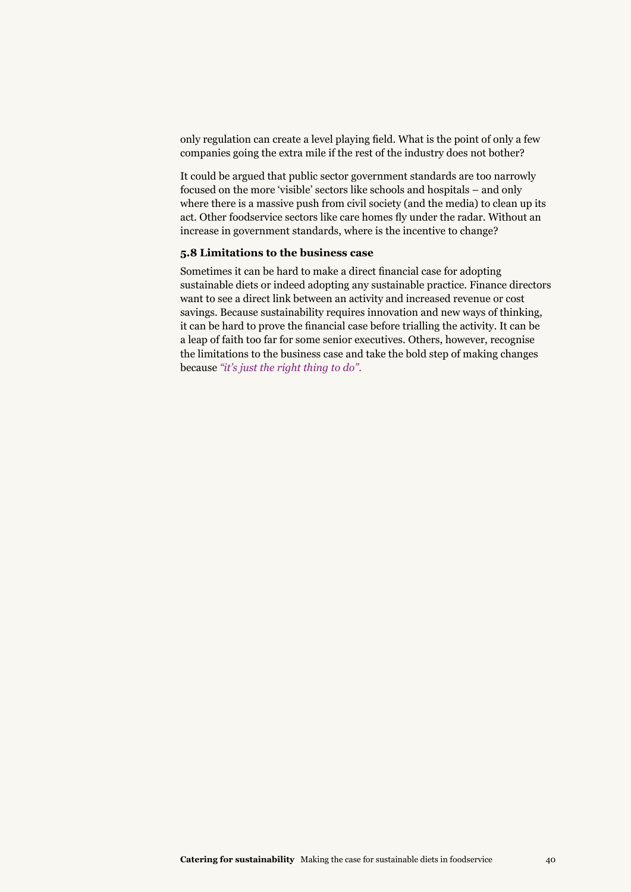only regulation can create a level playing field. What is the point of only a few companies going the extra mile if the rest of the industry does not bother?

It could be argued that public sector government standards are too narrowly focused on the more 'visible' sectors like schools and hospitals – and only where there is a massive push from civil society (and the media) to clean up its act. Other foodservice sectors like care homes fly under the radar. Without an increase in government standards, where is the incentive to change?

#### **5.8 Limitations to the business case**

Sometimes it can be hard to make a direct financial case for adopting sustainable diets or indeed adopting any sustainable practice. Finance directors want to see a direct link between an activity and increased revenue or cost savings. Because sustainability requires innovation and new ways of thinking, it can be hard to prove the financial case before trialling the activity. It can be a leap of faith too far for some senior executives. Others, however, recognise the limitations to the business case and take the bold step of making changes because *"it's just the right thing to do".*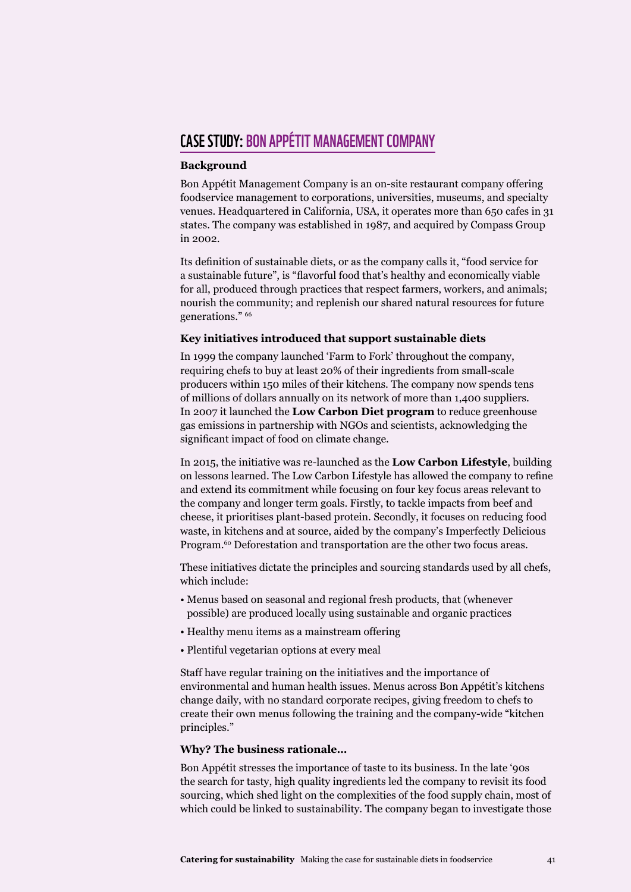#### **CASE STUDY: BON APPÉTIT MANAGEMENT COMPANY**

#### **Background**

Bon Appétit Management Company is an on-site restaurant company offering foodservice management to corporations, universities, museums, and specialty venues. Headquartered in California, USA, it operates more than 650 cafes in 31 states. The company was established in 1987, and acquired by Compass Group in 2002.

Its definition of sustainable diets, or as the company calls it, "food service for a sustainable future", is "flavorful food that's healthy and economically viable for all, produced through practices that respect farmers, workers, and animals; nourish the community; and replenish our shared natural resources for future generations." 66

#### **Key initiatives introduced that support sustainable diets**

In 1999 the company launched 'Farm to Fork' throughout the company, requiring chefs to buy at least 20% of their ingredients from small-scale producers within 150 miles of their kitchens. The company now spends tens of millions of dollars annually on its network of more than 1,400 suppliers. In 2007 it launched the **Low Carbon Diet program** to reduce greenhouse gas emissions in partnership with NGOs and scientists, acknowledging the significant impact of food on climate change.

In 2015, the initiative was re-launched as the **Low Carbon Lifestyle**, building on lessons learned. The Low Carbon Lifestyle has allowed the company to refine and extend its commitment while focusing on four key focus areas relevant to the company and longer term goals. Firstly, to tackle impacts from beef and cheese, it prioritises plant-based protein. Secondly, it focuses on reducing food waste, in kitchens and at source, aided by the company's Imperfectly Delicious Program.<sup>60</sup> Deforestation and transportation are the other two focus areas.

These initiatives dictate the principles and sourcing standards used by all chefs, which include:

- Menus based on seasonal and regional fresh products, that (whenever possible) are produced locally using sustainable and organic practices
- Healthy menu items as a mainstream offering
- Plentiful vegetarian options at every meal

Staff have regular training on the initiatives and the importance of environmental and human health issues. Menus across Bon Appétit's kitchens change daily, with no standard corporate recipes, giving freedom to chefs to create their own menus following the training and the company-wide "kitchen principles."

#### **Why? The business rationale…**

Bon Appétit stresses the importance of taste to its business. In the late '90s the search for tasty, high quality ingredients led the company to revisit its food sourcing, which shed light on the complexities of the food supply chain, most of which could be linked to sustainability. The company began to investigate those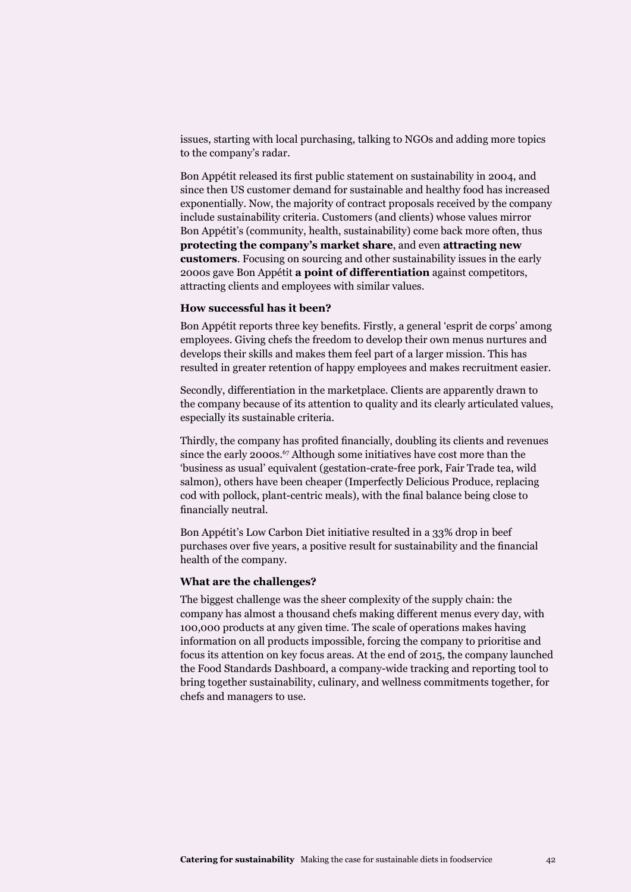issues, starting with local purchasing, talking to NGOs and adding more topics to the company's radar.

Bon Appétit released its first public statement on sustainability in 2004, and since then US customer demand for sustainable and healthy food has increased exponentially. Now, the majority of contract proposals received by the company include sustainability criteria. Customers (and clients) whose values mirror Bon Appétit's (community, health, sustainability) come back more often, thus **protecting the company's market share**, and even **attracting new customers**. Focusing on sourcing and other sustainability issues in the early 2000s gave Bon Appétit **a point of differentiation** against competitors, attracting clients and employees with similar values.

#### **How successful has it been?**

Bon Appétit reports three key benefits. Firstly, a general 'esprit de corps' among employees. Giving chefs the freedom to develop their own menus nurtures and develops their skills and makes them feel part of a larger mission. This has resulted in greater retention of happy employees and makes recruitment easier.

Secondly, differentiation in the marketplace. Clients are apparently drawn to the company because of its attention to quality and its clearly articulated values, especially its sustainable criteria.

Thirdly, the company has profited financially, doubling its clients and revenues since the early 2000s.<sup>67</sup> Although some initiatives have cost more than the 'business as usual' equivalent (gestation-crate-free pork, Fair Trade tea, wild salmon), others have been cheaper (Imperfectly Delicious Produce, replacing cod with pollock, plant-centric meals), with the final balance being close to financially neutral.

Bon Appétit's Low Carbon Diet initiative resulted in a 33% drop in beef purchases over five years, a positive result for sustainability and the financial health of the company.

#### **What are the challenges?**

The biggest challenge was the sheer complexity of the supply chain: the company has almost a thousand chefs making different menus every day, with 100,000 products at any given time. The scale of operations makes having information on all products impossible, forcing the company to prioritise and focus its attention on key focus areas. At the end of 2015, the company launched the Food Standards Dashboard, a company-wide tracking and reporting tool to bring together sustainability, culinary, and wellness commitments together, for chefs and managers to use.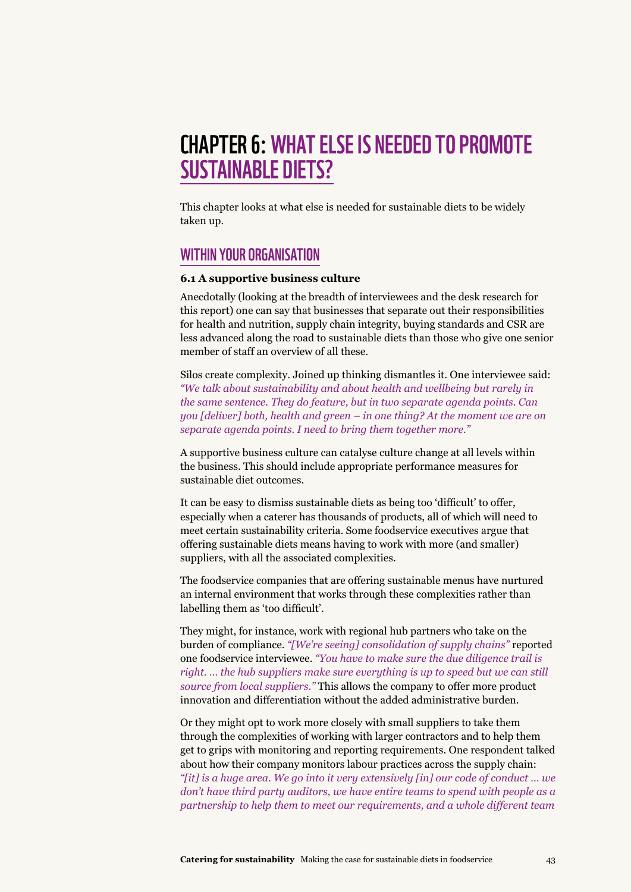## chapter 6:What else is needed to promote sustainable diets?

This chapter looks at what else is needed for sustainable diets to be widely taken up.

#### Within your organisation

#### **6.1 A supportive business culture**

Anecdotally (looking at the breadth of interviewees and the desk research for this report) one can say that businesses that separate out their responsibilities for health and nutrition, supply chain integrity, buying standards and CSR are less advanced along the road to sustainable diets than those who give one senior member of staff an overview of all these.

Silos create complexity. Joined up thinking dismantles it. One interviewee said: *"We talk about sustainability and about health and wellbeing but rarely in the same sentence. They do feature, but in two separate agenda points. Can you [deliver] both, health and green – in one thing? At the moment we are on separate agenda points. I need to bring them together more."*

A supportive business culture can catalyse culture change at all levels within the business. This should include appropriate performance measures for sustainable diet outcomes.

It can be easy to dismiss sustainable diets as being too 'difficult' to offer, especially when a caterer has thousands of products, all of which will need to meet certain sustainability criteria. Some foodservice executives argue that offering sustainable diets means having to work with more (and smaller) suppliers, with all the associated complexities.

The foodservice companies that are offering sustainable menus have nurtured an internal environment that works through these complexities rather than labelling them as 'too difficult'.

They might, for instance, work with regional hub partners who take on the burden of compliance. *"[We're seeing] consolidation of supply chains"* reported one foodservice interviewee. *"You have to make sure the due diligence trail is right. … the hub suppliers make sure everything is up to speed but we can still source from local suppliers."* This allows the company to offer more product innovation and differentiation without the added administrative burden.

Or they might opt to work more closely with small suppliers to take them through the complexities of working with larger contractors and to help them get to grips with monitoring and reporting requirements. One respondent talked about how their company monitors labour practices across the supply chain: *"[it] is a huge area. We go into it very extensively [in] our code of conduct … we don't have third party auditors, we have entire teams to spend with people as a partnership to help them to meet our requirements, and a whole different team*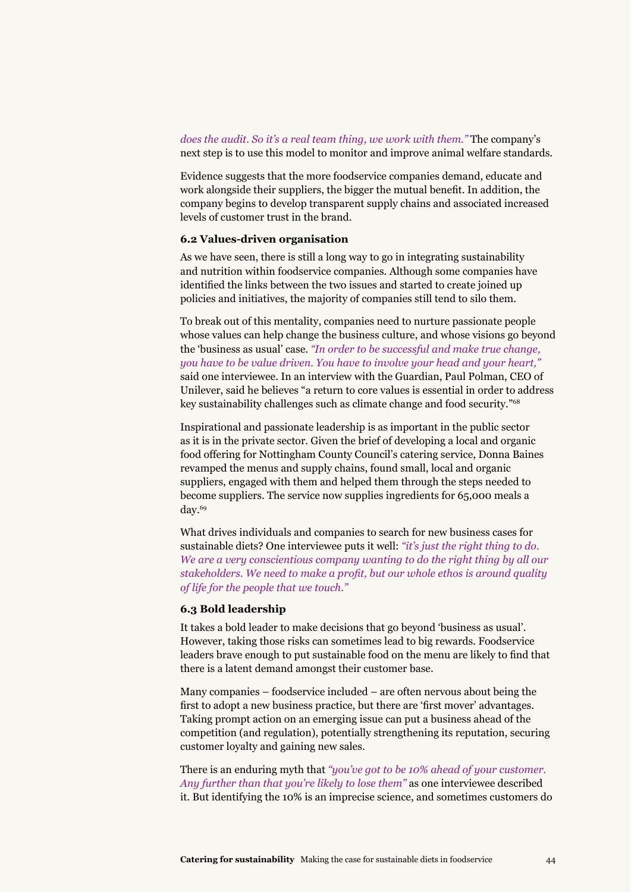*does the audit. So it's a real team thing, we work with them."* The company's next step is to use this model to monitor and improve animal welfare standards.

Evidence suggests that the more foodservice companies demand, educate and work alongside their suppliers, the bigger the mutual benefit. In addition, the company begins to develop transparent supply chains and associated increased levels of customer trust in the brand.

#### **6.2 Values-driven organisation**

As we have seen, there is still a long way to go in integrating sustainability and nutrition within foodservice companies. Although some companies have identified the links between the two issues and started to create joined up policies and initiatives, the majority of companies still tend to silo them.

To break out of this mentality, companies need to nurture passionate people whose values can help change the business culture, and whose visions go beyond the 'business as usual' case. *"In order to be successful and make true change, you have to be value driven. You have to involve your head and your heart,"* said one interviewee. In an interview with the Guardian, Paul Polman, CEO of Unilever, said he believes "a return to core values is essential in order to address key sustainability challenges such as climate change and food security."68

Inspirational and passionate leadership is as important in the public sector as it is in the private sector. Given the brief of developing a local and organic food offering for Nottingham County Council's catering service, Donna Baines revamped the menus and supply chains, found small, local and organic suppliers, engaged with them and helped them through the steps needed to become suppliers. The service now supplies ingredients for 65,000 meals a day.<sup>69</sup>

What drives individuals and companies to search for new business cases for sustainable diets? One interviewee puts it well: *"it's just the right thing to do. We are a very conscientious company wanting to do the right thing by all our stakeholders. We need to make a profit, but our whole ethos is around quality of life for the people that we touch."*

#### **6.3 Bold leadership**

It takes a bold leader to make decisions that go beyond 'business as usual'. However, taking those risks can sometimes lead to big rewards. Foodservice leaders brave enough to put sustainable food on the menu are likely to find that there is a latent demand amongst their customer base.

Many companies – foodservice included – are often nervous about being the first to adopt a new business practice, but there are 'first mover' advantages. Taking prompt action on an emerging issue can put a business ahead of the competition (and regulation), potentially strengthening its reputation, securing customer loyalty and gaining new sales.

There is an enduring myth that *"you've got to be 10% ahead of your customer. Any further than that you're likely to lose them"* as one interviewee described it. But identifying the 10% is an imprecise science, and sometimes customers do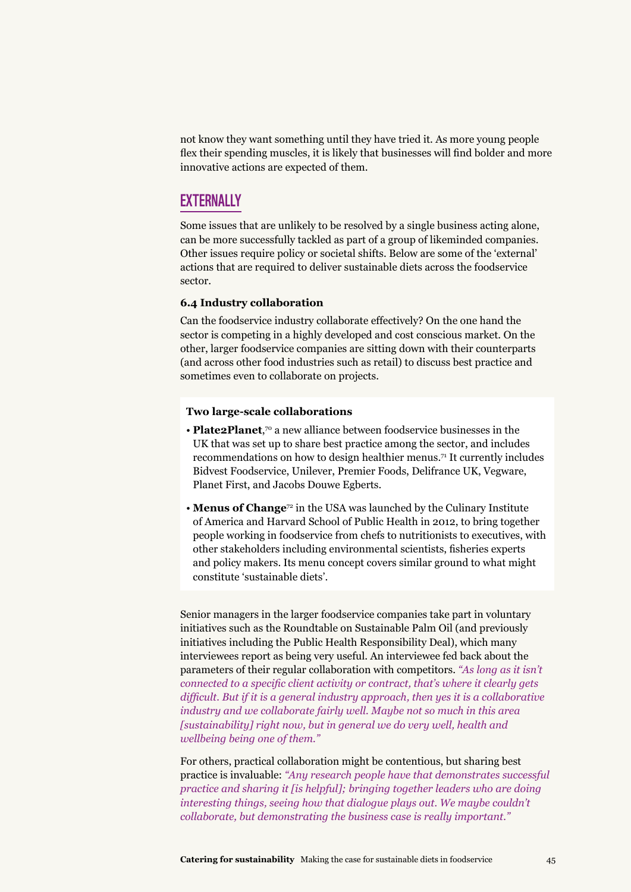not know they want something until they have tried it. As more young people flex their spending muscles, it is likely that businesses will find bolder and more innovative actions are expected of them.

#### **EXTERNALLY**

Some issues that are unlikely to be resolved by a single business acting alone, can be more successfully tackled as part of a group of likeminded companies. Other issues require policy or societal shifts. Below are some of the 'external' actions that are required to deliver sustainable diets across the foodservice sector.

#### **6.4 Industry collaboration**

Can the foodservice industry collaborate effectively? On the one hand the sector is competing in a highly developed and cost conscious market. On the other, larger foodservice companies are sitting down with their counterparts (and across other food industries such as retail) to discuss best practice and sometimes even to collaborate on projects.

#### **Two large-scale collaborations**

- **Plate2Planet**,<sup>70</sup> a new alliance between foodservice businesses in the UK that was set up to share best practice among the sector, and includes recommendations on how to design healthier menus.<sup>71</sup> It currently includes Bidvest Foodservice, Unilever, Premier Foods, Delifrance UK, Vegware, Planet First, and Jacobs Douwe Egberts.
- **Menus of Change**<sup>72</sup> in the USA was launched by the Culinary Institute of America and Harvard School of Public Health in 2012, to bring together people working in foodservice from chefs to nutritionists to executives, with other stakeholders including environmental scientists, fisheries experts and policy makers. Its menu concept covers similar ground to what might constitute 'sustainable diets'.

Senior managers in the larger foodservice companies take part in voluntary initiatives such as the Roundtable on Sustainable Palm Oil (and previously initiatives including the Public Health Responsibility Deal), which many interviewees report as being very useful. An interviewee fed back about the parameters of their regular collaboration with competitors. *"As long as it isn't connected to a specific client activity or contract, that's where it clearly gets difficult. But if it is a general industry approach, then yes it is a collaborative industry and we collaborate fairly well. Maybe not so much in this area [sustainability] right now, but in general we do very well, health and wellbeing being one of them."*

For others, practical collaboration might be contentious, but sharing best practice is invaluable: *"Any research people have that demonstrates successful practice and sharing it [is helpful]; bringing together leaders who are doing interesting things, seeing how that dialogue plays out. We maybe couldn't collaborate, but demonstrating the business case is really important."*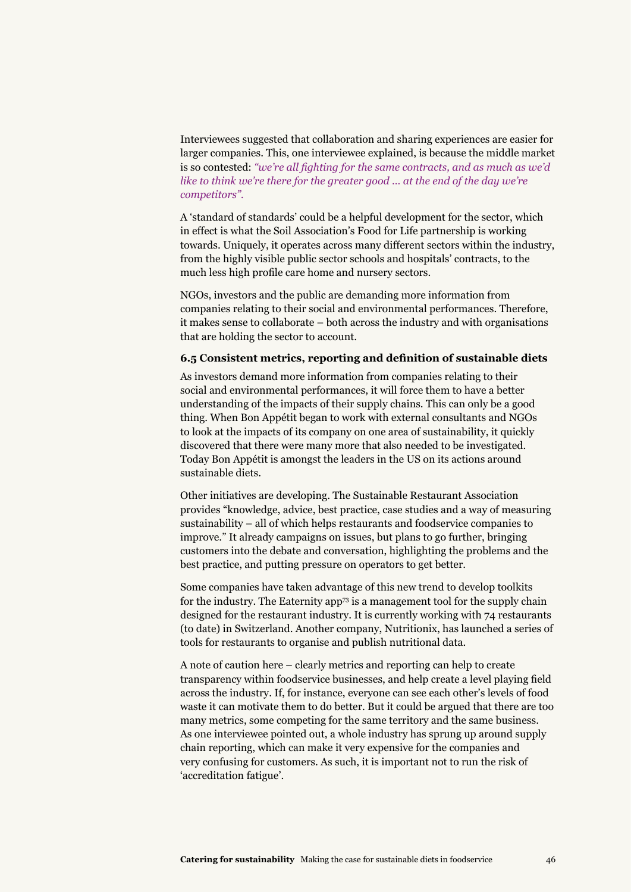Interviewees suggested that collaboration and sharing experiences are easier for larger companies. This, one interviewee explained, is because the middle market is so contested: *"we're all fighting for the same contracts, and as much as we'd like to think we're there for the greater good … at the end of the day we're competitors".*

A 'standard of standards' could be a helpful development for the sector, which in effect is what the Soil Association's Food for Life partnership is working towards. Uniquely, it operates across many different sectors within the industry, from the highly visible public sector schools and hospitals' contracts, to the much less high profile care home and nursery sectors.

NGOs, investors and the public are demanding more information from companies relating to their social and environmental performances. Therefore, it makes sense to collaborate – both across the industry and with organisations that are holding the sector to account.

#### **6.5 Consistent metrics, reporting and definition of sustainable diets**

As investors demand more information from companies relating to their social and environmental performances, it will force them to have a better understanding of the impacts of their supply chains. This can only be a good thing. When Bon Appétit began to work with external consultants and NGOs to look at the impacts of its company on one area of sustainability, it quickly discovered that there were many more that also needed to be investigated. Today Bon Appétit is amongst the leaders in the US on its actions around sustainable diets.

Other initiatives are developing. The Sustainable Restaurant Association provides "knowledge, advice, best practice, case studies and a way of measuring sustainability – all of which helps restaurants and foodservice companies to improve." It already campaigns on issues, but plans to go further, bringing customers into the debate and conversation, highlighting the problems and the best practice, and putting pressure on operators to get better.

Some companies have taken advantage of this new trend to develop toolkits for the industry. The Eaternity app<sup>73</sup> is a management tool for the supply chain designed for the restaurant industry. It is currently working with 74 restaurants (to date) in Switzerland. Another company, Nutritionix, has launched a series of tools for restaurants to organise and publish nutritional data.

A note of caution here – clearly metrics and reporting can help to create transparency within foodservice businesses, and help create a level playing field across the industry. If, for instance, everyone can see each other's levels of food waste it can motivate them to do better. But it could be argued that there are too many metrics, some competing for the same territory and the same business. As one interviewee pointed out, a whole industry has sprung up around supply chain reporting, which can make it very expensive for the companies and very confusing for customers. As such, it is important not to run the risk of 'accreditation fatigue'.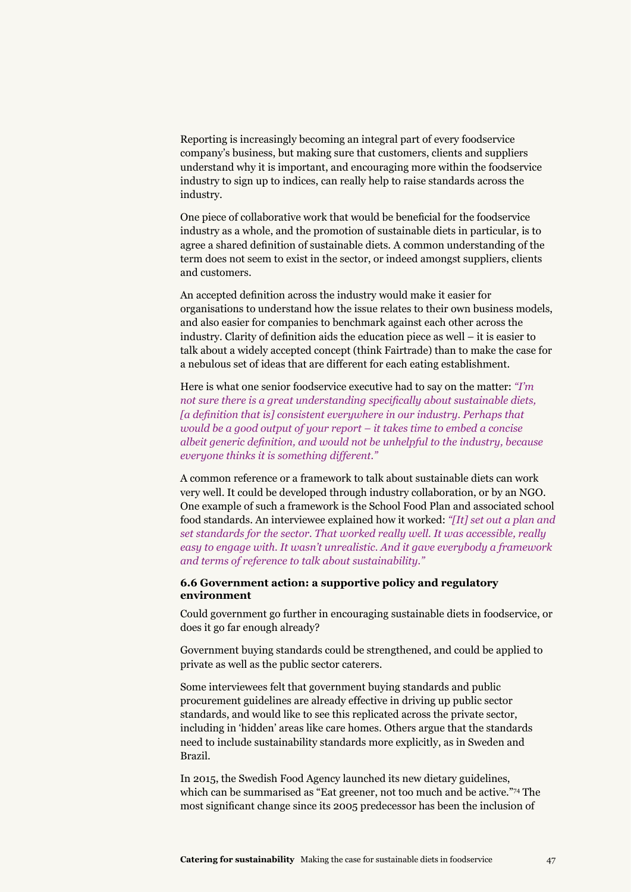Reporting is increasingly becoming an integral part of every foodservice company's business, but making sure that customers, clients and suppliers understand why it is important, and encouraging more within the foodservice industry to sign up to indices, can really help to raise standards across the industry.

One piece of collaborative work that would be beneficial for the foodservice industry as a whole, and the promotion of sustainable diets in particular, is to agree a shared definition of sustainable diets. A common understanding of the term does not seem to exist in the sector, or indeed amongst suppliers, clients and customers.

An accepted definition across the industry would make it easier for organisations to understand how the issue relates to their own business models, and also easier for companies to benchmark against each other across the industry. Clarity of definition aids the education piece as well – it is easier to talk about a widely accepted concept (think Fairtrade) than to make the case for a nebulous set of ideas that are different for each eating establishment.

Here is what one senior foodservice executive had to say on the matter: *"I'm not sure there is a great understanding specifically about sustainable diets, [a definition that is] consistent everywhere in our industry. Perhaps that would be a good output of your report – it takes time to embed a concise albeit generic definition, and would not be unhelpful to the industry, because everyone thinks it is something different."*

A common reference or a framework to talk about sustainable diets can work very well. It could be developed through industry collaboration, or by an NGO. One example of such a framework is the School Food Plan and associated school food standards. An interviewee explained how it worked: *"[It] set out a plan and set standards for the sector. That worked really well. It was accessible, really easy to engage with. It wasn't unrealistic. And it gave everybody a framework and terms of reference to talk about sustainability."*

#### **6.6 Government action: a supportive policy and regulatory environment**

Could government go further in encouraging sustainable diets in foodservice, or does it go far enough already?

Government buying standards could be strengthened, and could be applied to private as well as the public sector caterers.

Some interviewees felt that government buying standards and public procurement guidelines are already effective in driving up public sector standards, and would like to see this replicated across the private sector, including in 'hidden' areas like care homes. Others argue that the standards need to include sustainability standards more explicitly, as in Sweden and Brazil.

In 2015, the Swedish Food Agency launched its new dietary guidelines, which can be summarised as "Eat greener, not too much and be active."74 The most significant change since its 2005 predecessor has been the inclusion of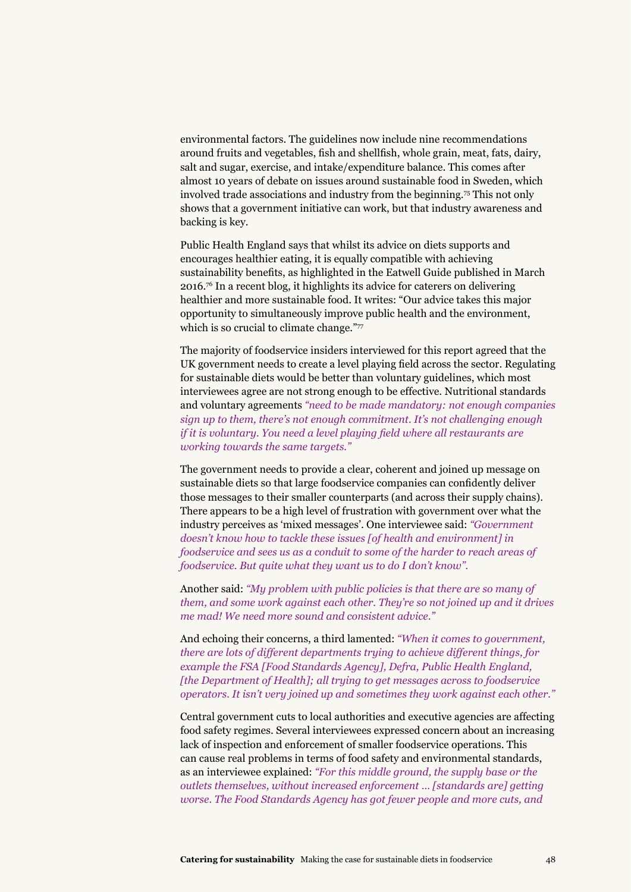environmental factors. The guidelines now include nine recommendations around fruits and vegetables, fish and shellfish, whole grain, meat, fats, dairy, salt and sugar, exercise, and intake/expenditure balance. This comes after almost 10 years of debate on issues around sustainable food in Sweden, which involved trade associations and industry from the beginning.75 This not only shows that a government initiative can work, but that industry awareness and backing is key.

Public Health England says that whilst its advice on diets supports and encourages healthier eating, it is equally compatible with achieving sustainability benefits, as highlighted in the Eatwell Guide published in March 2016.76 In a recent blog, it highlights its advice for caterers on delivering healthier and more sustainable food. It writes: "Our advice takes this major opportunity to simultaneously improve public health and the environment, which is so crucial to climate change."77

The majority of foodservice insiders interviewed for this report agreed that the UK government needs to create a level playing field across the sector. Regulating for sustainable diets would be better than voluntary guidelines, which most interviewees agree are not strong enough to be effective. Nutritional standards and voluntary agreements *"need to be made mandatory: not enough companies sign up to them, there's not enough commitment. It's not challenging enough if it is voluntary. You need a level playing field where all restaurants are working towards the same targets."*

The government needs to provide a clear, coherent and joined up message on sustainable diets so that large foodservice companies can confidently deliver those messages to their smaller counterparts (and across their supply chains). There appears to be a high level of frustration with government over what the industry perceives as 'mixed messages'. One interviewee said: *"Government doesn't know how to tackle these issues [of health and environment] in foodservice and sees us as a conduit to some of the harder to reach areas of foodservice. But quite what they want us to do I don't know".*

Another said: *"My problem with public policies is that there are so many of them, and some work against each other. They're so not joined up and it drives me mad! We need more sound and consistent advice."*

And echoing their concerns, a third lamented: *"When it comes to government, there are lots of different departments trying to achieve different things, for example the FSA [Food Standards Agency], Defra, Public Health England, [the Department of Health]; all trying to get messages across to foodservice operators. It isn't very joined up and sometimes they work against each other."*

Central government cuts to local authorities and executive agencies are affecting food safety regimes. Several interviewees expressed concern about an increasing lack of inspection and enforcement of smaller foodservice operations. This can cause real problems in terms of food safety and environmental standards, as an interviewee explained: *"For this middle ground, the supply base or the outlets themselves, without increased enforcement … [standards are] getting worse. The Food Standards Agency has got fewer people and more cuts, and*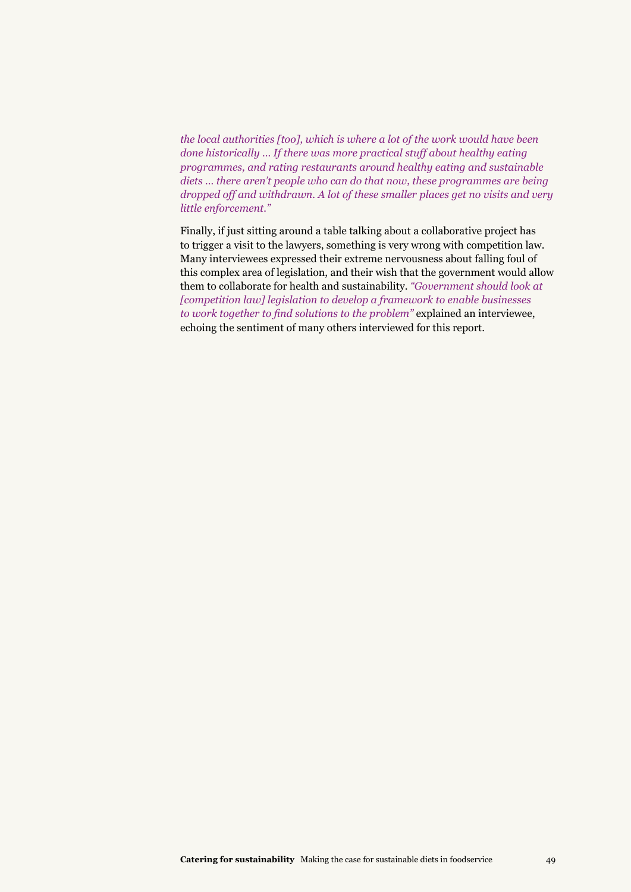*the local authorities [too], which is where a lot of the work would have been done historically … If there was more practical stuff about healthy eating programmes, and rating restaurants around healthy eating and sustainable diets … there aren't people who can do that now, these programmes are being dropped off and withdrawn. A lot of these smaller places get no visits and very little enforcement."*

Finally, if just sitting around a table talking about a collaborative project has to trigger a visit to the lawyers, something is very wrong with competition law. Many interviewees expressed their extreme nervousness about falling foul of this complex area of legislation, and their wish that the government would allow them to collaborate for health and sustainability. *"Government should look at [competition law] legislation to develop a framework to enable businesses to work together to find solutions to the problem"* explained an interviewee, echoing the sentiment of many others interviewed for this report.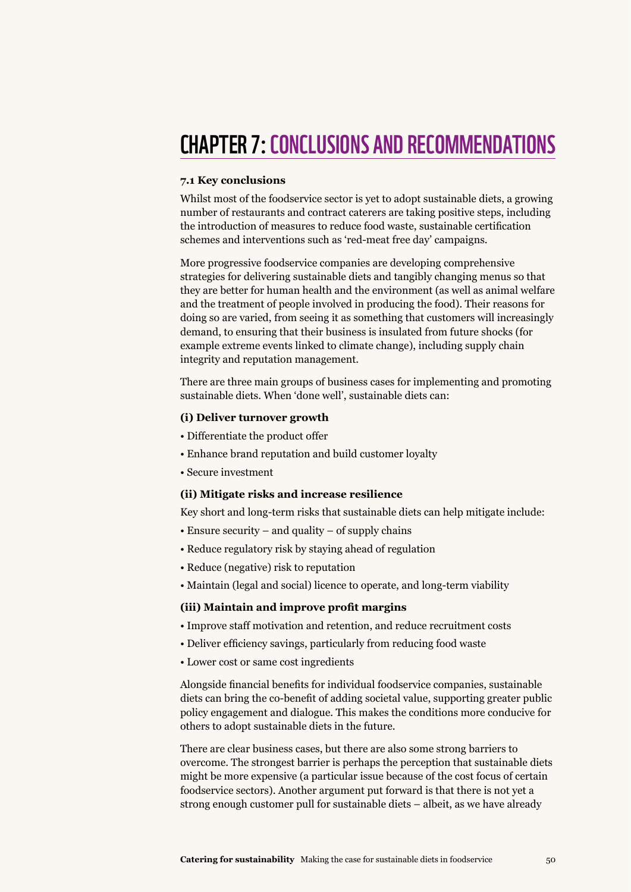## **CHAPTER 7: CONCLUSIONS AND RECOMMENDATIONS**

#### **7.1 Key conclusions**

Whilst most of the foodservice sector is yet to adopt sustainable diets, a growing number of restaurants and contract caterers are taking positive steps, including the introduction of measures to reduce food waste, sustainable certification schemes and interventions such as 'red-meat free day' campaigns.

More progressive foodservice companies are developing comprehensive strategies for delivering sustainable diets and tangibly changing menus so that they are better for human health and the environment (as well as animal welfare and the treatment of people involved in producing the food). Their reasons for doing so are varied, from seeing it as something that customers will increasingly demand, to ensuring that their business is insulated from future shocks (for example extreme events linked to climate change), including supply chain integrity and reputation management.

There are three main groups of business cases for implementing and promoting sustainable diets. When 'done well', sustainable diets can:

#### **(i) Deliver turnover growth**

- Differentiate the product offer
- Enhance brand reputation and build customer loyalty
- Secure investment

#### **(ii) Mitigate risks and increase resilience**

Key short and long-term risks that sustainable diets can help mitigate include:

- Ensure security and quality of supply chains
- Reduce regulatory risk by staying ahead of regulation
- Reduce (negative) risk to reputation
- Maintain (legal and social) licence to operate, and long-term viability

#### **(iii) Maintain and improve profit margins**

- Improve staff motivation and retention, and reduce recruitment costs
- Deliver efficiency savings, particularly from reducing food waste
- Lower cost or same cost ingredients

Alongside financial benefits for individual foodservice companies, sustainable diets can bring the co-benefit of adding societal value, supporting greater public policy engagement and dialogue. This makes the conditions more conducive for others to adopt sustainable diets in the future.

There are clear business cases, but there are also some strong barriers to overcome. The strongest barrier is perhaps the perception that sustainable diets might be more expensive (a particular issue because of the cost focus of certain foodservice sectors). Another argument put forward is that there is not yet a strong enough customer pull for sustainable diets – albeit, as we have already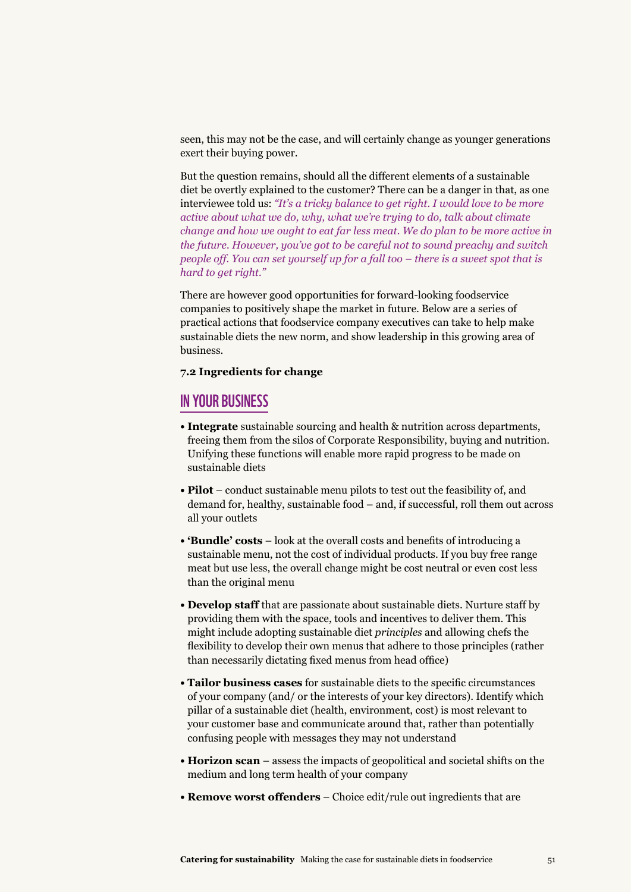seen, this may not be the case, and will certainly change as younger generations exert their buying power.

But the question remains, should all the different elements of a sustainable diet be overtly explained to the customer? There can be a danger in that, as one interviewee told us: *"It's a tricky balance to get right. I would love to be more active about what we do, why, what we're trying to do, talk about climate change and how we ought to eat far less meat. We do plan to be more active in the future. However, you've got to be careful not to sound preachy and switch people off. You can set yourself up for a fall too – there is a sweet spot that is hard to get right."*

There are however good opportunities for forward-looking foodservice companies to positively shape the market in future. Below are a series of practical actions that foodservice company executives can take to help make sustainable diets the new norm, and show leadership in this growing area of business.

#### **7.2 Ingredients for change**

#### In your business

- **Integrate** sustainable sourcing and health & nutrition across departments, freeing them from the silos of Corporate Responsibility, buying and nutrition. Unifying these functions will enable more rapid progress to be made on sustainable diets
- **Pilot** conduct sustainable menu pilots to test out the feasibility of, and demand for, healthy, sustainable food – and, if successful, roll them out across all your outlets
- **'Bundle' costs** look at the overall costs and benefits of introducing a sustainable menu, not the cost of individual products. If you buy free range meat but use less, the overall change might be cost neutral or even cost less than the original menu
- **Develop staff** that are passionate about sustainable diets. Nurture staff by providing them with the space, tools and incentives to deliver them. This might include adopting sustainable diet *principles* and allowing chefs the flexibility to develop their own menus that adhere to those principles (rather than necessarily dictating fixed menus from head office)
- **Tailor business cases** for sustainable diets to the specific circumstances of your company (and/ or the interests of your key directors). Identify which pillar of a sustainable diet (health, environment, cost) is most relevant to your customer base and communicate around that, rather than potentially confusing people with messages they may not understand
- **Horizon scan** assess the impacts of geopolitical and societal shifts on the medium and long term health of your company
- **Remove worst offenders** Choice edit/rule out ingredients that are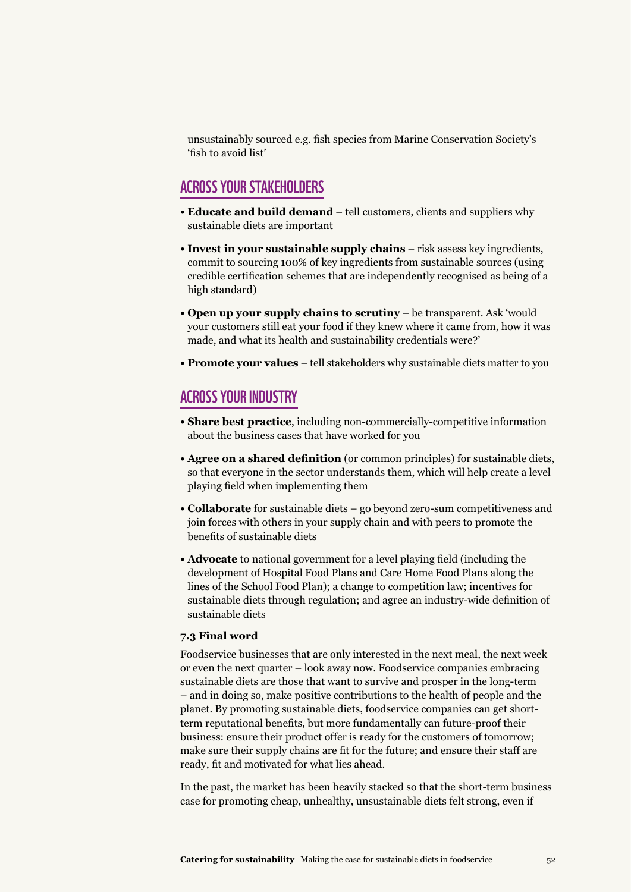unsustainably sourced e.g. fish species from Marine Conservation Society's 'fish to avoid list'

#### Across your stakeholders

- **Educate and build demand** tell customers, clients and suppliers why sustainable diets are important
- **Invest in your sustainable supply chains** risk assess key ingredients, commit to sourcing 100% of key ingredients from sustainable sources (using credible certification schemes that are independently recognised as being of a high standard)
- **Open up your supply chains to scrutiny** be transparent. Ask 'would your customers still eat your food if they knew where it came from, how it was made, and what its health and sustainability credentials were?'
- **Promote your values** tell stakeholders why sustainable diets matter to you

#### Across your industry

- **Share best practice**, including non-commercially-competitive information about the business cases that have worked for you
- **Agree on a shared definition** (or common principles) for sustainable diets, so that everyone in the sector understands them, which will help create a level playing field when implementing them
- **Collaborate** for sustainable diets go beyond zero-sum competitiveness and join forces with others in your supply chain and with peers to promote the benefits of sustainable diets
- **Advocate** to national government for a level playing field (including the development of Hospital Food Plans and Care Home Food Plans along the lines of the School Food Plan); a change to competition law; incentives for sustainable diets through regulation; and agree an industry-wide definition of sustainable diets

#### **7.3 Final word**

Foodservice businesses that are only interested in the next meal, the next week or even the next quarter – look away now. Foodservice companies embracing sustainable diets are those that want to survive and prosper in the long-term – and in doing so, make positive contributions to the health of people and the planet. By promoting sustainable diets, foodservice companies can get shortterm reputational benefits, but more fundamentally can future-proof their business: ensure their product offer is ready for the customers of tomorrow; make sure their supply chains are fit for the future; and ensure their staff are ready, fit and motivated for what lies ahead.

In the past, the market has been heavily stacked so that the short-term business case for promoting cheap, unhealthy, unsustainable diets felt strong, even if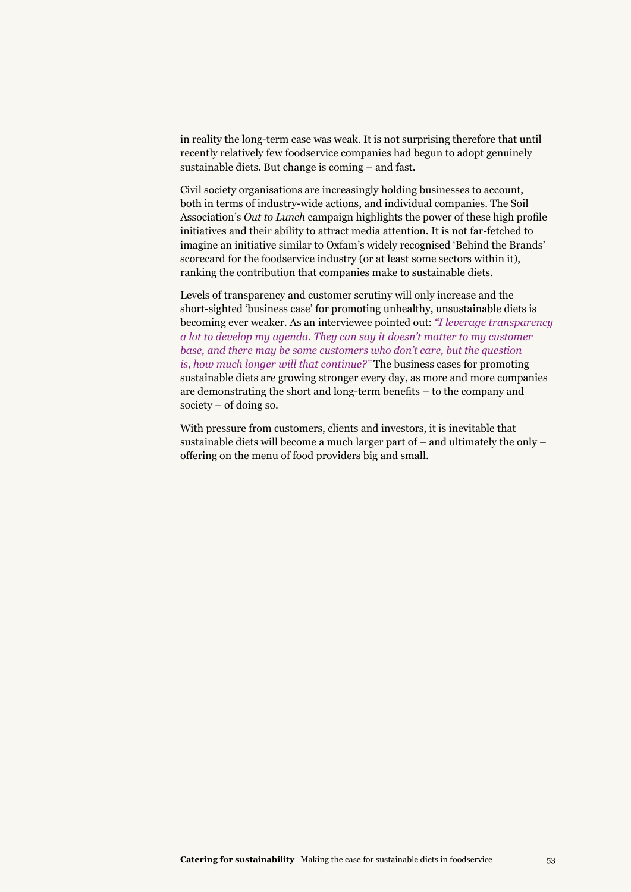in reality the long-term case was weak. It is not surprising therefore that until recently relatively few foodservice companies had begun to adopt genuinely sustainable diets. But change is coming – and fast.

Civil society organisations are increasingly holding businesses to account, both in terms of industry-wide actions, and individual companies. The Soil Association's *Out to Lunch* campaign highlights the power of these high profile initiatives and their ability to attract media attention. It is not far-fetched to imagine an initiative similar to Oxfam's widely recognised 'Behind the Brands' scorecard for the foodservice industry (or at least some sectors within it), ranking the contribution that companies make to sustainable diets.

Levels of transparency and customer scrutiny will only increase and the short-sighted 'business case' for promoting unhealthy, unsustainable diets is becoming ever weaker. As an interviewee pointed out: *"I leverage transparency a lot to develop my agenda. They can say it doesn't matter to my customer base, and there may be some customers who don't care, but the question is, how much longer will that continue?"* The business cases for promoting sustainable diets are growing stronger every day, as more and more companies are demonstrating the short and long-term benefits – to the company and society – of doing so.

With pressure from customers, clients and investors, it is inevitable that sustainable diets will become a much larger part of – and ultimately the only – offering on the menu of food providers big and small.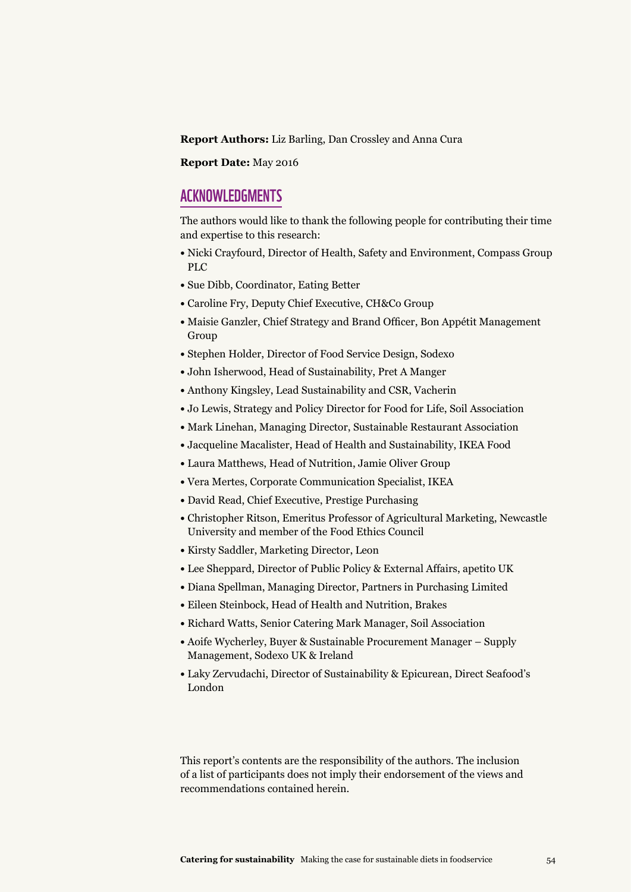**Report Authors:** Liz Barling, Dan Crossley and Anna Cura

**Report Date:** May 2016

#### **ACKNOWLEDGMENTS**

The authors would like to thank the following people for contributing their time and expertise to this research:

- Nicki Crayfourd, Director of Health, Safety and Environment, Compass Group PLC
- Sue Dibb, Coordinator, Eating Better
- Caroline Fry, Deputy Chief Executive, CH&Co Group
- Maisie Ganzler, Chief Strategy and Brand Officer, Bon Appétit Management Group
- Stephen Holder, Director of Food Service Design, Sodexo
- John Isherwood, Head of Sustainability, Pret A Manger
- Anthony Kingsley, Lead Sustainability and CSR, Vacherin
- Jo Lewis, Strategy and Policy Director for Food for Life, Soil Association
- Mark Linehan, Managing Director, Sustainable Restaurant Association
- Jacqueline Macalister, Head of Health and Sustainability, IKEA Food
- Laura Matthews, Head of Nutrition, Jamie Oliver Group
- Vera Mertes, Corporate Communication Specialist, IKEA
- David Read, Chief Executive, Prestige Purchasing
- Christopher Ritson, Emeritus Professor of Agricultural Marketing, Newcastle University and member of the Food Ethics Council
- Kirsty Saddler, Marketing Director, Leon
- Lee Sheppard, Director of Public Policy & External Affairs, apetito UK
- Diana Spellman, Managing Director, Partners in Purchasing Limited
- Eileen Steinbock, Head of Health and Nutrition, Brakes
- Richard Watts, Senior Catering Mark Manager, Soil Association
- Aoife Wycherley, Buyer & Sustainable Procurement Manager Supply Management, Sodexo UK & Ireland
- Laky Zervudachi, Director of Sustainability & Epicurean, Direct Seafood's London

This report's contents are the responsibility of the authors. The inclusion of a list of participants does not imply their endorsement of the views and recommendations contained herein.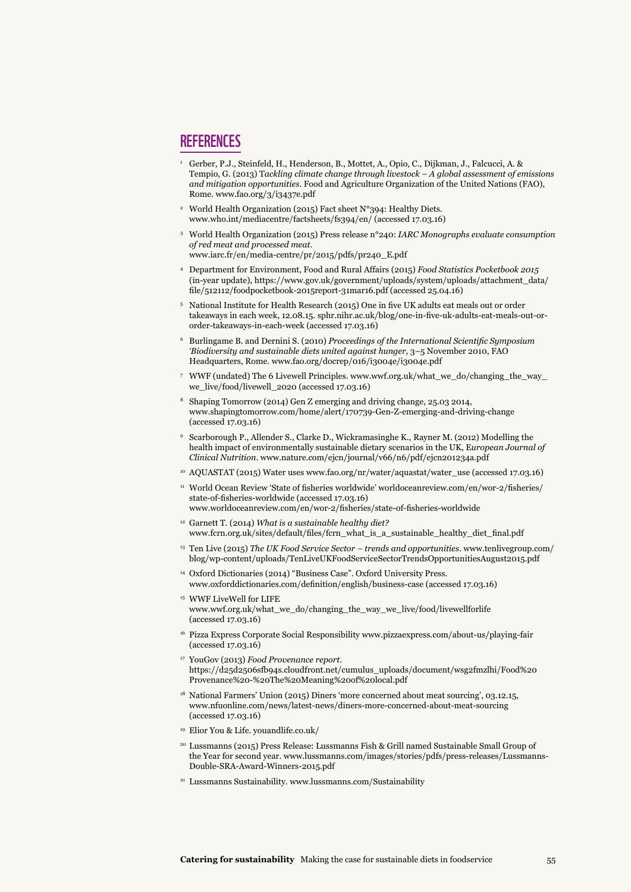#### **REFERENCES**

- <sup>1</sup> Gerber, P.J., Steinfeld, H., Henderson, B., Mottet, A., Opio, C., Dijkman, J., Falcucci, A. & Tempio, G. (2013) T*ackling climate change through livestock – A global assessment of emissions and mitigation opportunities*. Food and Agriculture Organization of the United Nations (FAO), Rome. www.fao.org/3/i3437e.pdf
- 2 World Health Organization (2015) Fact sheet N°394: Healthy Diets. www.who.int/mediacentre/factsheets/fs394/en/ (accessed 17.03.16)
- 3 World Health Organization (2015) Press release n°240: *IARC Monographs evaluate consumption of red meat and processed meat.* www.iarc.fr/en/media-centre/pr/2015/pdfs/pr240\_E.pdf
- 4 Department for Environment, Food and Rural Affairs (2015) *Food Statistics Pocketbook 2015* (in-year update), https://www.gov.uk/government/uploads/system/uploads/attachment\_data/ file/512112/foodpocketbook-2015report-31mar16.pdf (accessed 25.04.16)
- <sup>5</sup> National Institute for Health Research (2015) One in five UK adults eat meals out or order takeaways in each week, 12.08.15. sphr.nihr.ac.uk/blog/one-in-five-uk-adults-eat-meals-out-ororder-takeaways-in-each-week (accessed 17.03.16)
- 6 Burlingame B. and Dernini S. (2010) *Proceedings of the International Scientific Symposium 'Biodiversity and sustainable diets united against hunger*, 3–5 November 2010, FAO Headquarters, Rome. www.fao.org/docrep/016/i3004e/i3004e.pdf
- 7 WWF (undated) The 6 Livewell Principles. www.wwf.org.uk/what\_we\_do/changing\_the\_way\_ we\_live/food/livewell\_2020 (accessed 17.03.16)
- 8 Shaping Tomorrow (2014) Gen Z emerging and driving change, 25.03 2014, www.shapingtomorrow.com/home/alert/170739-Gen-Z-emerging-and-driving-change (accessed 17.03.16)
- 9 Scarborough P., Allender S., Clarke D., Wickramasinghe K., Rayner M. (2012) Modelling the health impact of environmentally sustainable dietary scenarios in the UK, E*uropean Journal of Clinical Nutrition*. www.nature.com/ejcn/journal/v66/n6/pdf/ejcn201234a.pdf
- <sup>10</sup> AQUASTAT (2015) Water uses www.fao.org/nr/water/aquastat/water\_use (accessed 17.03.16)
- <sup>11</sup> World Ocean Review 'State of fisheries worldwide' worldoceanreview.com/en/wor-2/fisheries/ state-of-fisheries-worldwide (accessed 17.03.16) www.worldoceanreview.com/en/wor-2/fisheries/state-of-fisheries-worldwide
- 12 Garnett T. (2014) *What is a sustainable healthy diet?* www.fcrn.org.uk/sites/default/files/fcrn\_what\_is\_a\_sustainable\_healthy\_diet\_final.pdf
- 13 Ten Live (2015) *The UK Food Service Sector trends and opportunities*. www.tenlivegroup.com/ blog/wp-content/uploads/TenLiveUKFoodServiceSectorTrendsOpportunitiesAugust2015.pdf
- 14 Oxford Dictionaries (2014) "Business Case". Oxford University Press. www.oxforddictionaries.com/definition/english/business-case (accessed 17.03.16)
- <sup>15</sup> WWF LiveWell for LIFE www.wwf.org.uk/what\_we\_do/changing\_the\_way\_we\_live/food/livewellforlife (accessed 17.03.16)
- 16 Pizza Express Corporate Social Responsibility www.pizzaexpress.com/about-us/playing-fair (accessed 17.03.16)
- 17 YouGov (2013) *Food Provenance report*. https://d25d2506sfb94s.cloudfront.net/cumulus\_uploads/document/wsg2fmzlhi/Food%20 Provenance%20-%20The%20Meaning%20of%20local.pdf
- <sup>18</sup> National Farmers' Union (2015) Diners 'more concerned about meat sourcing', 03.12.15, www.nfuonline.com/news/latest-news/diners-more-concerned-about-meat-sourcing (accessed 17.03.16)
- <sup>19</sup> Elior You & Life. youandlife.co.uk/
- 20 Lussmanns (2015) Press Release: Lussmanns Fish & Grill named Sustainable Small Group of the Year for second year. www.lussmanns.com/images/stories/pdfs/press-releases/Lussmanns-Double-SRA-Award-Winners-2015.pdf
- <sup>21</sup> Lussmanns Sustainability. www.lussmanns.com/Sustainability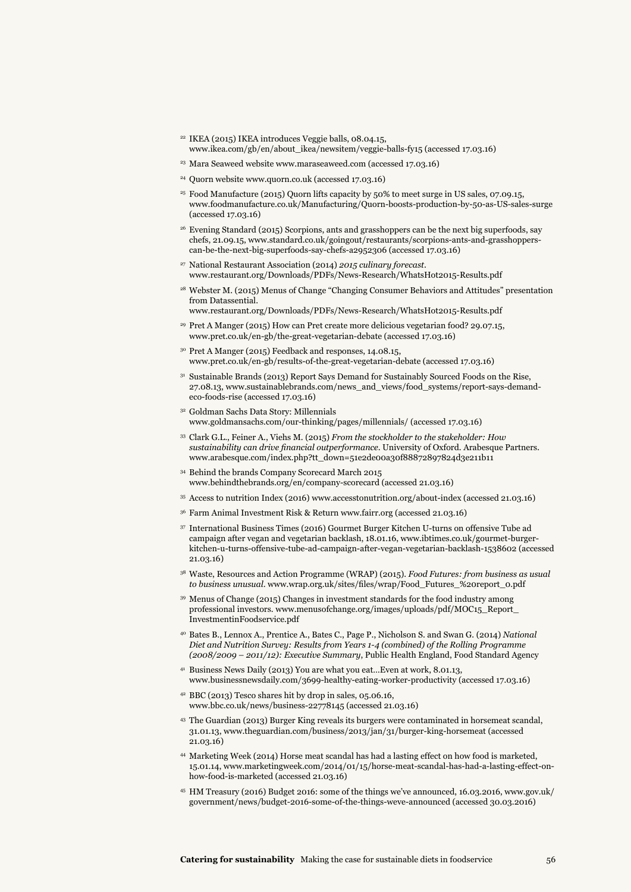- <sup>22</sup> IKEA (2015) IKEA introduces Veggie balls, 08.04.15, www.ikea.com/gb/en/about\_ikea/newsitem/veggie-balls-fy15 (accessed 17.03.16)
- <sup>23</sup> Mara Seaweed website www.maraseaweed.com (accessed 17.03.16)
- <sup>24</sup> Quorn website www.quorn.co.uk (accessed 17.03.16)
- 25 Food Manufacture (2015) Quorn lifts capacity by 50% to meet surge in US sales, 07.09.15, www.foodmanufacture.co.uk/Manufacturing/Quorn-boosts-production-by-50-as-US-sales-surge (accessed 17.03.16)
- 26 Evening Standard (2015) Scorpions, ants and grasshoppers can be the next big superfoods, say chefs, 21.09.15, www.standard.co.uk/goingout/restaurants/scorpions-ants-and-grasshopperscan-be-the-next-big-superfoods-say-chefs-a2952306 (accessed 17.03.16)
- 27 National Restaurant Association (2014) *2015 culinary forecast*. www.restaurant.org/Downloads/PDFs/News-Research/WhatsHot2015-Results.pdf
- <sup>28</sup> Webster M. (2015) Menus of Change "Changing Consumer Behaviors and Attitudes" presentation from Datassential.
- www.restaurant.org/Downloads/PDFs/News-Research/WhatsHot2015-Results.pdf <sup>29</sup> Pret A Manger (2015) How can Pret create more delicious vegetarian food? 29.07.15,
- www.pret.co.uk/en-gb/the-great-vegetarian-debate (accessed 17.03.16)
- 30 Pret A Manger (2015) Feedback and responses, 14.08.15, www.pret.co.uk/en-gb/results-of-the-great-vegetarian-debate (accessed 17.03.16)
- <sup>31</sup> Sustainable Brands (2013) Report Says Demand for Sustainably Sourced Foods on the Rise, 27.08.13, www.sustainablebrands.com/news\_and\_views/food\_systems/report-says-demandeco-foods-rise (accessed 17.03.16)
- 32 Goldman Sachs Data Story: Millennials www.goldmansachs.com/our-thinking/pages/millennials/ (accessed 17.03.16)
- <sup>33</sup> Clark G.L., Feiner A., Viehs M. (2015) *From the stockholder to the stakeholder: How sustainability can drive financial outperformance*. University of Oxford. Arabesque Partners. www.arabesque.com/index.php?tt\_down=51e2de00a30f88872897824d3e211b11
- 34 Behind the brands Company Scorecard March 2015 www.behindthebrands.org/en/company-scorecard (accessed 21.03.16)
- <sup>35</sup> Access to nutrition Index (2016) www.accesstonutrition.org/about-index (accessed 21.03.16)
- <sup>36</sup> Farm Animal Investment Risk & Return www.fairr.org (accessed 21.03.16)
- 37 International Business Times (2016) Gourmet Burger Kitchen U-turns on offensive Tube ad campaign after vegan and vegetarian backlash, 18.01.16, www.ibtimes.co.uk/gourmet-burgerkitchen-u-turns-offensive-tube-ad-campaign-after-vegan-vegetarian-backlash-1538602 (accessed 21.03.16)
- 38 Waste, Resources and Action Programme (WRAP) (2015). *Food Futures: from business as usual to business unusual*. www.wrap.org.uk/sites/files/wrap/Food\_Futures\_%20report\_0.pdf
- 39 Menus of Change (2015) Changes in investment standards for the food industry among professional investors. www.menusofchange.org/images/uploads/pdf/MOC15\_Report\_ InvestmentinFoodservice.pdf
- 40 Bates B., Lennox A., Prentice A., Bates C., Page P., Nicholson S. and Swan G. (2014) *National Diet and Nutrition Survey: Results from Years 1-4 (combined) of the Rolling Programme (2008/2009 – 2011/12): Executive Summary*, Public Health England, Food Standard Agency
- 41 Business News Daily (2013) You are what you eat…Even at work, 8.01.13, www.businessnewsdaily.com/3699-healthy-eating-worker-productivity (accessed 17.03.16)
- 42 BBC (2013) Tesco shares hit by drop in sales, 05.06.16, www.bbc.co.uk/news/business-22778145 (accessed 21.03.16)
- 43 The Guardian (2013) Burger King reveals its burgers were contaminated in horsemeat scandal, 31.01.13, www.theguardian.com/business/2013/jan/31/burger-king-horsemeat (accessed 21.03.16)
- 44 Marketing Week (2014) Horse meat scandal has had a lasting effect on how food is marketed, 15.01.14, www.marketingweek.com/2014/01/15/horse-meat-scandal-has-had-a-lasting-effect-onhow-food-is-marketed (accessed 21.03.16)
- 45 HM Treasury (2016) Budget 2016: some of the things we've announced, 16.03.2016, www.gov.uk/ government/news/budget-2016-some-of-the-things-weve-announced (accessed 30.03.2016)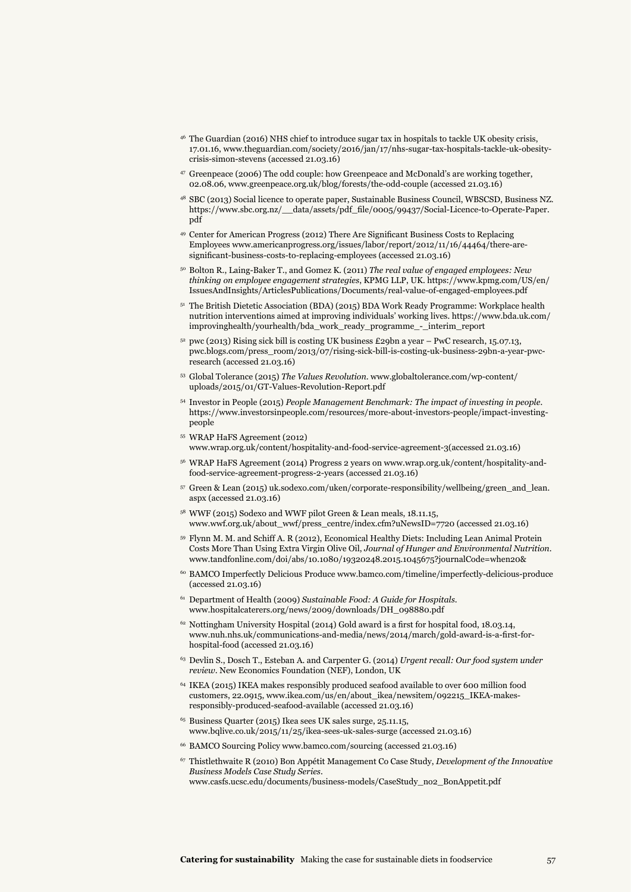- 46 The Guardian (2016) NHS chief to introduce sugar tax in hospitals to tackle UK obesity crisis, 17.01.16, www.theguardian.com/society/2016/jan/17/nhs-sugar-tax-hospitals-tackle-uk-obesitycrisis-simon-stevens (accessed 21.03.16)
- 47 Greenpeace (2006) The odd couple: how Greenpeace and McDonald's are working together, 02.08.06, www.greenpeace.org.uk/blog/forests/the-odd-couple (accessed 21.03.16)
- 48 SBC (2013) Social licence to operate paper, Sustainable Business Council, WBSCSD, Business NZ. https://www.sbc.org.nz/\_\_data/assets/pdf\_file/0005/99437/Social-Licence-to-Operate-Paper. pdf
- <sup>49</sup> Center for American Progress (2012) There Are Significant Business Costs to Replacing Employees www.americanprogress.org/issues/labor/report/2012/11/16/44464/there-aresignificant-business-costs-to-replacing-employees (accessed 21.03.16)
- 50 Bolton R., Laing-Baker T., and Gomez K. (2011) *The real value of engaged employees: New thinking on employee engagement strategies*, KPMG LLP, UK. https://www.kpmg.com/US/en/ IssuesAndInsights/ArticlesPublications/Documents/real-value-of-engaged-employees.pdf
- <sup>51</sup> The British Dietetic Association (BDA) (2015) BDA Work Ready Programme: Workplace health nutrition interventions aimed at improving individuals' working lives. https://www.bda.uk.com/ improvinghealth/yourhealth/bda\_work\_ready\_programme\_-\_interim\_report
- $52$  pwc (2013) Rising sick bill is costing UK business £29bn a year PwC research, 15.07.13, pwc.blogs.com/press\_room/2013/07/rising-sick-bill-is-costing-uk-business-29bn-a-year-pwcresearch (accessed 21.03.16)
- 53 Global Tolerance (2015) *The Values Revolution*. www.globaltolerance.com/wp-content/ uploads/2015/01/GT-Values-Revolution-Report.pdf
- 54 Investor in People (2015) *People Management Benchmark: The impact of investing in people*. https://www.investorsinpeople.com/resources/more-about-investors-people/impact-investingpeople
- 55 WRAP HaFS Agreement (2012) www.wrap.org.uk/content/hospitality-and-food-service-agreement-3(accessed 21.03.16)
- 56 WRAP HaFS Agreement (2014) Progress 2 years on www.wrap.org.uk/content/hospitality-andfood-service-agreement-progress-2-years (accessed 21.03.16)
- 57 Green & Lean (2015) uk.sodexo.com/uken/corporate-responsibility/wellbeing/green\_and\_lean. aspx (accessed 21.03.16)
- 58 WWF (2015) Sodexo and WWF pilot Green & Lean meals, 18.11.15, www.wwf.org.uk/about\_wwf/press\_centre/index.cfm?uNewsID=7720 (accessed 21.03.16)
- 59 Flynn M. M. and Schiff A. R (2012), Economical Healthy Diets: Including Lean Animal Protein Costs More Than Using Extra Virgin Olive Oil, *Journal of Hunger and Environmental Nutrition*. www.tandfonline.com/doi/abs/10.1080/19320248.2015.1045675?journalCode=when20&
- 60 BAMCO Imperfectly Delicious Produce www.bamco.com/timeline/imperfectly-delicious-produce (accessed 21.03.16)
- 61 Department of Health (2009) *Sustainable Food: A Guide for Hospitals*. www.hospitalcaterers.org/news/2009/downloads/DH\_098880.pdf
- $62$  Nottingham University Hospital (2014) Gold award is a first for hospital food, 18.03.14, www.nuh.nhs.uk/communications-and-media/news/2014/march/gold-award-is-a-first-forhospital-food (accessed 21.03.16)
- 63 Devlin S., Dosch T., Esteban A. and Carpenter G. (2014) *Urgent recall: Our food system under review*. New Economics Foundation (NEF), London, UK
- 64 IKEA (2015) IKEA makes responsibly produced seafood available to over 600 million food customers, 22.0915, www.ikea.com/us/en/about\_ikea/newsitem/092215\_IKEA-makesresponsibly-produced-seafood-available (accessed 21.03.16)
- 65 Business Quarter (2015) Ikea sees UK sales surge, 25.11.15, www.bqlive.co.uk/2015/11/25/ikea-sees-uk-sales-surge (accessed 21.03.16)
- 66 BAMCO Sourcing Policy www.bamco.com/sourcing (accessed 21.03.16)
- 67 Thistlethwaite R (2010) Bon Appétit Management Co Case Study, *Development of the Innovative Business Models Case Study Series*. www.casfs.ucsc.edu/documents/business-models/CaseStudy\_no2\_BonAppetit.pdf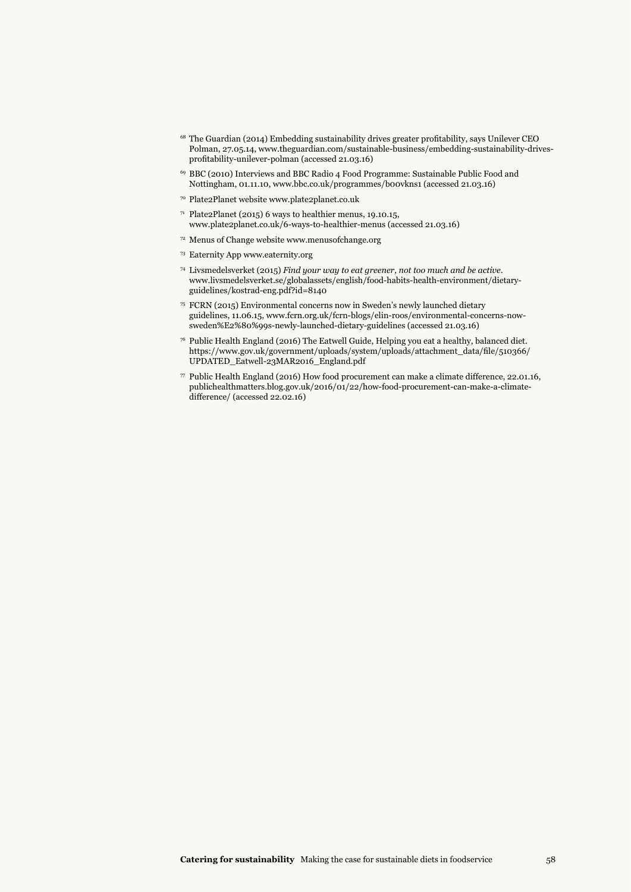- <sup>68</sup> The Guardian (2014) Embedding sustainability drives greater profitability, says Unilever CEO Polman, 27.05.14, www.theguardian.com/sustainable-business/embedding-sustainability-drivesprofitability-unilever-polman (accessed 21.03.16)
- 69 BBC (2010) Interviews and BBC Radio 4 Food Programme: Sustainable Public Food and Nottingham, 01.11.10, www.bbc.co.uk/programmes/b00vkns1 (accessed 21.03.16)
- 70 Plate2Planet website www.plate2planet.co.uk
- <sup>71</sup> Plate2Planet (2015) 6 ways to healthier menus, 19.10.15, www.plate2planet.co.uk/6-ways-to-healthier-menus (accessed 21.03.16)
- <sup>72</sup> Menus of Change website www.menusofchange.org
- <sup>73</sup> Eaternity App www.eaternity.org
- 74 Livsmedelsverket (2015) *Find your way to eat greener, not too much and be active*. www.livsmedelsverket.se/globalassets/english/food-habits-health-environment/dietaryguidelines/kostrad-eng.pdf?id=8140
- 75 FCRN (2015) Environmental concerns now in Sweden's newly launched dietary guidelines, 11.06.15, www.fcrn.org.uk/fcrn-blogs/elin-roos/environmental-concerns-nowsweden%E2%80%99s-newly-launched-dietary-guidelines (accessed 21.03.16)
- $^{76}$  Public Health England (2016) The Eatwell Guide, Helping you eat a healthy, balanced diet. https://www.gov.uk/government/uploads/system/uploads/attachment\_data/file/510366/ UPDATED\_Eatwell-23MAR2016\_England.pdf
- $\,$  7 Public Health England (2016) How food procurement can make a climate difference, 22.01.16, publichealthmatters.blog.gov.uk/2016/01/22/how-food-procurement-can-make-a-climatedifference/ (accessed 22.02.16)